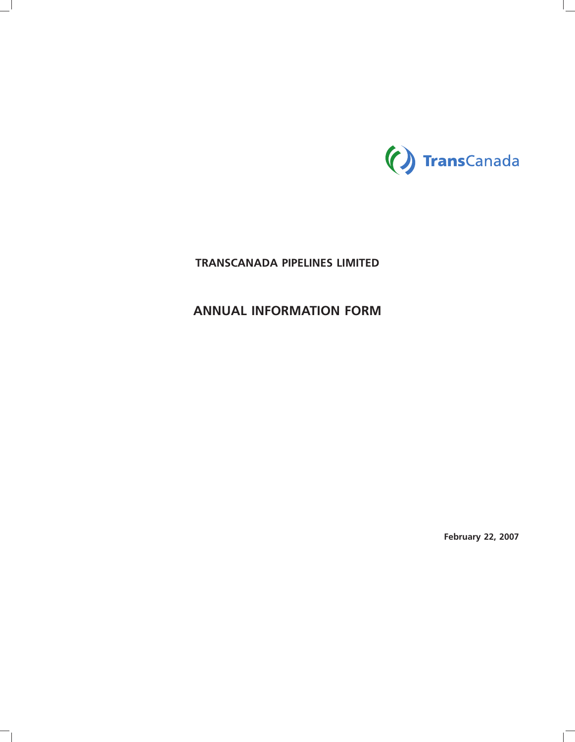

# **TRANSCANADA PIPELINES LIMITED**

# **ANNUAL INFORMATION FORM**

**February 22, 2007**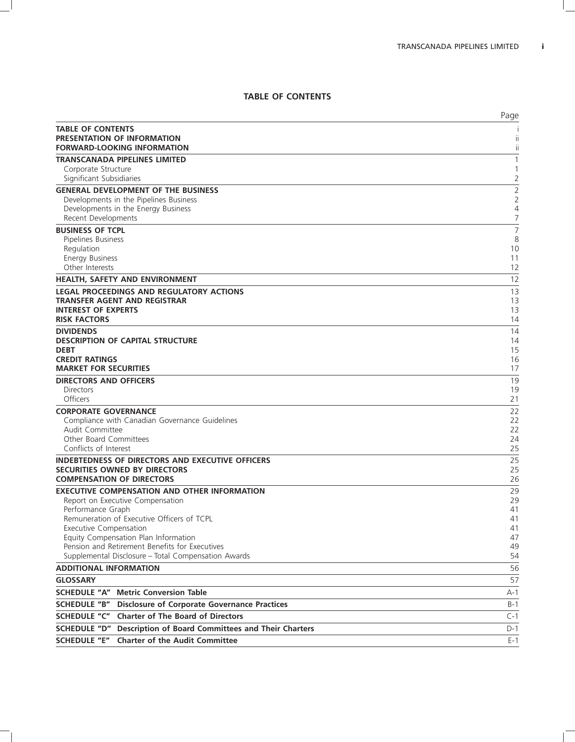## **TABLE OF CONTENTS**

|                                                                                                 | Page                |
|-------------------------------------------------------------------------------------------------|---------------------|
| <b>TABLE OF CONTENTS</b>                                                                        |                     |
| PRESENTATION OF INFORMATION                                                                     | ii                  |
| <b>FORWARD-LOOKING INFORMATION</b>                                                              | ii                  |
| <b>TRANSCANADA PIPELINES LIMITED</b><br>Corporate Structure                                     | 1<br>1              |
| Significant Subsidiaries                                                                        | 2                   |
| <b>GENERAL DEVELOPMENT OF THE BUSINESS</b>                                                      | $\overline{2}$      |
| Developments in the Pipelines Business                                                          | $\overline{2}$      |
| Developments in the Energy Business                                                             | 4                   |
| Recent Developments                                                                             | 7                   |
| <b>BUSINESS OF TCPL</b><br>Pipelines Business                                                   | $\overline{7}$<br>8 |
| Regulation                                                                                      | 10                  |
| <b>Energy Business</b>                                                                          | 11                  |
| Other Interests                                                                                 | 12                  |
| <b>HEALTH, SAFETY AND ENVIRONMENT</b>                                                           | 12                  |
| LEGAL PROCEEDINGS AND REGULATORY ACTIONS                                                        | 13                  |
| TRANSFER AGENT AND REGISTRAR                                                                    | 13                  |
| <b>INTEREST OF EXPERTS</b><br><b>RISK FACTORS</b>                                               | 13<br>14            |
| <b>DIVIDENDS</b>                                                                                | 14                  |
| <b>DESCRIPTION OF CAPITAL STRUCTURE</b>                                                         | 14                  |
| <b>DEBT</b>                                                                                     | 15                  |
| <b>CREDIT RATINGS</b>                                                                           | 16                  |
| <b>MARKET FOR SECURITIES</b>                                                                    | 17                  |
| <b>DIRECTORS AND OFFICERS</b><br><b>Directors</b>                                               | 19<br>19            |
| Officers                                                                                        | 21                  |
| <b>CORPORATE GOVERNANCE</b>                                                                     | 22                  |
| Compliance with Canadian Governance Guidelines                                                  | 22                  |
| Audit Committee                                                                                 | 22                  |
| <b>Other Board Committees</b>                                                                   | 24                  |
| Conflicts of Interest                                                                           | 25                  |
| <b>INDEBTEDNESS OF DIRECTORS AND EXECUTIVE OFFICERS</b><br><b>SECURITIES OWNED BY DIRECTORS</b> | 25<br>25            |
| <b>COMPENSATION OF DIRECTORS</b>                                                                | 26                  |
| <b>EXECUTIVE COMPENSATION AND OTHER INFORMATION</b>                                             | 29                  |
| Report on Executive Compensation                                                                | 29                  |
| Performance Graph                                                                               | 41                  |
| Remuneration of Executive Officers of TCPL<br><b>Executive Compensation</b>                     | 41<br>41            |
| Equity Compensation Plan Information                                                            | 47                  |
| Pension and Retirement Benefits for Executives                                                  | 49                  |
| Supplemental Disclosure - Total Compensation Awards                                             | 54                  |
| <b>ADDITIONAL INFORMATION</b>                                                                   | 56                  |
| <b>GLOSSARY</b>                                                                                 | 57                  |
| <b>Metric Conversion Table</b><br><b>SCHEDULE "A"</b>                                           | A-1                 |
| <b>SCHEDULE "B"</b><br><b>Disclosure of Corporate Governance Practices</b>                      | $B-1$               |
| <b>Charter of The Board of Directors</b><br><b>SCHEDULE "C"</b>                                 | $C-1$               |
| SCHEDULE "D"<br>Description of Board Committees and Their Charters                              | $D-1$               |
| <b>Charter of the Audit Committee</b><br><b>SCHEDULE "E"</b>                                    | $E-1$               |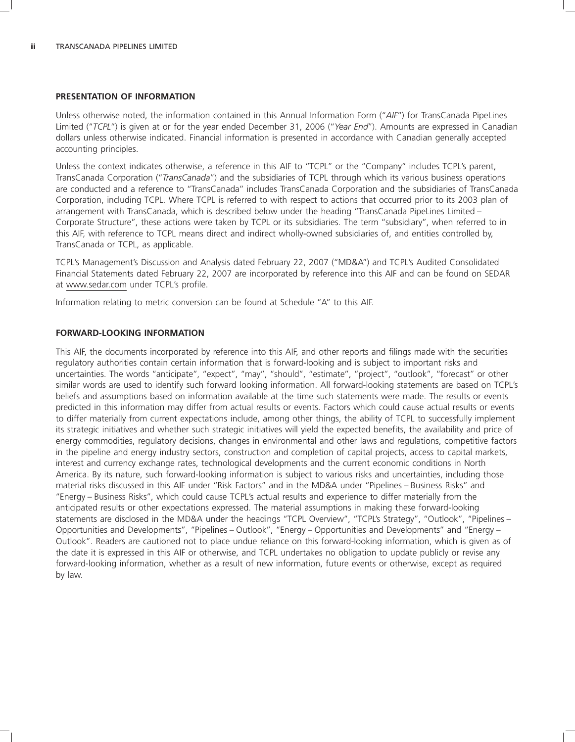#### **PRESENTATION OF INFORMATION**

Unless otherwise noted, the information contained in this Annual Information Form (''*AIF*'') for TransCanada PipeLines Limited (''*TCPL*'') is given at or for the year ended December 31, 2006 (''*Year End*''). Amounts are expressed in Canadian dollars unless otherwise indicated. Financial information is presented in accordance with Canadian generally accepted accounting principles.

Unless the context indicates otherwise, a reference in this AIF to "TCPL" or the "Company" includes TCPL's parent, TransCanada Corporation (''*TransCanada*'') and the subsidiaries of TCPL through which its various business operations are conducted and a reference to ''TransCanada'' includes TransCanada Corporation and the subsidiaries of TransCanada Corporation, including TCPL. Where TCPL is referred to with respect to actions that occurred prior to its 2003 plan of arrangement with TransCanada, which is described below under the heading ''TransCanada PipeLines Limited – Corporate Structure'', these actions were taken by TCPL or its subsidiaries. The term ''subsidiary'', when referred to in this AIF, with reference to TCPL means direct and indirect wholly-owned subsidiaries of, and entities controlled by, TransCanada or TCPL, as applicable.

TCPL's Management's Discussion and Analysis dated February 22, 2007 (''MD&A'') and TCPL's Audited Consolidated Financial Statements dated February 22, 2007 are incorporated by reference into this AIF and can be found on SEDAR at www.sedar.com under TCPL's profile.

Information relating to metric conversion can be found at Schedule ''A'' to this AIF.

#### **FORWARD-LOOKING INFORMATION**

This AIF, the documents incorporated by reference into this AIF, and other reports and filings made with the securities regulatory authorities contain certain information that is forward-looking and is subject to important risks and uncertainties. The words "anticipate", "expect", "may", "should", "estimate", "project", "outlook", "forecast" or other similar words are used to identify such forward looking information. All forward-looking statements are based on TCPL's beliefs and assumptions based on information available at the time such statements were made. The results or events predicted in this information may differ from actual results or events. Factors which could cause actual results or events to differ materially from current expectations include, among other things, the ability of TCPL to successfully implement its strategic initiatives and whether such strategic initiatives will yield the expected benefits, the availability and price of energy commodities, regulatory decisions, changes in environmental and other laws and regulations, competitive factors in the pipeline and energy industry sectors, construction and completion of capital projects, access to capital markets, interest and currency exchange rates, technological developments and the current economic conditions in North America. By its nature, such forward-looking information is subject to various risks and uncertainties, including those material risks discussed in this AIF under ''Risk Factors'' and in the MD&A under ''Pipelines – Business Risks'' and ''Energy – Business Risks'', which could cause TCPL's actual results and experience to differ materially from the anticipated results or other expectations expressed. The material assumptions in making these forward-looking statements are disclosed in the MD&A under the headings "TCPL Overview", "TCPL's Strategy", "Outlook", "Pipelines -Opportunities and Developments'', ''Pipelines – Outlook'', ''Energy – Opportunities and Developments'' and ''Energy – Outlook''. Readers are cautioned not to place undue reliance on this forward-looking information, which is given as of the date it is expressed in this AIF or otherwise, and TCPL undertakes no obligation to update publicly or revise any forward-looking information, whether as a result of new information, future events or otherwise, except as required by law.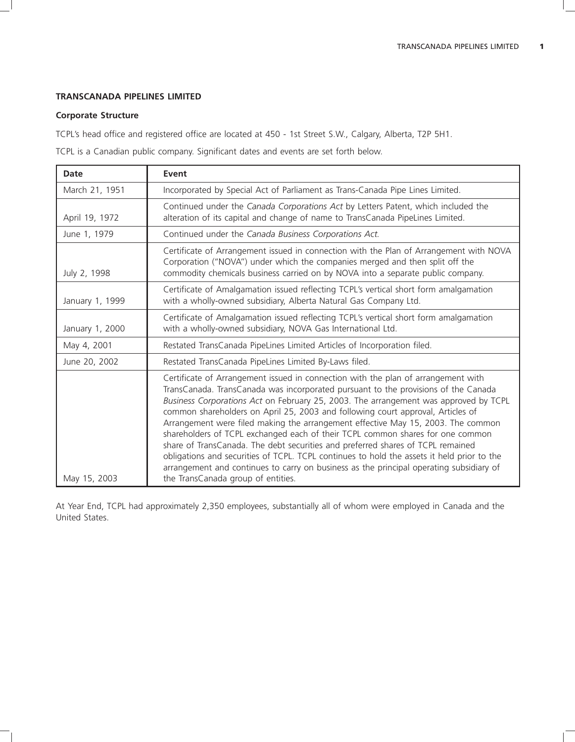# **TRANSCANADA PIPELINES LIMITED**

## **Corporate Structure**

TCPL's head office and registered office are located at 450 - 1st Street S.W., Calgary, Alberta, T2P 5H1.

TCPL is a Canadian public company. Significant dates and events are set forth below.

| Date            | Event                                                                                                                                                                                                                                                                                                                                                                                                                                                                                                                                                                                                                                                                                                                                                                                                                                      |
|-----------------|--------------------------------------------------------------------------------------------------------------------------------------------------------------------------------------------------------------------------------------------------------------------------------------------------------------------------------------------------------------------------------------------------------------------------------------------------------------------------------------------------------------------------------------------------------------------------------------------------------------------------------------------------------------------------------------------------------------------------------------------------------------------------------------------------------------------------------------------|
| March 21, 1951  | Incorporated by Special Act of Parliament as Trans-Canada Pipe Lines Limited.                                                                                                                                                                                                                                                                                                                                                                                                                                                                                                                                                                                                                                                                                                                                                              |
| April 19, 1972  | Continued under the Canada Corporations Act by Letters Patent, which included the<br>alteration of its capital and change of name to TransCanada PipeLines Limited.                                                                                                                                                                                                                                                                                                                                                                                                                                                                                                                                                                                                                                                                        |
| June 1, 1979    | Continued under the Canada Business Corporations Act.                                                                                                                                                                                                                                                                                                                                                                                                                                                                                                                                                                                                                                                                                                                                                                                      |
| July 2, 1998    | Certificate of Arrangement issued in connection with the Plan of Arrangement with NOVA<br>Corporation ("NOVA") under which the companies merged and then split off the<br>commodity chemicals business carried on by NOVA into a separate public company.                                                                                                                                                                                                                                                                                                                                                                                                                                                                                                                                                                                  |
| January 1, 1999 | Certificate of Amalgamation issued reflecting TCPL's vertical short form amalgamation<br>with a wholly-owned subsidiary, Alberta Natural Gas Company Ltd.                                                                                                                                                                                                                                                                                                                                                                                                                                                                                                                                                                                                                                                                                  |
| January 1, 2000 | Certificate of Amalgamation issued reflecting TCPL's vertical short form amalgamation<br>with a wholly-owned subsidiary, NOVA Gas International Ltd.                                                                                                                                                                                                                                                                                                                                                                                                                                                                                                                                                                                                                                                                                       |
| May 4, 2001     | Restated TransCanada PipeLines Limited Articles of Incorporation filed.                                                                                                                                                                                                                                                                                                                                                                                                                                                                                                                                                                                                                                                                                                                                                                    |
| June 20, 2002   | Restated TransCanada PipeLines Limited By-Laws filed.                                                                                                                                                                                                                                                                                                                                                                                                                                                                                                                                                                                                                                                                                                                                                                                      |
| May 15, 2003    | Certificate of Arrangement issued in connection with the plan of arrangement with<br>TransCanada. TransCanada was incorporated pursuant to the provisions of the Canada<br>Business Corporations Act on February 25, 2003. The arrangement was approved by TCPL<br>common shareholders on April 25, 2003 and following court approval, Articles of<br>Arrangement were filed making the arrangement effective May 15, 2003. The common<br>shareholders of TCPL exchanged each of their TCPL common shares for one common<br>share of TransCanada. The debt securities and preferred shares of TCPL remained<br>obligations and securities of TCPL. TCPL continues to hold the assets it held prior to the<br>arrangement and continues to carry on business as the principal operating subsidiary of<br>the TransCanada group of entities. |

At Year End, TCPL had approximately 2,350 employees, substantially all of whom were employed in Canada and the United States.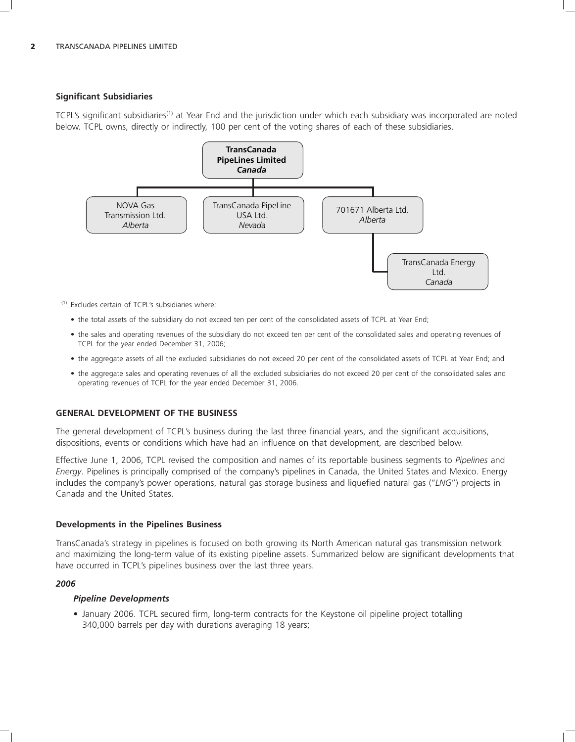# **Significant Subsidiaries**

TCPL's significant subsidiaries<sup>(1)</sup> at Year End and the jurisdiction under which each subsidiary was incorporated are noted below. TCPL owns, directly or indirectly, 100 per cent of the voting shares of each of these subsidiaries.



(1) Excludes certain of TCPL's subsidiaries where:

- the total assets of the subsidiary do not exceed ten per cent of the consolidated assets of TCPL at Year End;
- the sales and operating revenues of the subsidiary do not exceed ten per cent of the consolidated sales and operating revenues of TCPL for the year ended December 31, 2006;
- the aggregate assets of all the excluded subsidiaries do not exceed 20 per cent of the consolidated assets of TCPL at Year End; and
- the aggregate sales and operating revenues of all the excluded subsidiaries do not exceed 20 per cent of the consolidated sales and operating revenues of TCPL for the year ended December 31, 2006.

### **GENERAL DEVELOPMENT OF THE BUSINESS**

The general development of TCPL's business during the last three financial years, and the significant acquisitions, dispositions, events or conditions which have had an influence on that development, are described below.

Effective June 1, 2006, TCPL revised the composition and names of its reportable business segments to *Pipelines* and *Energy*. Pipelines is principally comprised of the company's pipelines in Canada, the United States and Mexico. Energy includes the company's power operations, natural gas storage business and liquefied natural gas (''*LNG*'') projects in Canada and the United States.

### **Developments in the Pipelines Business**

TransCanada's strategy in pipelines is focused on both growing its North American natural gas transmission network and maximizing the long-term value of its existing pipeline assets. Summarized below are significant developments that have occurred in TCPL's pipelines business over the last three years.

### *2006*

### *Pipeline Developments*

• January 2006. TCPL secured firm, long-term contracts for the Keystone oil pipeline project totalling 340,000 barrels per day with durations averaging 18 years;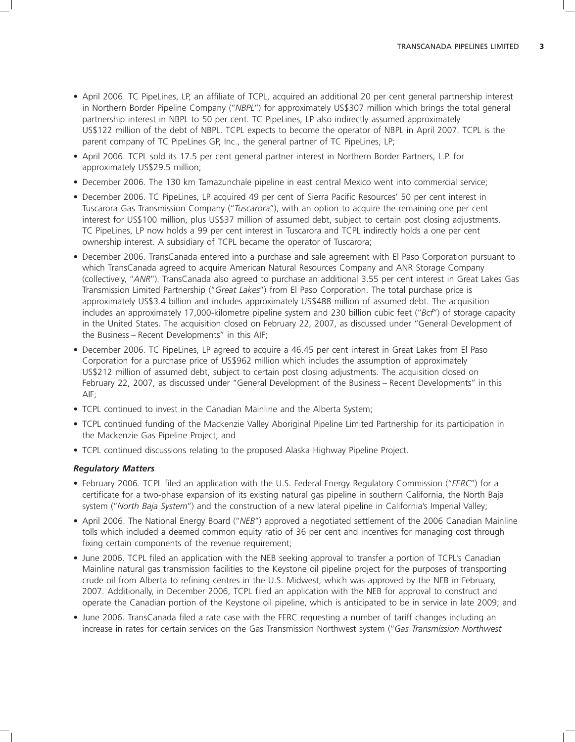- April 2006. TC PipeLines, LP, an affiliate of TCPL, acquired an additional 20 per cent general partnership interest in Northern Border Pipeline Company (''*NBPL*'') for approximately US\$307 million which brings the total general partnership interest in NBPL to 50 per cent. TC PipeLines, LP also indirectly assumed approximately US\$122 million of the debt of NBPL. TCPL expects to become the operator of NBPL in April 2007. TCPL is the parent company of TC PipeLines GP, Inc., the general partner of TC PipeLines, LP;
- April 2006. TCPL sold its 17.5 per cent general partner interest in Northern Border Partners, L.P. for approximately US\$29.5 million;
- December 2006. The 130 km Tamazunchale pipeline in east central Mexico went into commercial service;
- December 2006. TC PipeLines, LP acquired 49 per cent of Sierra Pacific Resources' 50 per cent interest in Tuscarora Gas Transmission Company (''*Tuscarora*''), with an option to acquire the remaining one per cent interest for US\$100 million, plus US\$37 million of assumed debt, subject to certain post closing adjustments. TC PipeLines, LP now holds a 99 per cent interest in Tuscarora and TCPL indirectly holds a one per cent ownership interest. A subsidiary of TCPL became the operator of Tuscarora;
- December 2006. TransCanada entered into a purchase and sale agreement with El Paso Corporation pursuant to which TransCanada agreed to acquire American Natural Resources Company and ANR Storage Company (collectively, ''*ANR*''). TransCanada also agreed to purchase an additional 3.55 per cent interest in Great Lakes Gas Transmission Limited Partnership (''*Great Lakes*'') from El Paso Corporation. The total purchase price is approximately US\$3.4 billion and includes approximately US\$488 million of assumed debt. The acquisition includes an approximately 17,000-kilometre pipeline system and 230 billion cubic feet (''*Bcf*'') of storage capacity in the United States. The acquisition closed on February 22, 2007, as discussed under ''General Development of the Business – Recent Developments'' in this AIF;
- December 2006. TC PipeLines, LP agreed to acquire a 46.45 per cent interest in Great Lakes from El Paso Corporation for a purchase price of US\$962 million which includes the assumption of approximately US\$212 million of assumed debt, subject to certain post closing adjustments. The acquisition closed on February 22, 2007, as discussed under ''General Development of the Business – Recent Developments'' in this AIF;
- TCPL continued to invest in the Canadian Mainline and the Alberta System;
- TCPL continued funding of the Mackenzie Valley Aboriginal Pipeline Limited Partnership for its participation in the Mackenzie Gas Pipeline Project; and
- TCPL continued discussions relating to the proposed Alaska Highway Pipeline Project.

#### *Regulatory Matters*

- February 2006. TCPL filed an application with the U.S. Federal Energy Regulatory Commission (''*FERC*'') for a certificate for a two-phase expansion of its existing natural gas pipeline in southern California, the North Baja system (''*North Baja System*'') and the construction of a new lateral pipeline in California's Imperial Valley;
- April 2006. The National Energy Board (''*NEB*'') approved a negotiated settlement of the 2006 Canadian Mainline tolls which included a deemed common equity ratio of 36 per cent and incentives for managing cost through fixing certain components of the revenue requirement;
- June 2006. TCPL filed an application with the NEB seeking approval to transfer a portion of TCPL's Canadian Mainline natural gas transmission facilities to the Keystone oil pipeline project for the purposes of transporting crude oil from Alberta to refining centres in the U.S. Midwest, which was approved by the NEB in February, 2007. Additionally, in December 2006, TCPL filed an application with the NEB for approval to construct and operate the Canadian portion of the Keystone oil pipeline, which is anticipated to be in service in late 2009; and
- June 2006. TransCanada filed a rate case with the FERC requesting a number of tariff changes including an increase in rates for certain services on the Gas Transmission Northwest system (''*Gas Transmission Northwest*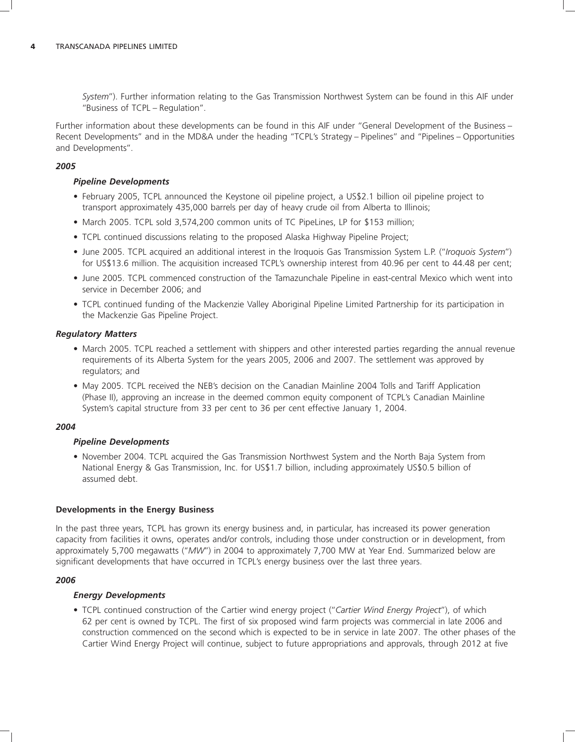*System*''). Further information relating to the Gas Transmission Northwest System can be found in this AIF under ''Business of TCPL – Regulation''.

Further information about these developments can be found in this AIF under ''General Development of the Business – Recent Developments'' and in the MD&A under the heading ''TCPL's Strategy – Pipelines'' and ''Pipelines – Opportunities and Developments''.

### *2005*

### *Pipeline Developments*

- February 2005, TCPL announced the Keystone oil pipeline project, a US\$2.1 billion oil pipeline project to transport approximately 435,000 barrels per day of heavy crude oil from Alberta to Illinois;
- March 2005. TCPL sold 3,574,200 common units of TC PipeLines, LP for \$153 million;
- TCPL continued discussions relating to the proposed Alaska Highway Pipeline Project;
- June 2005. TCPL acquired an additional interest in the Iroquois Gas Transmission System L.P. (''*Iroquois System*'') for US\$13.6 million. The acquisition increased TCPL's ownership interest from 40.96 per cent to 44.48 per cent;
- June 2005. TCPL commenced construction of the Tamazunchale Pipeline in east-central Mexico which went into service in December 2006; and
- TCPL continued funding of the Mackenzie Valley Aboriginal Pipeline Limited Partnership for its participation in the Mackenzie Gas Pipeline Project.

#### *Regulatory Matters*

- March 2005. TCPL reached a settlement with shippers and other interested parties regarding the annual revenue requirements of its Alberta System for the years 2005, 2006 and 2007. The settlement was approved by regulators; and
- May 2005. TCPL received the NEB's decision on the Canadian Mainline 2004 Tolls and Tariff Application (Phase II), approving an increase in the deemed common equity component of TCPL's Canadian Mainline System's capital structure from 33 per cent to 36 per cent effective January 1, 2004.

#### *2004*

### *Pipeline Developments*

• November 2004. TCPL acquired the Gas Transmission Northwest System and the North Baja System from National Energy & Gas Transmission, Inc. for US\$1.7 billion, including approximately US\$0.5 billion of assumed debt.

#### **Developments in the Energy Business**

In the past three years, TCPL has grown its energy business and, in particular, has increased its power generation capacity from facilities it owns, operates and/or controls, including those under construction or in development, from approximately 5,700 megawatts (''*MW*'') in 2004 to approximately 7,700 MW at Year End. Summarized below are significant developments that have occurred in TCPL's energy business over the last three years.

#### *2006*

### *Energy Developments*

• TCPL continued construction of the Cartier wind energy project (''*Cartier Wind Energy Project*''), of which 62 per cent is owned by TCPL. The first of six proposed wind farm projects was commercial in late 2006 and construction commenced on the second which is expected to be in service in late 2007. The other phases of the Cartier Wind Energy Project will continue, subject to future appropriations and approvals, through 2012 at five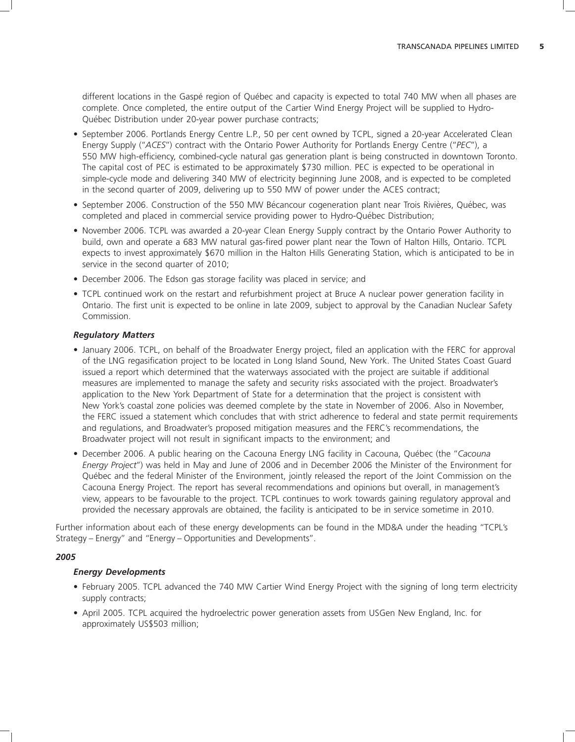different locations in the Gaspé region of Québec and capacity is expected to total 740 MW when all phases are complete. Once completed, the entire output of the Cartier Wind Energy Project will be supplied to Hydro-Québec Distribution under 20-year power purchase contracts;

- September 2006. Portlands Energy Centre L.P., 50 per cent owned by TCPL, signed a 20-year Accelerated Clean Energy Supply (''*ACES*'') contract with the Ontario Power Authority for Portlands Energy Centre (''*PEC*''), a 550 MW high-efficiency, combined-cycle natural gas generation plant is being constructed in downtown Toronto. The capital cost of PEC is estimated to be approximately \$730 million. PEC is expected to be operational in simple-cycle mode and delivering 340 MW of electricity beginning June 2008, and is expected to be completed in the second quarter of 2009, delivering up to 550 MW of power under the ACES contract;
- September 2006. Construction of the 550 MW Bécancour cogeneration plant near Trois Rivières, Québec, was completed and placed in commercial service providing power to Hydro-Québec Distribution;
- November 2006. TCPL was awarded a 20-year Clean Energy Supply contract by the Ontario Power Authority to build, own and operate a 683 MW natural gas-fired power plant near the Town of Halton Hills, Ontario. TCPL expects to invest approximately \$670 million in the Halton Hills Generating Station, which is anticipated to be in service in the second quarter of 2010;
- December 2006. The Edson gas storage facility was placed in service: and
- TCPL continued work on the restart and refurbishment project at Bruce A nuclear power generation facility in Ontario. The first unit is expected to be online in late 2009, subject to approval by the Canadian Nuclear Safety Commission.

### *Regulatory Matters*

- January 2006. TCPL, on behalf of the Broadwater Energy project, filed an application with the FERC for approval of the LNG regasification project to be located in Long Island Sound, New York. The United States Coast Guard issued a report which determined that the waterways associated with the project are suitable if additional measures are implemented to manage the safety and security risks associated with the project. Broadwater's application to the New York Department of State for a determination that the project is consistent with New York's coastal zone policies was deemed complete by the state in November of 2006. Also in November, the FERC issued a statement which concludes that with strict adherence to federal and state permit requirements and regulations, and Broadwater's proposed mitigation measures and the FERC's recommendations, the Broadwater project will not result in significant impacts to the environment; and
- December 2006. A public hearing on the Cacouna Energy LNG facility in Cacouna, Québec (the "Cacouna *Energy Project*'') was held in May and June of 2006 and in December 2006 the Minister of the Environment for Quebec and the federal Minister of the Environment, jointly released the report of the Joint Commission on the ´ Cacouna Energy Project. The report has several recommendations and opinions but overall, in management's view, appears to be favourable to the project. TCPL continues to work towards gaining regulatory approval and provided the necessary approvals are obtained, the facility is anticipated to be in service sometime in 2010.

Further information about each of these energy developments can be found in the MD&A under the heading ''TCPL's Strategy – Energy'' and ''Energy – Opportunities and Developments''.

### *2005*

#### *Energy Developments*

- February 2005. TCPL advanced the 740 MW Cartier Wind Energy Project with the signing of long term electricity supply contracts;
- April 2005. TCPL acquired the hydroelectric power generation assets from USGen New England, Inc. for approximately US\$503 million;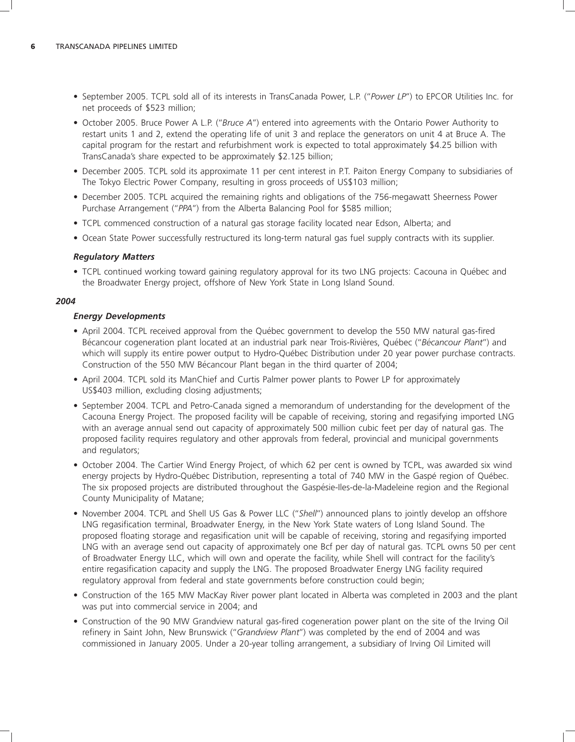- September 2005. TCPL sold all of its interests in TransCanada Power, L.P. (''*Power LP*'') to EPCOR Utilities Inc. for net proceeds of \$523 million;
- October 2005. Bruce Power A L.P. (''*Bruce A*'') entered into agreements with the Ontario Power Authority to restart units 1 and 2, extend the operating life of unit 3 and replace the generators on unit 4 at Bruce A. The capital program for the restart and refurbishment work is expected to total approximately \$4.25 billion with TransCanada's share expected to be approximately \$2.125 billion;
- December 2005. TCPL sold its approximate 11 per cent interest in P.T. Paiton Energy Company to subsidiaries of The Tokyo Electric Power Company, resulting in gross proceeds of US\$103 million;
- December 2005. TCPL acquired the remaining rights and obligations of the 756-megawatt Sheerness Power Purchase Arrangement (''*PPA*'') from the Alberta Balancing Pool for \$585 million;
- TCPL commenced construction of a natural gas storage facility located near Edson, Alberta; and
- Ocean State Power successfully restructured its long-term natural gas fuel supply contracts with its supplier.

#### *Regulatory Matters*

• TCPL continued working toward gaining regulatory approval for its two LNG projects: Cacouna in Québec and the Broadwater Energy project, offshore of New York State in Long Island Sound.

#### *2004*

#### *Energy Developments*

- April 2004. TCPL received approval from the Québec government to develop the 550 MW natural gas-fired Bécancour cogeneration plant located at an industrial park near Trois-Rivières, Québec ("Bécancour Plant") and which will supply its entire power output to Hydro-Québec Distribution under 20 year power purchase contracts. Construction of the 550 MW Bécancour Plant began in the third quarter of 2004;
- April 2004. TCPL sold its ManChief and Curtis Palmer power plants to Power LP for approximately US\$403 million, excluding closing adjustments;
- September 2004. TCPL and Petro-Canada signed a memorandum of understanding for the development of the Cacouna Energy Project. The proposed facility will be capable of receiving, storing and regasifying imported LNG with an average annual send out capacity of approximately 500 million cubic feet per day of natural gas. The proposed facility requires regulatory and other approvals from federal, provincial and municipal governments and regulators;
- October 2004. The Cartier Wind Energy Project, of which 62 per cent is owned by TCPL, was awarded six wind energy projects by Hydro-Québec Distribution, representing a total of 740 MW in the Gaspé region of Québec. The six proposed projects are distributed throughout the Gaspesie-Iles-de-la-Madeleine region and the Regional ´ County Municipality of Matane;
- November 2004. TCPL and Shell US Gas & Power LLC (''*Shell*'') announced plans to jointly develop an offshore LNG regasification terminal, Broadwater Energy, in the New York State waters of Long Island Sound. The proposed floating storage and regasification unit will be capable of receiving, storing and regasifying imported LNG with an average send out capacity of approximately one Bcf per day of natural gas. TCPL owns 50 per cent of Broadwater Energy LLC, which will own and operate the facility, while Shell will contract for the facility's entire regasification capacity and supply the LNG. The proposed Broadwater Energy LNG facility required regulatory approval from federal and state governments before construction could begin;
- Construction of the 165 MW MacKay River power plant located in Alberta was completed in 2003 and the plant was put into commercial service in 2004; and
- Construction of the 90 MW Grandview natural gas-fired cogeneration power plant on the site of the Irving Oil refinery in Saint John, New Brunswick (''*Grandview Plant*'') was completed by the end of 2004 and was commissioned in January 2005. Under a 20-year tolling arrangement, a subsidiary of Irving Oil Limited will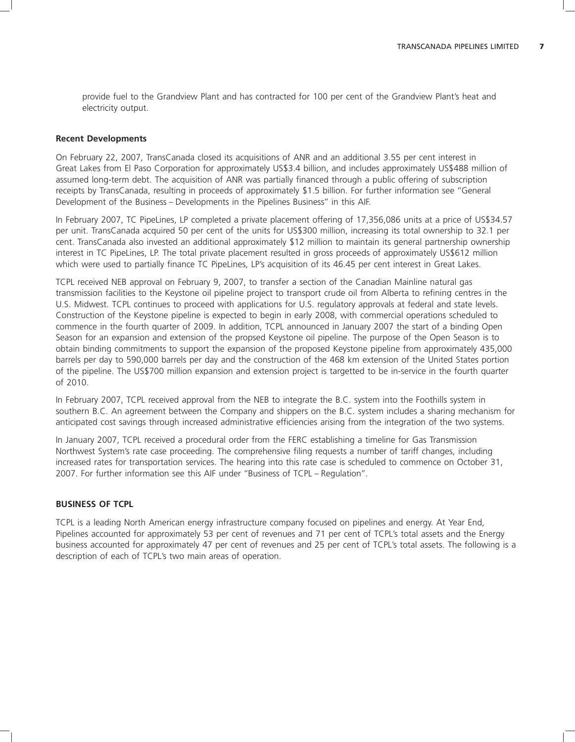provide fuel to the Grandview Plant and has contracted for 100 per cent of the Grandview Plant's heat and electricity output.

#### **Recent Developments**

On February 22, 2007, TransCanada closed its acquisitions of ANR and an additional 3.55 per cent interest in Great Lakes from El Paso Corporation for approximately US\$3.4 billion, and includes approximately US\$488 million of assumed long-term debt. The acquisition of ANR was partially financed through a public offering of subscription receipts by TransCanada, resulting in proceeds of approximately \$1.5 billion. For further information see ''General Development of the Business – Developments in the Pipelines Business'' in this AIF.

In February 2007, TC PipeLines, LP completed a private placement offering of 17,356,086 units at a price of US\$34.57 per unit. TransCanada acquired 50 per cent of the units for US\$300 million, increasing its total ownership to 32.1 per cent. TransCanada also invested an additional approximately \$12 million to maintain its general partnership ownership interest in TC PipeLines, LP. The total private placement resulted in gross proceeds of approximately US\$612 million which were used to partially finance TC PipeLines, LP's acquisition of its 46.45 per cent interest in Great Lakes.

TCPL received NEB approval on February 9, 2007, to transfer a section of the Canadian Mainline natural gas transmission facilities to the Keystone oil pipeline project to transport crude oil from Alberta to refining centres in the U.S. Midwest. TCPL continues to proceed with applications for U.S. regulatory approvals at federal and state levels. Construction of the Keystone pipeline is expected to begin in early 2008, with commercial operations scheduled to commence in the fourth quarter of 2009. In addition, TCPL announced in January 2007 the start of a binding Open Season for an expansion and extension of the propsed Keystone oil pipeline. The purpose of the Open Season is to obtain binding commitments to support the expansion of the proposed Keystone pipeline from approximately 435,000 barrels per day to 590,000 barrels per day and the construction of the 468 km extension of the United States portion of the pipeline. The US\$700 million expansion and extension project is targetted to be in-service in the fourth quarter of 2010.

In February 2007, TCPL received approval from the NEB to integrate the B.C. system into the Foothills system in southern B.C. An agreement between the Company and shippers on the B.C. system includes a sharing mechanism for anticipated cost savings through increased administrative efficiencies arising from the integration of the two systems.

In January 2007, TCPL received a procedural order from the FERC establishing a timeline for Gas Transmission Northwest System's rate case proceeding. The comprehensive filing requests a number of tariff changes, including increased rates for transportation services. The hearing into this rate case is scheduled to commence on October 31, 2007. For further information see this AIF under ''Business of TCPL – Regulation''.

#### **BUSINESS OF TCPL**

TCPL is a leading North American energy infrastructure company focused on pipelines and energy. At Year End, Pipelines accounted for approximately 53 per cent of revenues and 71 per cent of TCPL's total assets and the Energy business accounted for approximately 47 per cent of revenues and 25 per cent of TCPL's total assets. The following is a description of each of TCPL's two main areas of operation.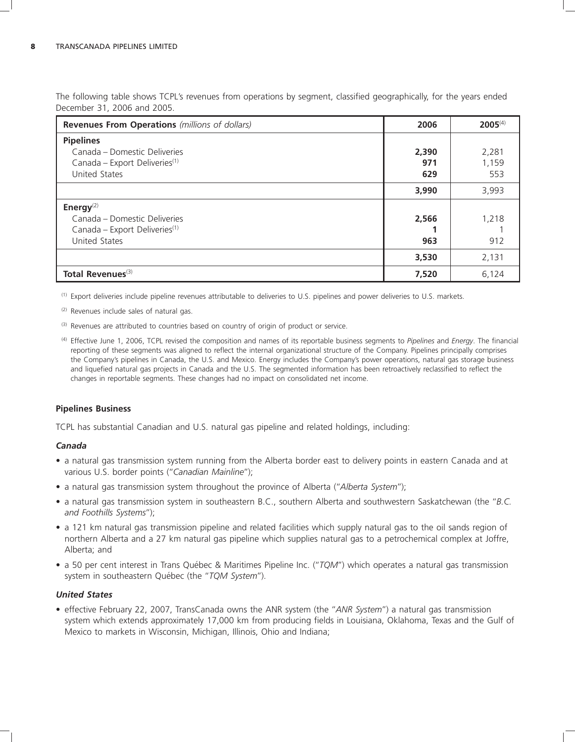The following table shows TCPL's revenues from operations by segment, classified geographically, for the years ended December 31, 2006 and 2005.

| <b>Revenues From Operations</b> (millions of dollars) | 2006  | $2005^{(4)}$ |
|-------------------------------------------------------|-------|--------------|
| <b>Pipelines</b>                                      |       |              |
| Canada – Domestic Deliveries                          | 2,390 | 2,281        |
| Canada - Export Deliveries <sup>(1)</sup>             | 971   | 1,159        |
| United States                                         | 629   | 553          |
|                                                       | 3,990 | 3,993        |
| Energy $(2)$                                          |       |              |
| Canada – Domestic Deliveries                          | 2,566 | 1,218        |
| Canada - Export Deliveries <sup>(1)</sup>             |       |              |
| <b>United States</b>                                  | 963   | 912          |
|                                                       | 3,530 | 2,131        |
| Total Revenues <sup>(3)</sup>                         | 7,520 | 6,124        |

(1) Export deliveries include pipeline revenues attributable to deliveries to U.S. pipelines and power deliveries to U.S. markets.

(2) Revenues include sales of natural gas.

- (3) Revenues are attributed to countries based on country of origin of product or service.
- (4) Effective June 1, 2006, TCPL revised the composition and names of its reportable business segments to *Pipelines* and *Energy*. The financial reporting of these segments was aligned to reflect the internal organizational structure of the Company. Pipelines principally comprises the Company's pipelines in Canada, the U.S. and Mexico. Energy includes the Company's power operations, natural gas storage business and liquefied natural gas projects in Canada and the U.S. The segmented information has been retroactively reclassified to reflect the changes in reportable segments. These changes had no impact on consolidated net income.

# **Pipelines Business**

TCPL has substantial Canadian and U.S. natural gas pipeline and related holdings, including:

### *Canada*

- a natural gas transmission system running from the Alberta border east to delivery points in eastern Canada and at various U.S. border points (''*Canadian Mainline*'');
- a natural gas transmission system throughout the province of Alberta (''*Alberta System*'');
- a natural gas transmission system in southeastern B.C., southern Alberta and southwestern Saskatchewan (the ''*B.C. and Foothills Systems*'');
- a 121 km natural gas transmission pipeline and related facilities which supply natural gas to the oil sands region of northern Alberta and a 27 km natural gas pipeline which supplies natural gas to a petrochemical complex at Joffre, Alberta; and
- a 50 per cent interest in Trans Québec & Maritimes Pipeline Inc. ("TOM") which operates a natural gas transmission system in southeastern Québec (the "TQM System").

## *United States*

• effective February 22, 2007, TransCanada owns the ANR system (the ''*ANR System*'') a natural gas transmission system which extends approximately 17,000 km from producing fields in Louisiana, Oklahoma, Texas and the Gulf of Mexico to markets in Wisconsin, Michigan, Illinois, Ohio and Indiana;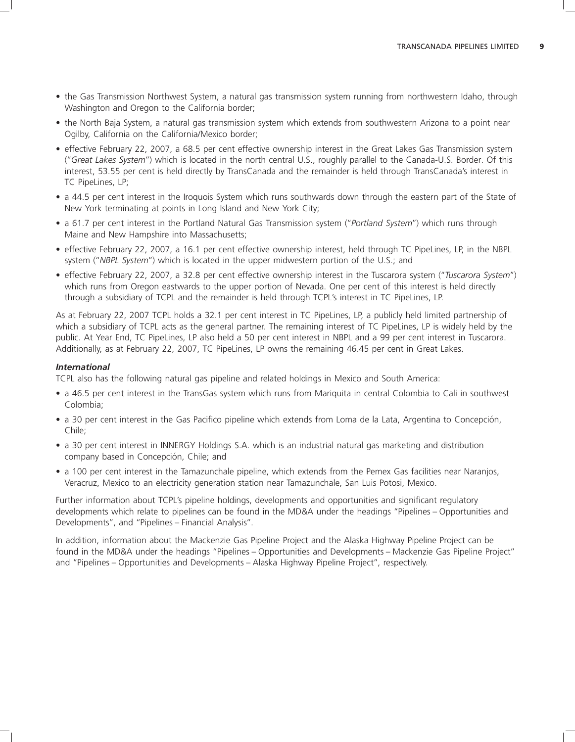- the Gas Transmission Northwest System, a natural gas transmission system running from northwestern Idaho, through Washington and Oregon to the California border;
- the North Baja System, a natural gas transmission system which extends from southwestern Arizona to a point near Ogilby, California on the California/Mexico border;
- effective February 22, 2007, a 68.5 per cent effective ownership interest in the Great Lakes Gas Transmission system (''*Great Lakes System*'') which is located in the north central U.S., roughly parallel to the Canada-U.S. Border. Of this interest, 53.55 per cent is held directly by TransCanada and the remainder is held through TransCanada's interest in TC PipeLines, LP;
- a 44.5 per cent interest in the Iroquois System which runs southwards down through the eastern part of the State of New York terminating at points in Long Island and New York City;
- a 61.7 per cent interest in the Portland Natural Gas Transmission system (''*Portland System*'') which runs through Maine and New Hampshire into Massachusetts;
- effective February 22, 2007, a 16.1 per cent effective ownership interest, held through TC PipeLines, LP, in the NBPL system (''*NBPL System*'') which is located in the upper midwestern portion of the U.S.; and
- effective February 22, 2007, a 32.8 per cent effective ownership interest in the Tuscarora system (''*Tuscarora System*'') which runs from Oregon eastwards to the upper portion of Nevada. One per cent of this interest is held directly through a subsidiary of TCPL and the remainder is held through TCPL's interest in TC PipeLines, LP.

As at February 22, 2007 TCPL holds a 32.1 per cent interest in TC PipeLines, LP, a publicly held limited partnership of which a subsidiary of TCPL acts as the general partner. The remaining interest of TC PipeLines, LP is widely held by the public. At Year End, TC PipeLines, LP also held a 50 per cent interest in NBPL and a 99 per cent interest in Tuscarora. Additionally, as at February 22, 2007, TC PipeLines, LP owns the remaining 46.45 per cent in Great Lakes.

#### *International*

TCPL also has the following natural gas pipeline and related holdings in Mexico and South America:

- a 46.5 per cent interest in the TransGas system which runs from Mariquita in central Colombia to Cali in southwest Colombia;
- a 30 per cent interest in the Gas Pacifico pipeline which extends from Loma de la Lata, Argentina to Concepcion, ´ Chile;
- a 30 per cent interest in INNERGY Holdings S.A. which is an industrial natural gas marketing and distribution company based in Concepción, Chile; and
- a 100 per cent interest in the Tamazunchale pipeline, which extends from the Pemex Gas facilities near Naranjos, Veracruz, Mexico to an electricity generation station near Tamazunchale, San Luis Potosi, Mexico.

Further information about TCPL's pipeline holdings, developments and opportunities and significant regulatory developments which relate to pipelines can be found in the MD&A under the headings ''Pipelines – Opportunities and Developments'', and ''Pipelines – Financial Analysis''.

In addition, information about the Mackenzie Gas Pipeline Project and the Alaska Highway Pipeline Project can be found in the MD&A under the headings ''Pipelines – Opportunities and Developments – Mackenzie Gas Pipeline Project'' and ''Pipelines – Opportunities and Developments – Alaska Highway Pipeline Project'', respectively.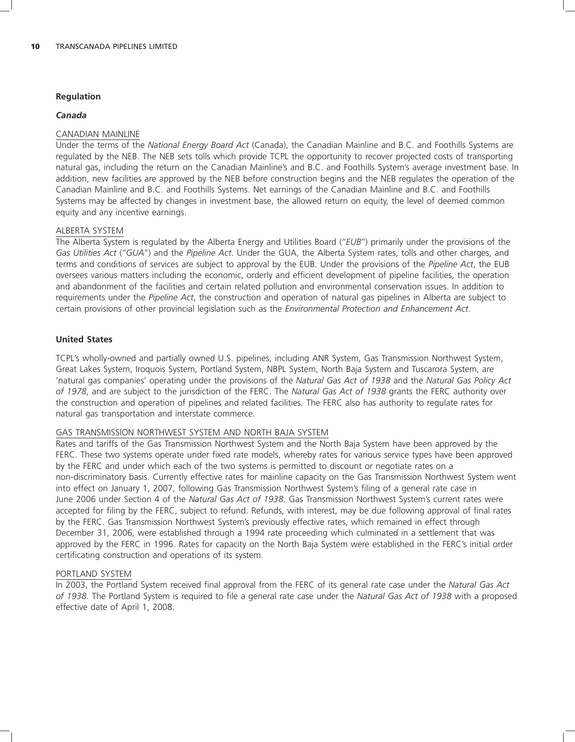#### **Regulation**

#### *Canada*

### CANADIAN MAINLINE

Under the terms of the *National Energy Board Act* (Canada), the Canadian Mainline and B.C. and Foothills Systems are regulated by the NEB. The NEB sets tolls which provide TCPL the opportunity to recover projected costs of transporting natural gas, including the return on the Canadian Mainline's and B.C. and Foothills System's average investment base. In addition, new facilities are approved by the NEB before construction begins and the NEB regulates the operation of the Canadian Mainline and B.C. and Foothills Systems. Net earnings of the Canadian Mainline and B.C. and Foothills Systems may be affected by changes in investment base, the allowed return on equity, the level of deemed common equity and any incentive earnings.

#### ALBERTA SYSTEM

The Alberta System is regulated by the Alberta Energy and Utilities Board (''*EUB*'') primarily under the provisions of the *Gas Utilities Act* (''*GUA*'') and the *Pipeline Act*. Under the GUA, the Alberta System rates, tolls and other charges, and terms and conditions of services are subject to approval by the EUB. Under the provisions of the *Pipeline Act*, the EUB oversees various matters including the economic, orderly and efficient development of pipeline facilities, the operation and abandonment of the facilities and certain related pollution and environmental conservation issues. In addition to requirements under the *Pipeline Act*, the construction and operation of natural gas pipelines in Alberta are subject to certain provisions of other provincial legislation such as the *Environmental Protection and Enhancement Act*.

#### **United States**

TCPL's wholly-owned and partially owned U.S. pipelines, including ANR System, Gas Transmission Northwest System, Great Lakes System, Iroquois System, Portland System, NBPL System, North Baja System and Tuscarora System, are 'natural gas companies' operating under the provisions of the *Natural Gas Act of 1938* and the *Natural Gas Policy Act of 1978*, and are subject to the jurisdiction of the FERC. The *Natural Gas Act of 1938* grants the FERC authority over the construction and operation of pipelines and related facilities. The FERC also has authority to regulate rates for natural gas transportation and interstate commerce.

### GAS TRANSMISSION NORTHWEST SYSTEM AND NORTH BAJA SYSTEM

Rates and tariffs of the Gas Transmission Northwest System and the North Baja System have been approved by the FERC. These two systems operate under fixed rate models, whereby rates for various service types have been approved by the FERC and under which each of the two systems is permitted to discount or negotiate rates on a non-discriminatory basis. Currently effective rates for mainline capacity on the Gas Transmission Northwest System went into effect on January 1, 2007, following Gas Transmission Northwest System's filing of a general rate case in June 2006 under Section 4 of the *Natural Gas Act of 1938*. Gas Transmission Northwest System's current rates were accepted for filing by the FERC, subject to refund. Refunds, with interest, may be due following approval of final rates by the FERC. Gas Transmission Northwest System's previously effective rates, which remained in effect through December 31, 2006, were established through a 1994 rate proceeding which culminated in a settlement that was approved by the FERC in 1996. Rates for capacity on the North Baja System were established in the FERC's initial order certificating construction and operations of its system.

#### PORTLAND SYSTEM

In 2003, the Portland System received final approval from the FERC of its general rate case under the *Natural Gas Act of 1938*. The Portland System is required to file a general rate case under the *Natural Gas Act of 1938* with a proposed effective date of April 1, 2008.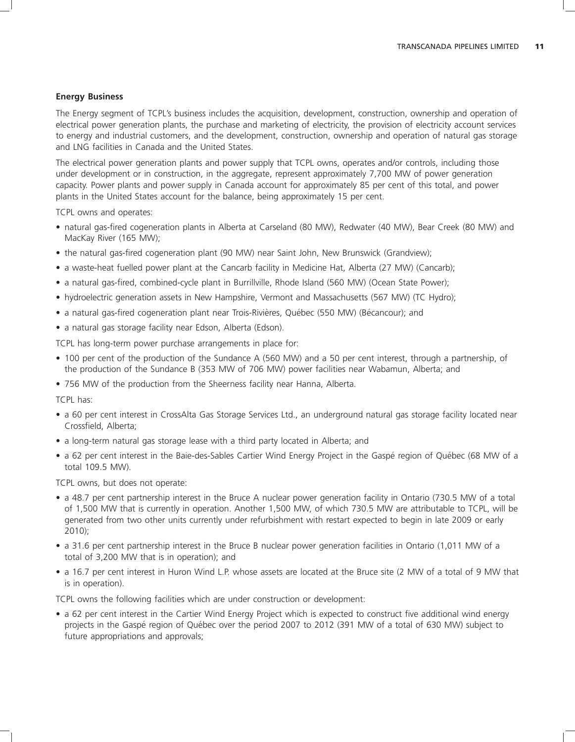#### **Energy Business**

The Energy segment of TCPL's business includes the acquisition, development, construction, ownership and operation of electrical power generation plants, the purchase and marketing of electricity, the provision of electricity account services to energy and industrial customers, and the development, construction, ownership and operation of natural gas storage and LNG facilities in Canada and the United States.

The electrical power generation plants and power supply that TCPL owns, operates and/or controls, including those under development or in construction, in the aggregate, represent approximately 7,700 MW of power generation capacity. Power plants and power supply in Canada account for approximately 85 per cent of this total, and power plants in the United States account for the balance, being approximately 15 per cent.

TCPL owns and operates:

- natural gas-fired cogeneration plants in Alberta at Carseland (80 MW), Redwater (40 MW), Bear Creek (80 MW) and MacKay River (165 MW);
- the natural gas-fired cogeneration plant (90 MW) near Saint John, New Brunswick (Grandview);
- a waste-heat fuelled power plant at the Cancarb facility in Medicine Hat, Alberta (27 MW) (Cancarb);
- a natural gas-fired, combined-cycle plant in Burrillville, Rhode Island (560 MW) (Ocean State Power);
- hydroelectric generation assets in New Hampshire, Vermont and Massachusetts (567 MW) (TC Hydro);
- a natural gas-fired cogeneration plant near Trois-Rivières, Québec (550 MW) (Bécancour); and
- a natural gas storage facility near Edson, Alberta (Edson).

TCPL has long-term power purchase arrangements in place for:

- 100 per cent of the production of the Sundance A (560 MW) and a 50 per cent interest, through a partnership, of the production of the Sundance B (353 MW of 706 MW) power facilities near Wabamun, Alberta; and
- 756 MW of the production from the Sheerness facility near Hanna, Alberta.

TCPL has:

- a 60 per cent interest in CrossAlta Gas Storage Services Ltd., an underground natural gas storage facility located near Crossfield, Alberta;
- a long-term natural gas storage lease with a third party located in Alberta; and
- a 62 per cent interest in the Baie-des-Sables Cartier Wind Energy Project in the Gaspé region of Québec (68 MW of a total 109.5 MW).

TCPL owns, but does not operate:

- a 48.7 per cent partnership interest in the Bruce A nuclear power generation facility in Ontario (730.5 MW of a total of 1,500 MW that is currently in operation. Another 1,500 MW, of which 730.5 MW are attributable to TCPL, will be generated from two other units currently under refurbishment with restart expected to begin in late 2009 or early 2010);
- a 31.6 per cent partnership interest in the Bruce B nuclear power generation facilities in Ontario (1,011 MW of a total of 3,200 MW that is in operation); and
- a 16.7 per cent interest in Huron Wind L.P. whose assets are located at the Bruce site (2 MW of a total of 9 MW that is in operation).

TCPL owns the following facilities which are under construction or development:

• a 62 per cent interest in the Cartier Wind Energy Project which is expected to construct five additional wind energy projects in the Gaspé region of Québec over the period 2007 to 2012 (391 MW of a total of 630 MW) subject to future appropriations and approvals;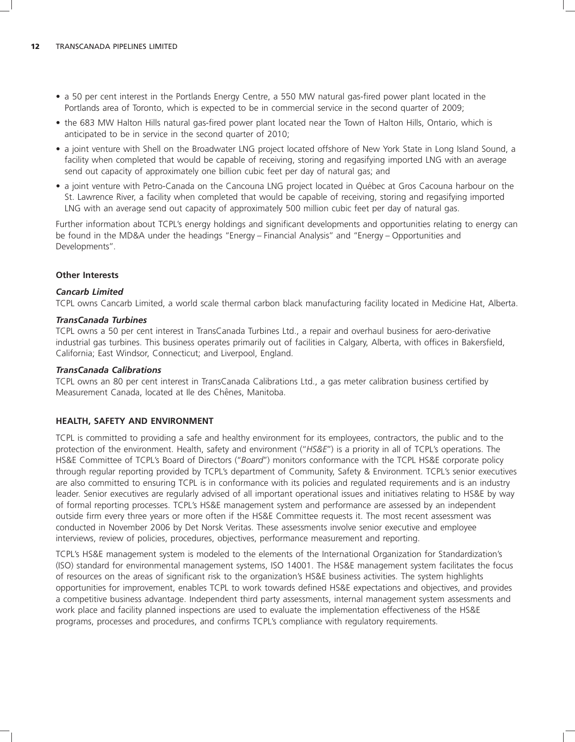- a 50 per cent interest in the Portlands Energy Centre, a 550 MW natural gas-fired power plant located in the Portlands area of Toronto, which is expected to be in commercial service in the second quarter of 2009;
- the 683 MW Halton Hills natural gas-fired power plant located near the Town of Halton Hills, Ontario, which is anticipated to be in service in the second quarter of 2010;
- a joint venture with Shell on the Broadwater LNG project located offshore of New York State in Long Island Sound, a facility when completed that would be capable of receiving, storing and regasifying imported LNG with an average send out capacity of approximately one billion cubic feet per day of natural gas; and
- a joint venture with Petro-Canada on the Cancouna LNG project located in Québec at Gros Cacouna harbour on the St. Lawrence River, a facility when completed that would be capable of receiving, storing and regasifying imported LNG with an average send out capacity of approximately 500 million cubic feet per day of natural gas.

Further information about TCPL's energy holdings and significant developments and opportunities relating to energy can be found in the MD&A under the headings ''Energy – Financial Analysis'' and ''Energy – Opportunities and Developments''.

# **Other Interests**

### *Cancarb Limited*

TCPL owns Cancarb Limited, a world scale thermal carbon black manufacturing facility located in Medicine Hat, Alberta.

#### *TransCanada Turbines*

TCPL owns a 50 per cent interest in TransCanada Turbines Ltd., a repair and overhaul business for aero-derivative industrial gas turbines. This business operates primarily out of facilities in Calgary, Alberta, with offices in Bakersfield, California; East Windsor, Connecticut; and Liverpool, England.

#### *TransCanada Calibrations*

TCPL owns an 80 per cent interest in TransCanada Calibrations Ltd., a gas meter calibration business certified by Measurement Canada, located at Ile des Chênes, Manitoba.

### **HEALTH, SAFETY AND ENVIRONMENT**

TCPL is committed to providing a safe and healthy environment for its employees, contractors, the public and to the protection of the environment. Health, safety and environment (''*HS&E*'') is a priority in all of TCPL's operations. The HS&E Committee of TCPL's Board of Directors (''*Board*'') monitors conformance with the TCPL HS&E corporate policy through regular reporting provided by TCPL's department of Community, Safety & Environment. TCPL's senior executives are also committed to ensuring TCPL is in conformance with its policies and regulated requirements and is an industry leader. Senior executives are regularly advised of all important operational issues and initiatives relating to HS&E by way of formal reporting processes. TCPL's HS&E management system and performance are assessed by an independent outside firm every three years or more often if the HS&E Committee requests it. The most recent assessment was conducted in November 2006 by Det Norsk Veritas. These assessments involve senior executive and employee interviews, review of policies, procedures, objectives, performance measurement and reporting.

TCPL's HS&E management system is modeled to the elements of the International Organization for Standardization's (ISO) standard for environmental management systems, ISO 14001. The HS&E management system facilitates the focus of resources on the areas of significant risk to the organization's HS&E business activities. The system highlights opportunities for improvement, enables TCPL to work towards defined HS&E expectations and objectives, and provides a competitive business advantage. Independent third party assessments, internal management system assessments and work place and facility planned inspections are used to evaluate the implementation effectiveness of the HS&E programs, processes and procedures, and confirms TCPL's compliance with regulatory requirements.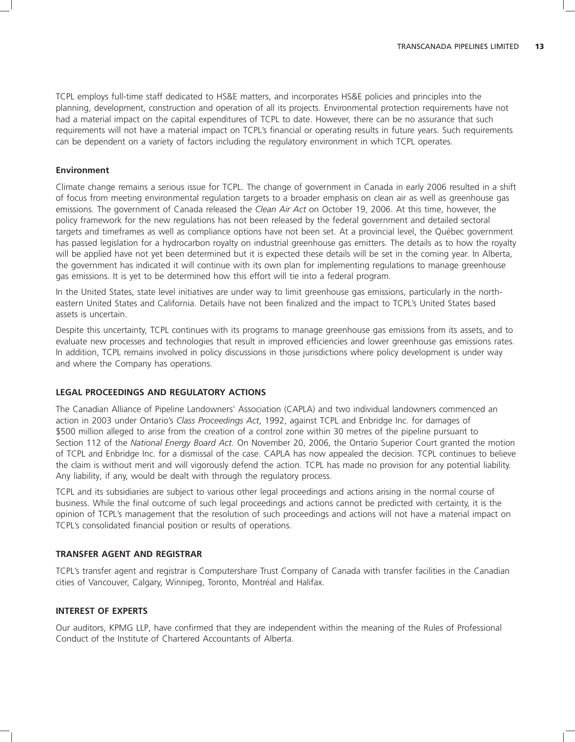TCPL employs full-time staff dedicated to HS&E matters, and incorporates HS&E policies and principles into the planning, development, construction and operation of all its projects. Environmental protection requirements have not had a material impact on the capital expenditures of TCPL to date. However, there can be no assurance that such requirements will not have a material impact on TCPL's financial or operating results in future years. Such requirements can be dependent on a variety of factors including the regulatory environment in which TCPL operates.

#### **Environment**

Climate change remains a serious issue for TCPL. The change of government in Canada in early 2006 resulted in a shift of focus from meeting environmental regulation targets to a broader emphasis on clean air as well as greenhouse gas emissions. The government of Canada released the *Clean Air Act* on October 19, 2006. At this time, however, the policy framework for the new regulations has not been released by the federal government and detailed sectoral targets and timeframes as well as compliance options have not been set. At a provincial level, the Québec government has passed legislation for a hydrocarbon royalty on industrial greenhouse gas emitters. The details as to how the royalty will be applied have not vet been determined but it is expected these details will be set in the coming year. In Alberta, the government has indicated it will continue with its own plan for implementing regulations to manage greenhouse gas emissions. It is yet to be determined how this effort will tie into a federal program.

In the United States, state level initiatives are under way to limit greenhouse gas emissions, particularly in the northeastern United States and California. Details have not been finalized and the impact to TCPL's United States based assets is uncertain.

Despite this uncertainty, TCPL continues with its programs to manage greenhouse gas emissions from its assets, and to evaluate new processes and technologies that result in improved efficiencies and lower greenhouse gas emissions rates. In addition, TCPL remains involved in policy discussions in those jurisdictions where policy development is under way and where the Company has operations.

#### **LEGAL PROCEEDINGS AND REGULATORY ACTIONS**

The Canadian Alliance of Pipeline Landowners' Association (CAPLA) and two individual landowners commenced an action in 2003 under Ontario's *Class Proceedings Act*, 1992, against TCPL and Enbridge Inc. for damages of \$500 million alleged to arise from the creation of a control zone within 30 metres of the pipeline pursuant to Section 112 of the *National Energy Board Act.* On November 20, 2006, the Ontario Superior Court granted the motion of TCPL and Enbridge Inc. for a dismissal of the case. CAPLA has now appealed the decision. TCPL continues to believe the claim is without merit and will vigorously defend the action. TCPL has made no provision for any potential liability. Any liability, if any, would be dealt with through the regulatory process.

TCPL and its subsidiaries are subject to various other legal proceedings and actions arising in the normal course of business. While the final outcome of such legal proceedings and actions cannot be predicted with certainty, it is the opinion of TCPL's management that the resolution of such proceedings and actions will not have a material impact on TCPL's consolidated financial position or results of operations.

### **TRANSFER AGENT AND REGISTRAR**

TCPL's transfer agent and registrar is Computershare Trust Company of Canada with transfer facilities in the Canadian cities of Vancouver, Calgary, Winnipeg, Toronto, Montréal and Halifax.

#### **INTEREST OF EXPERTS**

Our auditors, KPMG LLP, have confirmed that they are independent within the meaning of the Rules of Professional Conduct of the Institute of Chartered Accountants of Alberta.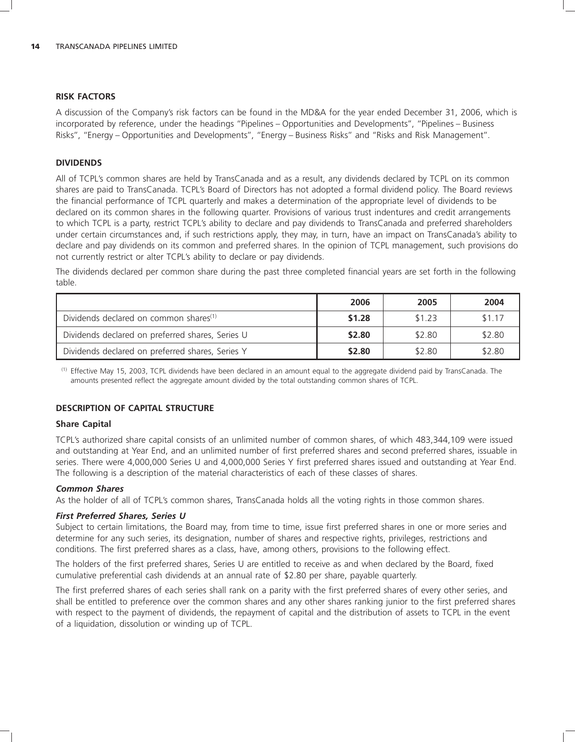#### **RISK FACTORS**

A discussion of the Company's risk factors can be found in the MD&A for the year ended December 31, 2006, which is incorporated by reference, under the headings ''Pipelines – Opportunities and Developments'', ''Pipelines – Business Risks'', ''Energy – Opportunities and Developments'', ''Energy – Business Risks'' and ''Risks and Risk Management''.

### **DIVIDENDS**

All of TCPL's common shares are held by TransCanada and as a result, any dividends declared by TCPL on its common shares are paid to TransCanada. TCPL's Board of Directors has not adopted a formal dividend policy. The Board reviews the financial performance of TCPL quarterly and makes a determination of the appropriate level of dividends to be declared on its common shares in the following quarter. Provisions of various trust indentures and credit arrangements to which TCPL is a party, restrict TCPL's ability to declare and pay dividends to TransCanada and preferred shareholders under certain circumstances and, if such restrictions apply, they may, in turn, have an impact on TransCanada's ability to declare and pay dividends on its common and preferred shares. In the opinion of TCPL management, such provisions do not currently restrict or alter TCPL's ability to declare or pay dividends.

The dividends declared per common share during the past three completed financial years are set forth in the following table.

|                                                    | 2006   | 2005   | 2004   |
|----------------------------------------------------|--------|--------|--------|
| Dividends declared on common shares <sup>(1)</sup> | \$1.28 | \$1.23 | \$1.17 |
| Dividends declared on preferred shares, Series U   | \$2.80 | \$2.80 | \$2.80 |
| Dividends declared on preferred shares, Series Y   | \$2.80 | \$2.80 | \$2.80 |

 $<sup>(1)</sup>$  Effective May 15, 2003, TCPL dividends have been declared in an amount equal to the aggregate dividend paid by TransCanada. The</sup> amounts presented reflect the aggregate amount divided by the total outstanding common shares of TCPL.

### **DESCRIPTION OF CAPITAL STRUCTURE**

### **Share Capital**

TCPL's authorized share capital consists of an unlimited number of common shares, of which 483,344,109 were issued and outstanding at Year End, and an unlimited number of first preferred shares and second preferred shares, issuable in series. There were 4,000,000 Series U and 4,000,000 Series Y first preferred shares issued and outstanding at Year End. The following is a description of the material characteristics of each of these classes of shares.

### *Common Shares*

As the holder of all of TCPL's common shares, TransCanada holds all the voting rights in those common shares.

### *First Preferred Shares, Series U*

Subject to certain limitations, the Board may, from time to time, issue first preferred shares in one or more series and determine for any such series, its designation, number of shares and respective rights, privileges, restrictions and conditions. The first preferred shares as a class, have, among others, provisions to the following effect.

The holders of the first preferred shares, Series U are entitled to receive as and when declared by the Board, fixed cumulative preferential cash dividends at an annual rate of \$2.80 per share, payable quarterly.

The first preferred shares of each series shall rank on a parity with the first preferred shares of every other series, and shall be entitled to preference over the common shares and any other shares ranking junior to the first preferred shares with respect to the payment of dividends, the repayment of capital and the distribution of assets to TCPL in the event of a liquidation, dissolution or winding up of TCPL.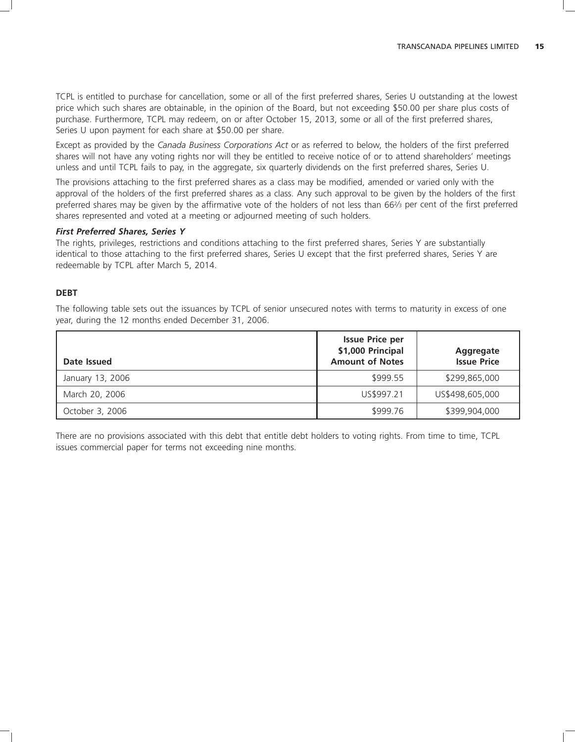TCPL is entitled to purchase for cancellation, some or all of the first preferred shares, Series U outstanding at the lowest price which such shares are obtainable, in the opinion of the Board, but not exceeding \$50.00 per share plus costs of purchase. Furthermore, TCPL may redeem, on or after October 15, 2013, some or all of the first preferred shares, Series U upon payment for each share at \$50.00 per share.

Except as provided by the *Canada Business Corporations Act* or as referred to below, the holders of the first preferred shares will not have any voting rights nor will they be entitled to receive notice of or to attend shareholders' meetings unless and until TCPL fails to pay, in the aggregate, six quarterly dividends on the first preferred shares, Series U.

The provisions attaching to the first preferred shares as a class may be modified, amended or varied only with the approval of the holders of the first preferred shares as a class. Any such approval to be given by the holders of the first preferred shares may be given by the affirmative vote of the holders of not less than 662⁄3 per cent of the first preferred shares represented and voted at a meeting or adjourned meeting of such holders.

#### *First Preferred Shares, Series Y*

The rights, privileges, restrictions and conditions attaching to the first preferred shares, Series Y are substantially identical to those attaching to the first preferred shares, Series U except that the first preferred shares, Series Y are redeemable by TCPL after March 5, 2014.

#### **DEBT**

The following table sets out the issuances by TCPL of senior unsecured notes with terms to maturity in excess of one year, during the 12 months ended December 31, 2006.

| Date Issued      | <b>Issue Price per</b><br>\$1,000 Principal<br><b>Amount of Notes</b> | <b>Aggregate</b><br><b>Issue Price</b> |
|------------------|-----------------------------------------------------------------------|----------------------------------------|
| January 13, 2006 | \$999.55                                                              | \$299,865,000                          |
| March 20, 2006   | US\$997.21                                                            | US\$498,605,000                        |
| October 3, 2006  | \$999.76                                                              | \$399,904,000                          |

There are no provisions associated with this debt that entitle debt holders to voting rights. From time to time, TCPL issues commercial paper for terms not exceeding nine months.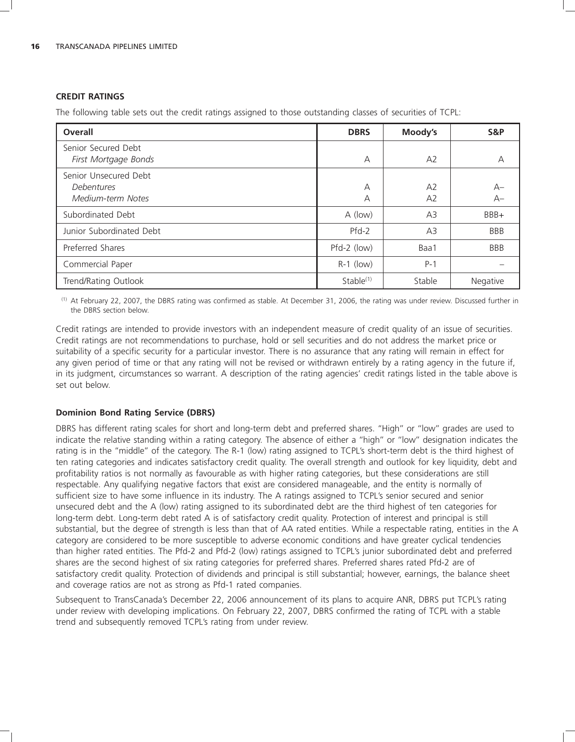#### **CREDIT RATINGS**

The following table sets out the credit ratings assigned to those outstanding classes of securities of TCPL:

| Overall                                                  | <b>DBRS</b>  | Moody's              | S&P          |
|----------------------------------------------------------|--------------|----------------------|--------------|
| Senior Secured Debt<br>First Mortgage Bonds              | A            | A2                   | A            |
| Senior Unsecured Debt<br>Debentures<br>Medium-term Notes | А<br>А       | A2<br>A <sub>2</sub> | $A-$<br>$A-$ |
| Subordinated Debt                                        | A (low)      | A <sub>3</sub>       | BBB+         |
| Junior Subordinated Debt                                 | $Pfd-2$      | A <sub>3</sub>       | <b>BBB</b>   |
| Preferred Shares                                         | Pfd-2 (low)  | Baa1                 | <b>BBB</b>   |
| Commercial Paper                                         | $R-1$ (low)  | $P-1$                |              |
| Trend/Rating Outlook                                     | Stable $(1)$ | Stable               | Negative     |

(1) At February 22, 2007, the DBRS rating was confirmed as stable. At December 31, 2006, the rating was under review. Discussed further in the DBRS section below.

Credit ratings are intended to provide investors with an independent measure of credit quality of an issue of securities. Credit ratings are not recommendations to purchase, hold or sell securities and do not address the market price or suitability of a specific security for a particular investor. There is no assurance that any rating will remain in effect for any given period of time or that any rating will not be revised or withdrawn entirely by a rating agency in the future if, in its judgment, circumstances so warrant. A description of the rating agencies' credit ratings listed in the table above is set out below.

### **Dominion Bond Rating Service (DBRS)**

DBRS has different rating scales for short and long-term debt and preferred shares. ''High'' or ''low'' grades are used to indicate the relative standing within a rating category. The absence of either a ''high'' or ''low'' designation indicates the rating is in the ''middle'' of the category. The R-1 (low) rating assigned to TCPL's short-term debt is the third highest of ten rating categories and indicates satisfactory credit quality. The overall strength and outlook for key liquidity, debt and profitability ratios is not normally as favourable as with higher rating categories, but these considerations are still respectable. Any qualifying negative factors that exist are considered manageable, and the entity is normally of sufficient size to have some influence in its industry. The A ratings assigned to TCPL's senior secured and senior unsecured debt and the A (low) rating assigned to its subordinated debt are the third highest of ten categories for long-term debt. Long-term debt rated A is of satisfactory credit quality. Protection of interest and principal is still substantial, but the degree of strength is less than that of AA rated entities. While a respectable rating, entities in the A category are considered to be more susceptible to adverse economic conditions and have greater cyclical tendencies than higher rated entities. The Pfd-2 and Pfd-2 (low) ratings assigned to TCPL's junior subordinated debt and preferred shares are the second highest of six rating categories for preferred shares. Preferred shares rated Pfd-2 are of satisfactory credit quality. Protection of dividends and principal is still substantial; however, earnings, the balance sheet and coverage ratios are not as strong as Pfd-1 rated companies.

Subsequent to TransCanada's December 22, 2006 announcement of its plans to acquire ANR, DBRS put TCPL's rating under review with developing implications. On February 22, 2007, DBRS confirmed the rating of TCPL with a stable trend and subsequently removed TCPL's rating from under review.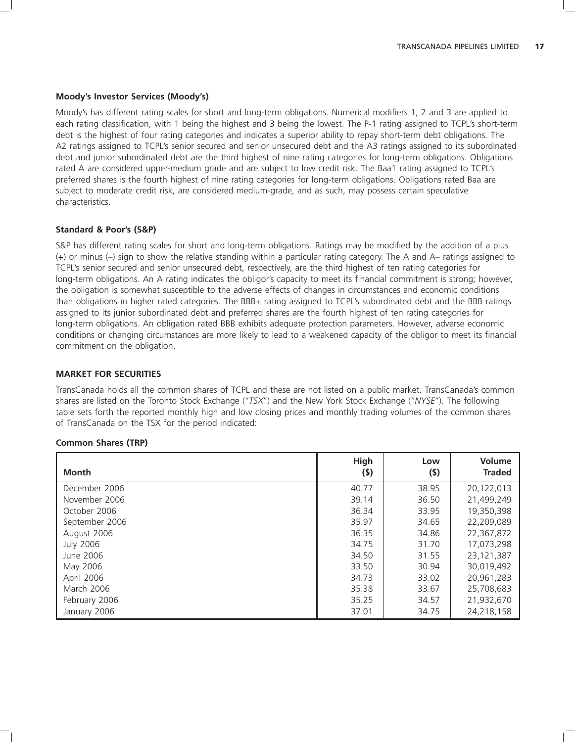#### **Moody's Investor Services (Moody's)**

Moody's has different rating scales for short and long-term obligations. Numerical modifiers 1, 2 and 3 are applied to each rating classification, with 1 being the highest and 3 being the lowest. The P-1 rating assigned to TCPL's short-term debt is the highest of four rating categories and indicates a superior ability to repay short-term debt obligations. The A2 ratings assigned to TCPL's senior secured and senior unsecured debt and the A3 ratings assigned to its subordinated debt and junior subordinated debt are the third highest of nine rating categories for long-term obligations. Obligations rated A are considered upper-medium grade and are subject to low credit risk. The Baa1 rating assigned to TCPL's preferred shares is the fourth highest of nine rating categories for long-term obligations. Obligations rated Baa are subject to moderate credit risk, are considered medium-grade, and as such, may possess certain speculative characteristics.

#### **Standard & Poor's (S&P)**

S&P has different rating scales for short and long-term obligations. Ratings may be modified by the addition of a plus (+) or minus (–) sign to show the relative standing within a particular rating category. The A and A– ratings assigned to TCPL's senior secured and senior unsecured debt, respectively, are the third highest of ten rating categories for long-term obligations. An A rating indicates the obligor's capacity to meet its financial commitment is strong; however, the obligation is somewhat susceptible to the adverse effects of changes in circumstances and economic conditions than obligations in higher rated categories. The BBB+ rating assigned to TCPL's subordinated debt and the BBB ratings assigned to its junior subordinated debt and preferred shares are the fourth highest of ten rating categories for long-term obligations. An obligation rated BBB exhibits adequate protection parameters. However, adverse economic conditions or changing circumstances are more likely to lead to a weakened capacity of the obligor to meet its financial commitment on the obligation.

### **MARKET FOR SECURITIES**

TransCanada holds all the common shares of TCPL and these are not listed on a public market. TransCanada's common shares are listed on the Toronto Stock Exchange (''*TSX*'') and the New York Stock Exchange (''*NYSE*''). The following table sets forth the reported monthly high and low closing prices and monthly trading volumes of the common shares of TransCanada on the TSX for the period indicated:

#### **Common Shares (TRP)**

| Month             | <b>High</b><br>$($ \$) | Low<br>(5) | Volume<br><b>Traded</b> |
|-------------------|------------------------|------------|-------------------------|
| December 2006     | 40.77                  | 38.95      | 20,122,013              |
| November 2006     | 39.14                  | 36.50      | 21,499,249              |
| October 2006      | 36.34                  | 33.95      | 19,350,398              |
| September 2006    | 35.97                  | 34.65      | 22,209,089              |
| August 2006       | 36.35                  | 34.86      | 22,367,872              |
| <b>July 2006</b>  | 34.75                  | 31.70      | 17,073,298              |
| June 2006         | 34.50                  | 31.55      | 23,121,387              |
| May 2006          | 33.50                  | 30.94      | 30,019,492              |
| April 2006        | 34.73                  | 33.02      | 20,961,283              |
| <b>March 2006</b> | 35.38                  | 33.67      | 25,708,683              |
| February 2006     | 35.25                  | 34.57      | 21,932,670              |
| January 2006      | 37.01                  | 34.75      | 24,218,158              |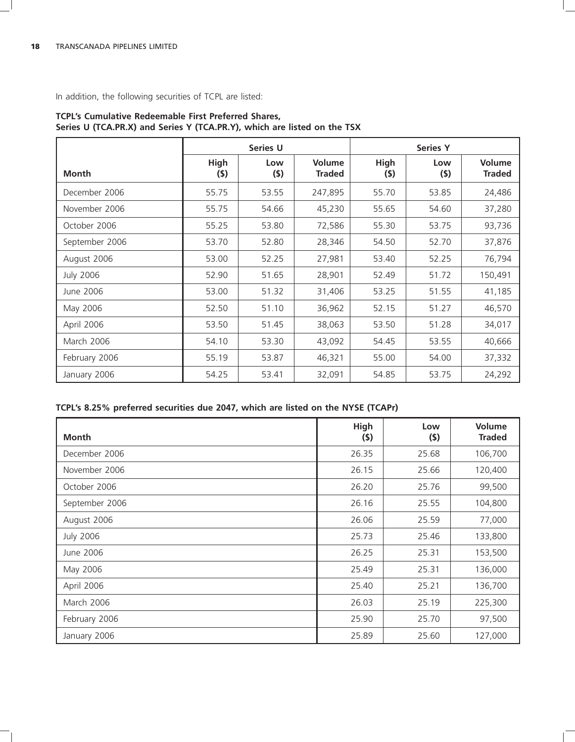In addition, the following securities of TCPL are listed:

|                  |                    | Series U   |                                |             | <b>Series Y</b> |                         |
|------------------|--------------------|------------|--------------------------------|-------------|-----------------|-------------------------|
| Month            | <b>High</b><br>(5) | Low<br>(5) | <b>Volume</b><br><b>Traded</b> | High<br>(5) | Low<br>(5)      | Volume<br><b>Traded</b> |
| December 2006    | 55.75              | 53.55      | 247,895                        | 55.70       | 53.85           | 24,486                  |
| November 2006    | 55.75              | 54.66      | 45,230                         | 55.65       | 54.60           | 37,280                  |
| October 2006     | 55.25              | 53.80      | 72,586                         | 55.30       | 53.75           | 93,736                  |
| September 2006   | 53.70              | 52.80      | 28,346                         | 54.50       | 52.70           | 37,876                  |
| August 2006      | 53.00              | 52.25      | 27,981                         | 53.40       | 52.25           | 76,794                  |
| <b>July 2006</b> | 52.90              | 51.65      | 28,901                         | 52.49       | 51.72           | 150,491                 |
| June 2006        | 53.00              | 51.32      | 31,406                         | 53.25       | 51.55           | 41,185                  |
| May 2006         | 52.50              | 51.10      | 36,962                         | 52.15       | 51.27           | 46,570                  |
| April 2006       | 53.50              | 51.45      | 38,063                         | 53.50       | 51.28           | 34,017                  |
| March 2006       | 54.10              | 53.30      | 43,092                         | 54.45       | 53.55           | 40,666                  |
| February 2006    | 55.19              | 53.87      | 46,321                         | 55.00       | 54.00           | 37,332                  |
| January 2006     | 54.25              | 53.41      | 32,091                         | 54.85       | 53.75           | 24,292                  |

# **TCPL's Cumulative Redeemable First Preferred Shares, Series U (TCA.PR.X) and Series Y (TCA.PR.Y), which are listed on the TSX**

# **TCPL's 8.25% preferred securities due 2047, which are listed on the NYSE (TCAPr)**

| Month            | High<br>(\$) | Low<br>(5) | Volume<br><b>Traded</b> |
|------------------|--------------|------------|-------------------------|
| December 2006    | 26.35        | 25.68      | 106,700                 |
| November 2006    | 26.15        | 25.66      | 120,400                 |
| October 2006     | 26.20        | 25.76      | 99,500                  |
| September 2006   | 26.16        | 25.55      | 104,800                 |
| August 2006      | 26.06        | 25.59      | 77,000                  |
| <b>July 2006</b> | 25.73        | 25.46      | 133,800                 |
| June 2006        | 26.25        | 25.31      | 153,500                 |
| May 2006         | 25.49        | 25.31      | 136,000                 |
| April 2006       | 25.40        | 25.21      | 136,700                 |
| March 2006       | 26.03        | 25.19      | 225,300                 |
| February 2006    | 25.90        | 25.70      | 97,500                  |
| January 2006     | 25.89        | 25.60      | 127,000                 |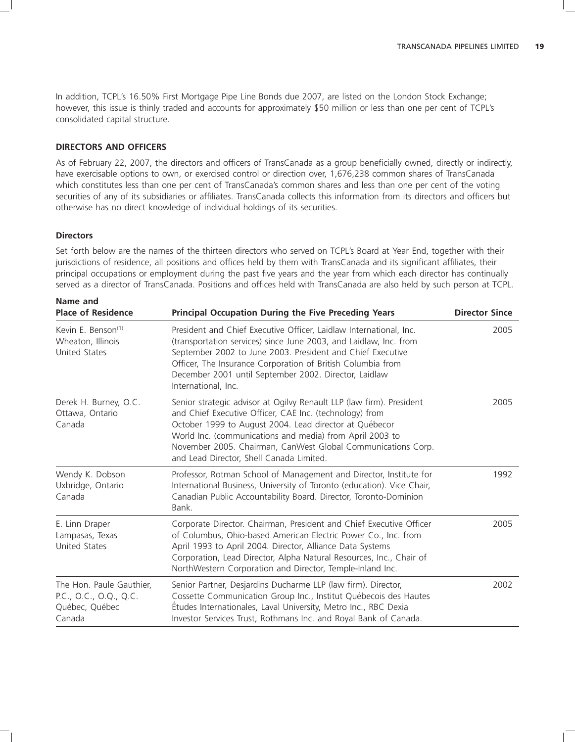In addition, TCPL's 16.50% First Mortgage Pipe Line Bonds due 2007, are listed on the London Stock Exchange; however, this issue is thinly traded and accounts for approximately \$50 million or less than one per cent of TCPL's consolidated capital structure.

### **DIRECTORS AND OFFICERS**

As of February 22, 2007, the directors and officers of TransCanada as a group beneficially owned, directly or indirectly, have exercisable options to own, or exercised control or direction over, 1,676,238 common shares of TransCanada which constitutes less than one per cent of TransCanada's common shares and less than one per cent of the voting securities of any of its subsidiaries or affiliates. TransCanada collects this information from its directors and officers but otherwise has no direct knowledge of individual holdings of its securities.

# **Directors**

Set forth below are the names of the thirteen directors who served on TCPL's Board at Year End, together with their jurisdictions of residence, all positions and offices held by them with TransCanada and its significant affiliates, their principal occupations or employment during the past five years and the year from which each director has continually served as a director of TransCanada. Positions and offices held with TransCanada are also held by such person at TCPL.

| Name and<br><b>Place of Residence</b>                                                                                                                                                                                                                                                                                                                                                                                               | <b>Principal Occupation During the Five Preceding Years</b>                                                                                                                                                                                                                                                                                                       | <b>Director Since</b> |
|-------------------------------------------------------------------------------------------------------------------------------------------------------------------------------------------------------------------------------------------------------------------------------------------------------------------------------------------------------------------------------------------------------------------------------------|-------------------------------------------------------------------------------------------------------------------------------------------------------------------------------------------------------------------------------------------------------------------------------------------------------------------------------------------------------------------|-----------------------|
| Kevin E. Benson <sup>(1)</sup><br>President and Chief Executive Officer, Laidlaw International, Inc.<br>(transportation services) since June 2003, and Laidlaw, Inc. from<br>Wheaton, Illinois<br><b>United States</b><br>September 2002 to June 2003. President and Chief Executive<br>Officer, The Insurance Corporation of British Columbia from<br>December 2001 until September 2002. Director, Laidlaw<br>International, Inc. |                                                                                                                                                                                                                                                                                                                                                                   | 2005                  |
| Derek H. Burney, O.C.<br>Ottawa, Ontario<br>Canada                                                                                                                                                                                                                                                                                                                                                                                  | Senior strategic advisor at Ogilvy Renault LLP (law firm). President<br>and Chief Executive Officer, CAE Inc. (technology) from<br>October 1999 to August 2004. Lead director at Québecor<br>World Inc. (communications and media) from April 2003 to<br>November 2005. Chairman, CanWest Global Communications Corp.<br>and Lead Director, Shell Canada Limited. | 2005                  |
| Wendy K. Dobson<br>Uxbridge, Ontario<br>Canada                                                                                                                                                                                                                                                                                                                                                                                      | Professor, Rotman School of Management and Director, Institute for<br>International Business, University of Toronto (education). Vice Chair,<br>Canadian Public Accountability Board. Director, Toronto-Dominion<br>Bank.                                                                                                                                         | 1992                  |
| E. Linn Draper<br>Lampasas, Texas<br><b>United States</b>                                                                                                                                                                                                                                                                                                                                                                           | Corporate Director. Chairman, President and Chief Executive Officer<br>of Columbus, Ohio-based American Electric Power Co., Inc. from<br>April 1993 to April 2004. Director, Alliance Data Systems<br>Corporation, Lead Director, Alpha Natural Resources, Inc., Chair of<br>NorthWestern Corporation and Director, Temple-Inland Inc.                            | 2005                  |
| The Hon. Paule Gauthier,<br>P.C., O.C., O.Q., Q.C.<br>Québec, Québec<br>Canada                                                                                                                                                                                                                                                                                                                                                      | Senior Partner, Desjardins Ducharme LLP (law firm). Director,<br>Cossette Communication Group Inc., Institut Québecois des Hautes<br>Études Internationales, Laval University, Metro Inc., RBC Dexia<br>Investor Services Trust, Rothmans Inc. and Royal Bank of Canada.                                                                                          | 2002                  |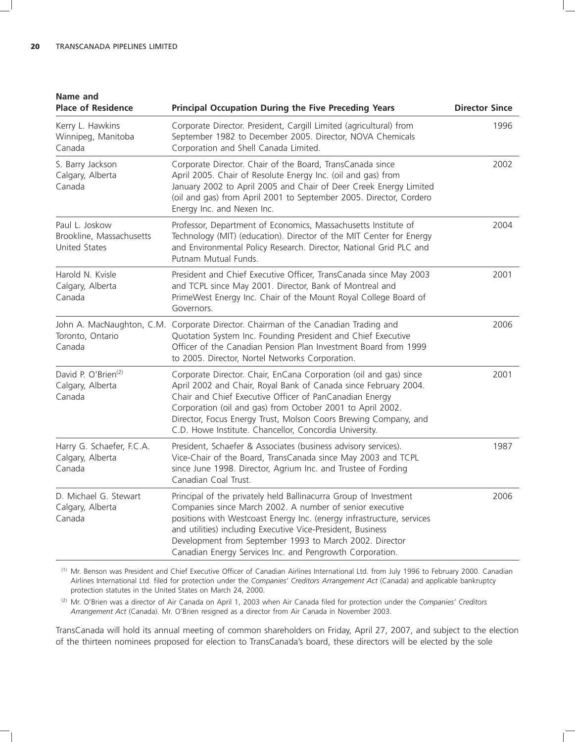| Name and<br><b>Place of Residence</b>                         | <b>Principal Occupation During the Five Preceding Years</b>                                                                                                                                                                                                                                                                                                                                 | <b>Director Since</b> |
|---------------------------------------------------------------|---------------------------------------------------------------------------------------------------------------------------------------------------------------------------------------------------------------------------------------------------------------------------------------------------------------------------------------------------------------------------------------------|-----------------------|
| Kerry L. Hawkins<br>Winnipeg, Manitoba<br>Canada              | Corporate Director. President, Cargill Limited (agricultural) from<br>September 1982 to December 2005. Director, NOVA Chemicals<br>Corporation and Shell Canada Limited.                                                                                                                                                                                                                    | 1996                  |
| S. Barry Jackson<br>Calgary, Alberta<br>Canada                | Corporate Director. Chair of the Board, TransCanada since<br>April 2005. Chair of Resolute Energy Inc. (oil and gas) from<br>January 2002 to April 2005 and Chair of Deer Creek Energy Limited<br>(oil and gas) from April 2001 to September 2005. Director, Cordero<br>Energy Inc. and Nexen Inc.                                                                                          | 2002                  |
| Paul L. Joskow<br>Brookline, Massachusetts<br>United States   | Professor, Department of Economics, Massachusetts Institute of<br>Technology (MIT) (education). Director of the MIT Center for Energy<br>and Environmental Policy Research. Director, National Grid PLC and<br>Putnam Mutual Funds.                                                                                                                                                         | 2004                  |
| Harold N. Kvisle<br>Calgary, Alberta<br>Canada                | President and Chief Executive Officer, TransCanada since May 2003<br>and TCPL since May 2001. Director, Bank of Montreal and<br>PrimeWest Energy Inc. Chair of the Mount Royal College Board of<br>Governors.                                                                                                                                                                               | 2001                  |
| Toronto, Ontario<br>Canada                                    | John A. MacNaughton, C.M. Corporate Director. Chairman of the Canadian Trading and<br>Quotation System Inc. Founding President and Chief Executive<br>Officer of the Canadian Pension Plan Investment Board from 1999<br>to 2005. Director, Nortel Networks Corporation.                                                                                                                    | 2006                  |
| David P. O'Brien <sup>(2)</sup><br>Calgary, Alberta<br>Canada | Corporate Director. Chair, EnCana Corporation (oil and gas) since<br>April 2002 and Chair, Royal Bank of Canada since February 2004.<br>Chair and Chief Executive Officer of PanCanadian Energy<br>Corporation (oil and gas) from October 2001 to April 2002.<br>Director, Focus Energy Trust, Molson Coors Brewing Company, and<br>C.D. Howe Institute. Chancellor, Concordia University.  | 2001                  |
| Harry G. Schaefer, F.C.A.<br>Calgary, Alberta<br>Canada       | President, Schaefer & Associates (business advisory services).<br>Vice-Chair of the Board, TransCanada since May 2003 and TCPL<br>since June 1998. Director, Agrium Inc. and Trustee of Fording<br>Canadian Coal Trust.                                                                                                                                                                     | 1987                  |
| D. Michael G. Stewart<br>Calgary, Alberta<br>Canada           | Principal of the privately held Ballinacurra Group of Investment<br>Companies since March 2002. A number of senior executive<br>positions with Westcoast Energy Inc. (energy infrastructure, services<br>and utilities) including Executive Vice-President, Business<br>Development from September 1993 to March 2002. Director<br>Canadian Energy Services Inc. and Pengrowth Corporation. | 2006                  |

(1) Mr. Benson was President and Chief Executive Officer of Canadian Airlines International Ltd. from July 1996 to February 2000. Canadian Airlines International Ltd. filed for protection under the *Companies' Creditors Arrangement Act* (Canada) and applicable bankruptcy protection statutes in the United States on March 24, 2000.

(2) Mr. O'Brien was a director of Air Canada on April 1, 2003 when Air Canada filed for protection under the *Companies' Creditors Arrangement Act* (Canada). Mr. O'Brien resigned as a director from Air Canada in November 2003.

TransCanada will hold its annual meeting of common shareholders on Friday, April 27, 2007, and subject to the election of the thirteen nominees proposed for election to TransCanada's board, these directors will be elected by the sole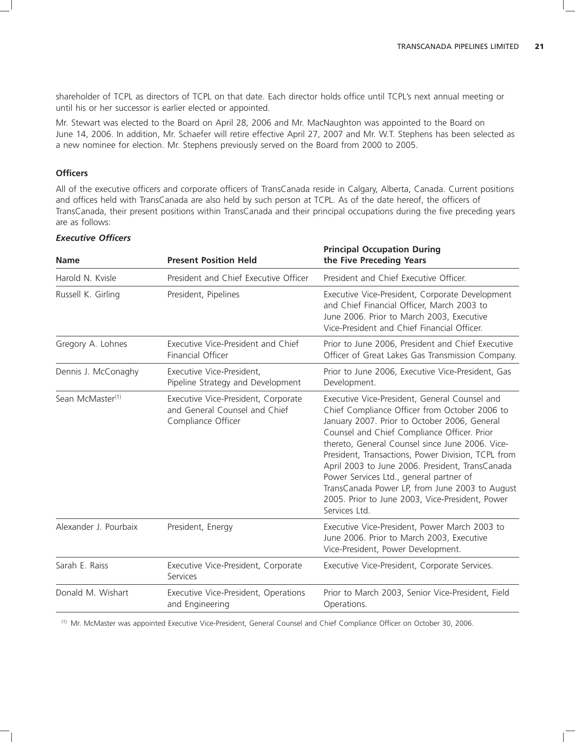shareholder of TCPL as directors of TCPL on that date. Each director holds office until TCPL's next annual meeting or until his or her successor is earlier elected or appointed.

Mr. Stewart was elected to the Board on April 28, 2006 and Mr. MacNaughton was appointed to the Board on June 14, 2006. In addition, Mr. Schaefer will retire effective April 27, 2007 and Mr. W.T. Stephens has been selected as a new nominee for election. Mr. Stephens previously served on the Board from 2000 to 2005.

# **Officers**

All of the executive officers and corporate officers of TransCanada reside in Calgary, Alberta, Canada. Current positions and offices held with TransCanada are also held by such person at TCPL. As of the date hereof, the officers of TransCanada, their present positions within TransCanada and their principal occupations during the five preceding years are as follows:

| <b>Name</b>                  | <b>Present Position Held</b>                                                               | <b>Principal Occupation During</b><br>the Five Preceding Years                                                                                                                                                                                                                                                                                                                                                                                                                                                             |
|------------------------------|--------------------------------------------------------------------------------------------|----------------------------------------------------------------------------------------------------------------------------------------------------------------------------------------------------------------------------------------------------------------------------------------------------------------------------------------------------------------------------------------------------------------------------------------------------------------------------------------------------------------------------|
| Harold N. Kvisle             | President and Chief Executive Officer                                                      | President and Chief Executive Officer.                                                                                                                                                                                                                                                                                                                                                                                                                                                                                     |
| Russell K. Girling           | President, Pipelines                                                                       | Executive Vice-President, Corporate Development<br>and Chief Financial Officer, March 2003 to<br>June 2006. Prior to March 2003, Executive<br>Vice-President and Chief Financial Officer.                                                                                                                                                                                                                                                                                                                                  |
| Gregory A. Lohnes            | Executive Vice-President and Chief<br>Financial Officer                                    | Prior to June 2006, President and Chief Executive<br>Officer of Great Lakes Gas Transmission Company.                                                                                                                                                                                                                                                                                                                                                                                                                      |
| Dennis J. McConaghy          | Executive Vice-President,<br>Pipeline Strategy and Development                             | Prior to June 2006, Executive Vice-President, Gas<br>Development.                                                                                                                                                                                                                                                                                                                                                                                                                                                          |
| Sean McMaster <sup>(1)</sup> | Executive Vice-President, Corporate<br>and General Counsel and Chief<br>Compliance Officer | Executive Vice-President, General Counsel and<br>Chief Compliance Officer from October 2006 to<br>January 2007. Prior to October 2006, General<br>Counsel and Chief Compliance Officer. Prior<br>thereto, General Counsel since June 2006. Vice-<br>President, Transactions, Power Division, TCPL from<br>April 2003 to June 2006. President, TransCanada<br>Power Services Ltd., general partner of<br>TransCanada Power LP, from June 2003 to August<br>2005. Prior to June 2003, Vice-President, Power<br>Services Ltd. |
| Alexander J. Pourbaix        | President, Energy                                                                          | Executive Vice-President, Power March 2003 to<br>June 2006. Prior to March 2003, Executive<br>Vice-President, Power Development.                                                                                                                                                                                                                                                                                                                                                                                           |
| Sarah E. Raiss               | Executive Vice-President, Corporate<br>Services                                            | Executive Vice-President, Corporate Services.                                                                                                                                                                                                                                                                                                                                                                                                                                                                              |
| Donald M. Wishart            | Executive Vice-President, Operations<br>and Engineering                                    | Prior to March 2003, Senior Vice-President, Field<br>Operations.                                                                                                                                                                                                                                                                                                                                                                                                                                                           |
|                              |                                                                                            |                                                                                                                                                                                                                                                                                                                                                                                                                                                                                                                            |

#### *Executive Officers*

(1) Mr. McMaster was appointed Executive Vice-President, General Counsel and Chief Compliance Officer on October 30, 2006.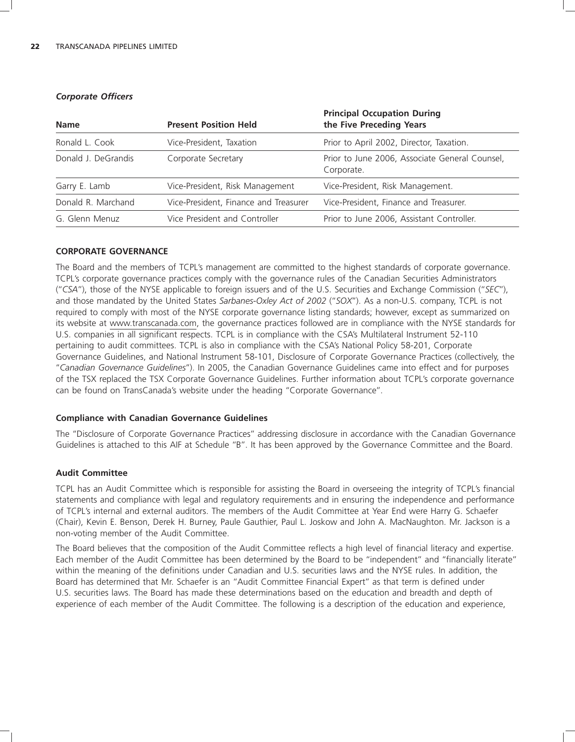| <b>Name</b>         | <b>Present Position Held</b>          | <b>Principal Occupation During</b><br>the Five Preceding Years |  |  |
|---------------------|---------------------------------------|----------------------------------------------------------------|--|--|
| Ronald L. Cook      | Vice-President, Taxation              | Prior to April 2002, Director, Taxation.                       |  |  |
| Donald J. DeGrandis | Corporate Secretary                   | Prior to June 2006, Associate General Counsel,<br>Corporate.   |  |  |
| Garry E. Lamb       | Vice-President, Risk Management       | Vice-President, Risk Management.                               |  |  |
| Donald R. Marchand  | Vice-President, Finance and Treasurer | Vice-President, Finance and Treasurer.                         |  |  |
| G. Glenn Menuz      | Vice President and Controller         | Prior to June 2006, Assistant Controller.                      |  |  |

#### *Corporate Officers*

# **CORPORATE GOVERNANCE**

The Board and the members of TCPL's management are committed to the highest standards of corporate governance. TCPL's corporate governance practices comply with the governance rules of the Canadian Securities Administrators (''*CSA*''), those of the NYSE applicable to foreign issuers and of the U.S. Securities and Exchange Commission (''*SEC*''), and those mandated by the United States *Sarbanes-Oxley Act of 2002* (''*SOX*''). As a non-U.S. company, TCPL is not required to comply with most of the NYSE corporate governance listing standards; however, except as summarized on its website at www.transcanada.com, the governance practices followed are in compliance with the NYSE standards for U.S. companies in all significant respects. TCPL is in compliance with the CSA's Multilateral Instrument 52-110 pertaining to audit committees. TCPL is also in compliance with the CSA's National Policy 58-201, Corporate Governance Guidelines, and National Instrument 58-101, Disclosure of Corporate Governance Practices (collectively, the ''*Canadian Governance Guidelines*''). In 2005, the Canadian Governance Guidelines came into effect and for purposes of the TSX replaced the TSX Corporate Governance Guidelines. Further information about TCPL's corporate governance can be found on TransCanada's website under the heading ''Corporate Governance''.

### **Compliance with Canadian Governance Guidelines**

The ''Disclosure of Corporate Governance Practices'' addressing disclosure in accordance with the Canadian Governance Guidelines is attached to this AIF at Schedule ''B''. It has been approved by the Governance Committee and the Board.

### **Audit Committee**

TCPL has an Audit Committee which is responsible for assisting the Board in overseeing the integrity of TCPL's financial statements and compliance with legal and regulatory requirements and in ensuring the independence and performance of TCPL's internal and external auditors. The members of the Audit Committee at Year End were Harry G. Schaefer (Chair), Kevin E. Benson, Derek H. Burney, Paule Gauthier, Paul L. Joskow and John A. MacNaughton. Mr. Jackson is a non-voting member of the Audit Committee.

The Board believes that the composition of the Audit Committee reflects a high level of financial literacy and expertise. Each member of the Audit Committee has been determined by the Board to be ''independent'' and ''financially literate'' within the meaning of the definitions under Canadian and U.S. securities laws and the NYSE rules. In addition, the Board has determined that Mr. Schaefer is an ''Audit Committee Financial Expert'' as that term is defined under U.S. securities laws. The Board has made these determinations based on the education and breadth and depth of experience of each member of the Audit Committee. The following is a description of the education and experience,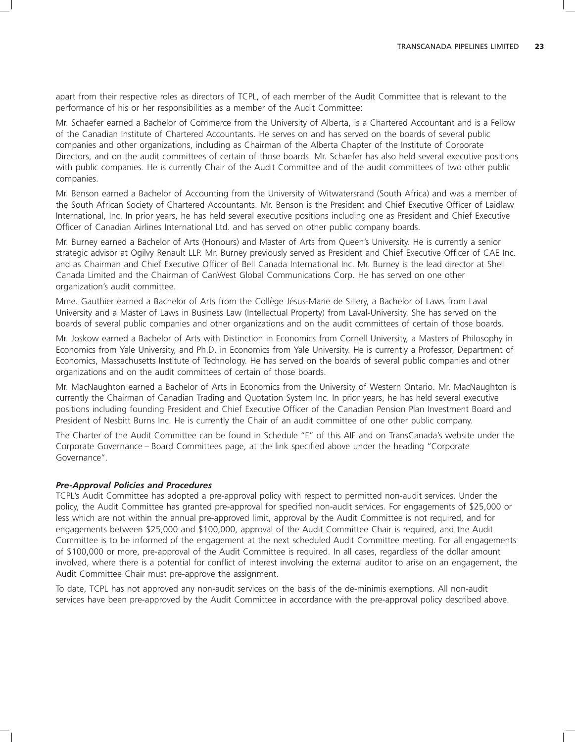apart from their respective roles as directors of TCPL, of each member of the Audit Committee that is relevant to the performance of his or her responsibilities as a member of the Audit Committee:

Mr. Schaefer earned a Bachelor of Commerce from the University of Alberta, is a Chartered Accountant and is a Fellow of the Canadian Institute of Chartered Accountants. He serves on and has served on the boards of several public companies and other organizations, including as Chairman of the Alberta Chapter of the Institute of Corporate Directors, and on the audit committees of certain of those boards. Mr. Schaefer has also held several executive positions with public companies. He is currently Chair of the Audit Committee and of the audit committees of two other public companies.

Mr. Benson earned a Bachelor of Accounting from the University of Witwatersrand (South Africa) and was a member of the South African Society of Chartered Accountants. Mr. Benson is the President and Chief Executive Officer of Laidlaw International, Inc. In prior years, he has held several executive positions including one as President and Chief Executive Officer of Canadian Airlines International Ltd. and has served on other public company boards.

Mr. Burney earned a Bachelor of Arts (Honours) and Master of Arts from Queen's University. He is currently a senior strategic advisor at Ogilvy Renault LLP. Mr. Burney previously served as President and Chief Executive Officer of CAE Inc. and as Chairman and Chief Executive Officer of Bell Canada International Inc. Mr. Burney is the lead director at Shell Canada Limited and the Chairman of CanWest Global Communications Corp. He has served on one other organization's audit committee.

Mme. Gauthier earned a Bachelor of Arts from the Collège Jésus-Marie de Sillery, a Bachelor of Laws from Laval University and a Master of Laws in Business Law (Intellectual Property) from Laval-University. She has served on the boards of several public companies and other organizations and on the audit committees of certain of those boards.

Mr. Joskow earned a Bachelor of Arts with Distinction in Economics from Cornell University, a Masters of Philosophy in Economics from Yale University, and Ph.D. in Economics from Yale University. He is currently a Professor, Department of Economics, Massachusetts Institute of Technology. He has served on the boards of several public companies and other organizations and on the audit committees of certain of those boards.

Mr. MacNaughton earned a Bachelor of Arts in Economics from the University of Western Ontario. Mr. MacNaughton is currently the Chairman of Canadian Trading and Quotation System Inc. In prior years, he has held several executive positions including founding President and Chief Executive Officer of the Canadian Pension Plan Investment Board and President of Nesbitt Burns Inc. He is currently the Chair of an audit committee of one other public company.

The Charter of the Audit Committee can be found in Schedule ''E'' of this AIF and on TransCanada's website under the Corporate Governance – Board Committees page, at the link specified above under the heading ''Corporate Governance''.

### *Pre-Approval Policies and Procedures*

TCPL's Audit Committee has adopted a pre-approval policy with respect to permitted non-audit services. Under the policy, the Audit Committee has granted pre-approval for specified non-audit services. For engagements of \$25,000 or less which are not within the annual pre-approved limit, approval by the Audit Committee is not required, and for engagements between \$25,000 and \$100,000, approval of the Audit Committee Chair is required, and the Audit Committee is to be informed of the engagement at the next scheduled Audit Committee meeting. For all engagements of \$100,000 or more, pre-approval of the Audit Committee is required. In all cases, regardless of the dollar amount involved, where there is a potential for conflict of interest involving the external auditor to arise on an engagement, the Audit Committee Chair must pre-approve the assignment.

To date, TCPL has not approved any non-audit services on the basis of the de-minimis exemptions. All non-audit services have been pre-approved by the Audit Committee in accordance with the pre-approval policy described above.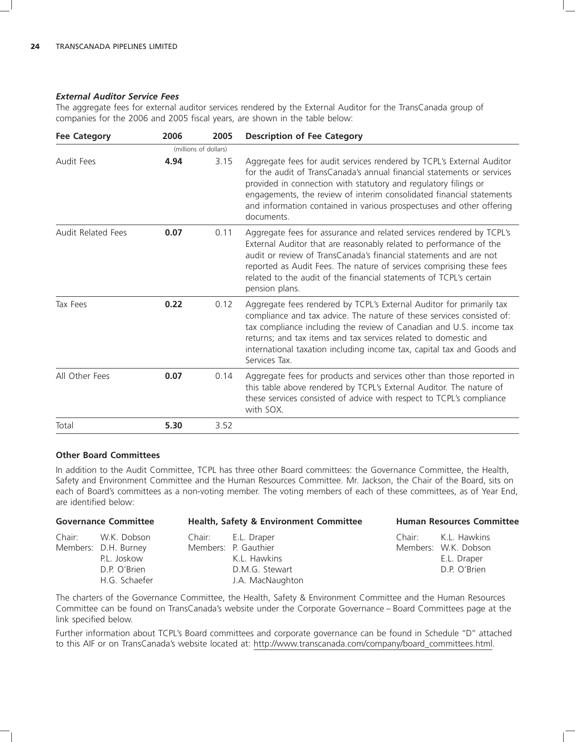### *External Auditor Service Fees*

The aggregate fees for external auditor services rendered by the External Auditor for the TransCanada group of companies for the 2006 and 2005 fiscal years, are shown in the table below:

| <b>Fee Category</b>       | 2006 | 2005                  | <b>Description of Fee Category</b>                                                                                                                                                                                                                                                                                                                                                 |
|---------------------------|------|-----------------------|------------------------------------------------------------------------------------------------------------------------------------------------------------------------------------------------------------------------------------------------------------------------------------------------------------------------------------------------------------------------------------|
|                           |      | (millions of dollars) |                                                                                                                                                                                                                                                                                                                                                                                    |
| Audit Fees                | 4.94 | 3.15                  | Aggregate fees for audit services rendered by TCPL's External Auditor<br>for the audit of TransCanada's annual financial statements or services<br>provided in connection with statutory and regulatory filings or<br>engagements, the review of interim consolidated financial statements<br>and information contained in various prospectuses and other offering<br>documents.   |
| <b>Audit Related Fees</b> | 0.07 | 0.11                  | Aggregate fees for assurance and related services rendered by TCPL's<br>External Auditor that are reasonably related to performance of the<br>audit or review of TransCanada's financial statements and are not<br>reported as Audit Fees. The nature of services comprising these fees<br>related to the audit of the financial statements of TCPL's certain<br>pension plans.    |
| Tax Fees                  | 0.22 | 0.12                  | Aggregate fees rendered by TCPL's External Auditor for primarily tax<br>compliance and tax advice. The nature of these services consisted of:<br>tax compliance including the review of Canadian and U.S. income tax<br>returns; and tax items and tax services related to domestic and<br>international taxation including income tax, capital tax and Goods and<br>Services Tax. |
| All Other Fees            | 0.07 | 0.14                  | Aggregate fees for products and services other than those reported in<br>this table above rendered by TCPL's External Auditor. The nature of<br>these services consisted of advice with respect to TCPL's compliance<br>with SOX.                                                                                                                                                  |
| Total                     | 5.30 | 3.52                  |                                                                                                                                                                                                                                                                                                                                                                                    |

### **Other Board Committees**

In addition to the Audit Committee, TCPL has three other Board committees: the Governance Committee, the Health, Safety and Environment Committee and the Human Resources Committee. Mr. Jackson, the Chair of the Board, sits on each of Board's committees as a non-voting member. The voting members of each of these committees, as of Year End, are identified below:

|        | <b>Governance Committee</b> | <b>Health, Safety &amp; Environment Committee</b> | <b>Human Resources Committee</b> |
|--------|-----------------------------|---------------------------------------------------|----------------------------------|
| Chair: | W.K. Dobson                 | Chair: E.L. Draper                                | Chair: K.L. Hawkins              |
|        | Members: D.H. Burney        | Members: P. Gauthier                              | Members: W.K. Dobson             |
|        | P.L. Joskow                 | K.L. Hawkins                                      | E.L. Draper                      |
|        | D.P. O'Brien                | D.M.G. Stewart                                    | D.P. O'Brien                     |
|        | H.G. Schaefer               | J.A. MacNaughton                                  |                                  |

The charters of the Governance Committee, the Health, Safety & Environment Committee and the Human Resources Committee can be found on TransCanada's website under the Corporate Governance – Board Committees page at the link specified below.

Further information about TCPL's Board committees and corporate governance can be found in Schedule ''D'' attached to this AIF or on TransCanada's website located at: http://www.transcanada.com/company/board\_committees.html.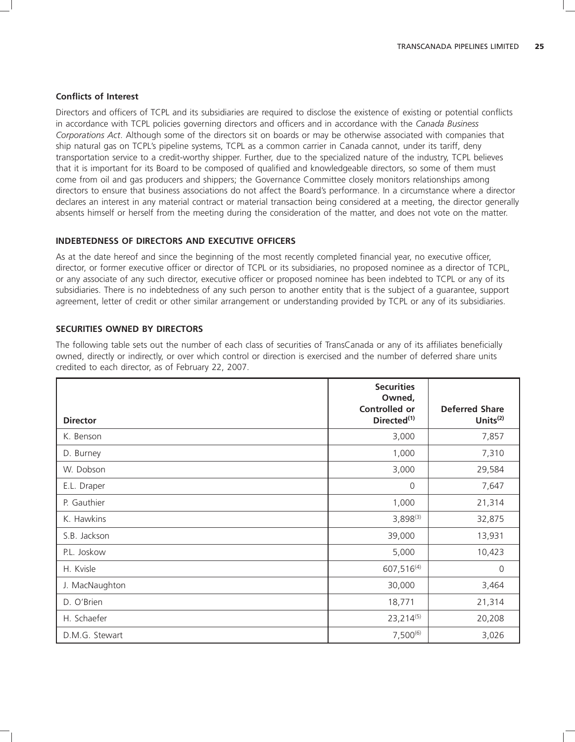#### **Conflicts of Interest**

Directors and officers of TCPL and its subsidiaries are required to disclose the existence of existing or potential conflicts in accordance with TCPL policies governing directors and officers and in accordance with the *Canada Business Corporations Act*. Although some of the directors sit on boards or may be otherwise associated with companies that ship natural gas on TCPL's pipeline systems, TCPL as a common carrier in Canada cannot, under its tariff, deny transportation service to a credit-worthy shipper. Further, due to the specialized nature of the industry, TCPL believes that it is important for its Board to be composed of qualified and knowledgeable directors, so some of them must come from oil and gas producers and shippers; the Governance Committee closely monitors relationships among directors to ensure that business associations do not affect the Board's performance. In a circumstance where a director declares an interest in any material contract or material transaction being considered at a meeting, the director generally absents himself or herself from the meeting during the consideration of the matter, and does not vote on the matter.

#### **INDEBTEDNESS OF DIRECTORS AND EXECUTIVE OFFICERS**

As at the date hereof and since the beginning of the most recently completed financial year, no executive officer, director, or former executive officer or director of TCPL or its subsidiaries, no proposed nominee as a director of TCPL, or any associate of any such director, executive officer or proposed nominee has been indebted to TCPL or any of its subsidiaries. There is no indebtedness of any such person to another entity that is the subject of a guarantee, support agreement, letter of credit or other similar arrangement or understanding provided by TCPL or any of its subsidiaries.

### **SECURITIES OWNED BY DIRECTORS**

The following table sets out the number of each class of securities of TransCanada or any of its affiliates beneficially owned, directly or indirectly, or over which control or direction is exercised and the number of deferred share units credited to each director, as of February 22, 2007.

|                 | <b>Securities</b><br>Owned,<br>Controlled or | <b>Deferred Share</b> |
|-----------------|----------------------------------------------|-----------------------|
| <b>Director</b> | Directed <sup>(1)</sup>                      | Units <sup>(2)</sup>  |
| K. Benson       | 3,000                                        | 7,857                 |
| D. Burney       | 1,000                                        | 7,310                 |
| W. Dobson       | 3,000                                        | 29,584                |
| E.L. Draper     | $\Omega$                                     | 7,647                 |
| P. Gauthier     | 1,000                                        | 21,314                |
| K. Hawkins      | $3,898^{(3)}$                                | 32,875                |
| S.B. Jackson    | 39,000                                       | 13,931                |
| P.L. Joskow     | 5,000                                        | 10,423                |
| H. Kvisle       | 607,516 <sup>(4)</sup>                       | $\mathbf 0$           |
| J. MacNaughton  | 30,000                                       | 3,464                 |
| D. O'Brien      | 18,771                                       | 21,314                |
| H. Schaefer     | 23, 214(5)                                   | 20,208                |
| D.M.G. Stewart  | $7,500^{(6)}$                                | 3,026                 |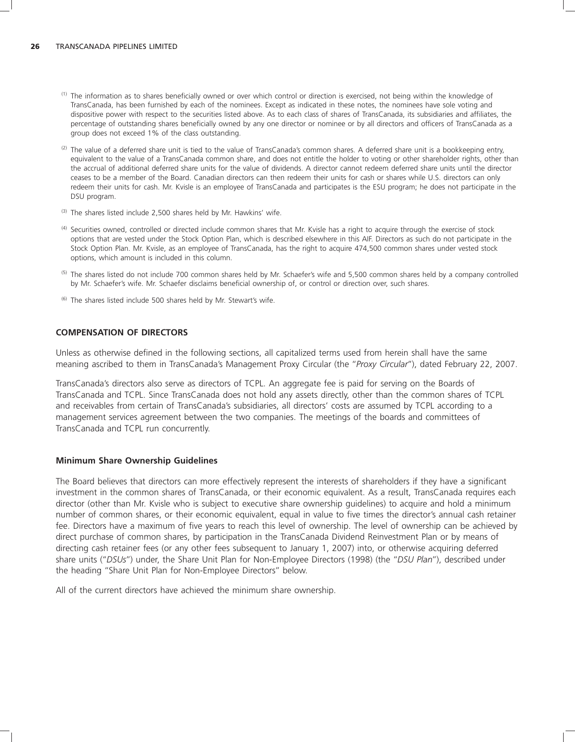- (1) The information as to shares beneficially owned or over which control or direction is exercised, not being within the knowledge of TransCanada, has been furnished by each of the nominees. Except as indicated in these notes, the nominees have sole voting and dispositive power with respect to the securities listed above. As to each class of shares of TransCanada, its subsidiaries and affiliates, the percentage of outstanding shares beneficially owned by any one director or nominee or by all directors and officers of TransCanada as a group does not exceed 1% of the class outstanding.
- $^{(2)}$  The value of a deferred share unit is tied to the value of TransCanada's common shares. A deferred share unit is a bookkeeping entry, equivalent to the value of a TransCanada common share, and does not entitle the holder to voting or other shareholder rights, other than the accrual of additional deferred share units for the value of dividends. A director cannot redeem deferred share units until the director ceases to be a member of the Board. Canadian directors can then redeem their units for cash or shares while U.S. directors can only redeem their units for cash. Mr. Kvisle is an employee of TransCanada and participates is the ESU program; he does not participate in the DSU program.
- $(3)$  The shares listed include 2,500 shares held by Mr. Hawkins' wife.
- <sup>(4)</sup> Securities owned, controlled or directed include common shares that Mr. Kvisle has a right to acquire through the exercise of stock options that are vested under the Stock Option Plan, which is described elsewhere in this AIF. Directors as such do not participate in the Stock Option Plan. Mr. Kvisle, as an employee of TransCanada, has the right to acquire 474,500 common shares under vested stock options, which amount is included in this column.
- <sup>(5)</sup> The shares listed do not include 700 common shares held by Mr. Schaefer's wife and 5,500 common shares held by a company controlled by Mr. Schaefer's wife. Mr. Schaefer disclaims beneficial ownership of, or control or direction over, such shares.
- $(6)$  The shares listed include 500 shares held by Mr. Stewart's wife.

#### **COMPENSATION OF DIRECTORS**

Unless as otherwise defined in the following sections, all capitalized terms used from herein shall have the same meaning ascribed to them in TransCanada's Management Proxy Circular (the ''*Proxy Circular*''), dated February 22, 2007.

TransCanada's directors also serve as directors of TCPL. An aggregate fee is paid for serving on the Boards of TransCanada and TCPL. Since TransCanada does not hold any assets directly, other than the common shares of TCPL and receivables from certain of TransCanada's subsidiaries, all directors' costs are assumed by TCPL according to a management services agreement between the two companies. The meetings of the boards and committees of TransCanada and TCPL run concurrently.

#### **Minimum Share Ownership Guidelines**

The Board believes that directors can more effectively represent the interests of shareholders if they have a significant investment in the common shares of TransCanada, or their economic equivalent. As a result, TransCanada requires each director (other than Mr. Kvisle who is subject to executive share ownership guidelines) to acquire and hold a minimum number of common shares, or their economic equivalent, equal in value to five times the director's annual cash retainer fee. Directors have a maximum of five years to reach this level of ownership. The level of ownership can be achieved by direct purchase of common shares, by participation in the TransCanada Dividend Reinvestment Plan or by means of directing cash retainer fees (or any other fees subsequent to January 1, 2007) into, or otherwise acquiring deferred share units (''*DSUs*'') under, the Share Unit Plan for Non-Employee Directors (1998) (the ''*DSU Plan*''), described under the heading ''Share Unit Plan for Non-Employee Directors'' below.

All of the current directors have achieved the minimum share ownership.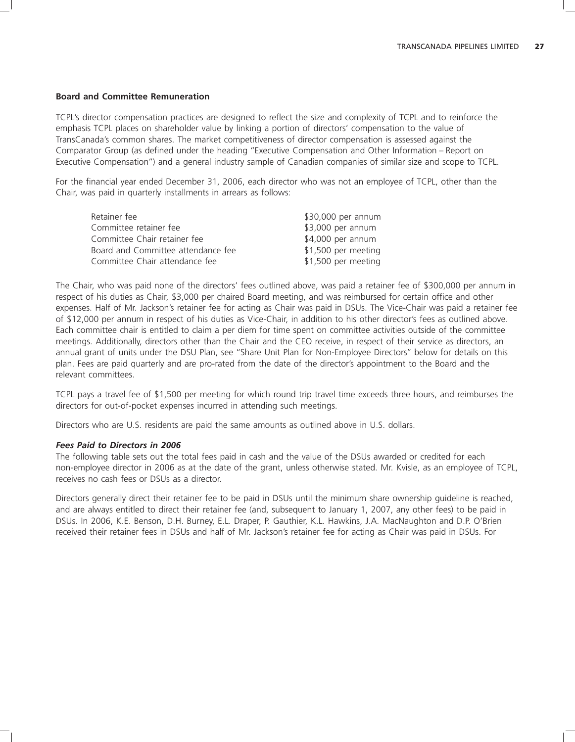#### **Board and Committee Remuneration**

TCPL's director compensation practices are designed to reflect the size and complexity of TCPL and to reinforce the emphasis TCPL places on shareholder value by linking a portion of directors' compensation to the value of TransCanada's common shares. The market competitiveness of director compensation is assessed against the Comparator Group (as defined under the heading ''Executive Compensation and Other Information – Report on Executive Compensation'') and a general industry sample of Canadian companies of similar size and scope to TCPL.

For the financial year ended December 31, 2006, each director who was not an employee of TCPL, other than the Chair, was paid in quarterly installments in arrears as follows:

| Retainer fee                       | \$30,000 per annum  |
|------------------------------------|---------------------|
| Committee retainer fee             | \$3,000 per annum   |
| Committee Chair retainer fee       | \$4,000 per annum   |
| Board and Committee attendance fee | \$1,500 per meeting |
| Committee Chair attendance fee     | \$1,500 per meeting |

The Chair, who was paid none of the directors' fees outlined above, was paid a retainer fee of \$300,000 per annum in respect of his duties as Chair, \$3,000 per chaired Board meeting, and was reimbursed for certain office and other expenses. Half of Mr. Jackson's retainer fee for acting as Chair was paid in DSUs. The Vice-Chair was paid a retainer fee of \$12,000 per annum in respect of his duties as Vice-Chair, in addition to his other director's fees as outlined above. Each committee chair is entitled to claim a per diem for time spent on committee activities outside of the committee meetings. Additionally, directors other than the Chair and the CEO receive, in respect of their service as directors, an annual grant of units under the DSU Plan, see ''Share Unit Plan for Non-Employee Directors'' below for details on this plan. Fees are paid quarterly and are pro-rated from the date of the director's appointment to the Board and the relevant committees.

TCPL pays a travel fee of \$1,500 per meeting for which round trip travel time exceeds three hours, and reimburses the directors for out-of-pocket expenses incurred in attending such meetings.

Directors who are U.S. residents are paid the same amounts as outlined above in U.S. dollars.

#### *Fees Paid to Directors in 2006*

The following table sets out the total fees paid in cash and the value of the DSUs awarded or credited for each non-employee director in 2006 as at the date of the grant, unless otherwise stated. Mr. Kvisle, as an employee of TCPL, receives no cash fees or DSUs as a director.

Directors generally direct their retainer fee to be paid in DSUs until the minimum share ownership guideline is reached, and are always entitled to direct their retainer fee (and, subsequent to January 1, 2007, any other fees) to be paid in DSUs. In 2006, K.E. Benson, D.H. Burney, E.L. Draper, P. Gauthier, K.L. Hawkins, J.A. MacNaughton and D.P. O'Brien received their retainer fees in DSUs and half of Mr. Jackson's retainer fee for acting as Chair was paid in DSUs. For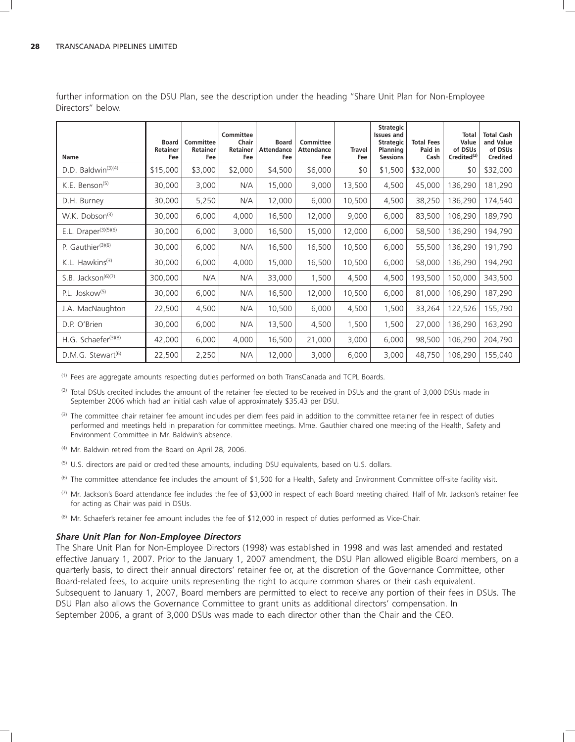| Name                            | <b>Board</b><br><b>Retainer</b><br>Fee | Committee<br>Retainer<br>Fee | Committee<br>Chair<br><b>Retainer</b><br>Fee | <b>Board</b><br><b>Attendance</b><br>Fee | Committee<br><b>Attendance</b><br>Fee | <b>Travel</b><br>Fee | <b>Strategic</b><br><b>Issues and</b><br><b>Strategic</b><br>Planning<br><b>Sessions</b> | <b>Total Fees</b><br>Paid in<br>Cash | <b>Total</b><br>Value<br>of DSUs<br>Credited <sup>(2)</sup> | <b>Total Cash</b><br>and Value<br>of DSUs<br>Credited |
|---------------------------------|----------------------------------------|------------------------------|----------------------------------------------|------------------------------------------|---------------------------------------|----------------------|------------------------------------------------------------------------------------------|--------------------------------------|-------------------------------------------------------------|-------------------------------------------------------|
| D.D. Baldwin <sup>(3)(4)</sup>  | \$15,000                               | \$3,000                      | \$2,000                                      | \$4,500                                  | \$6,000                               | \$0                  | \$1,500                                                                                  | \$32,000                             | \$0                                                         | \$32,000                                              |
| K.E. Benson <sup>(5)</sup>      | 30,000                                 | 3,000                        | N/A                                          | 15,000                                   | 9,000                                 | 13,500               | 4,500                                                                                    | 45,000                               | 136,290                                                     | 181,290                                               |
| D.H. Burney                     | 30,000                                 | 5,250                        | N/A                                          | 12,000                                   | 6,000                                 | 10,500               | 4,500                                                                                    | 38,250                               | 136,290                                                     | 174,540                                               |
| W.K. Dobson <sup>(3)</sup>      | 30,000                                 | 6,000                        | 4,000                                        | 16,500                                   | 12,000                                | 9,000                | 6,000                                                                                    | 83,500                               | 106,290                                                     | 189,790                                               |
| E.L. Draper $(3)(5)(6)$         | 30,000                                 | 6,000                        | 3,000                                        | 16,500                                   | 15,000                                | 12,000               | 6,000                                                                                    | 58,500                               | 136,290                                                     | 194,790                                               |
| P. Gauthier(3)(6)               | 30,000                                 | 6,000                        | N/A                                          | 16,500                                   | 16,500                                | 10,500               | 6,000                                                                                    | 55,500                               | 136,290                                                     | 191,790                                               |
| K.L. Hawkins $(3)$              | 30,000                                 | 6,000                        | 4,000                                        | 15,000                                   | 16,500                                | 10,500               | 6,000                                                                                    | 58,000                               | 136,290                                                     | 194,290                                               |
| S.B. Jackson <sup>(6)(7)</sup>  | 300,000                                | N/A                          | N/A                                          | 33,000                                   | 1,500                                 | 4,500                | 4,500                                                                                    | 193,500                              | 150,000                                                     | 343,500                                               |
| P.L. Joskow <sup>(5)</sup>      | 30,000                                 | 6,000                        | N/A                                          | 16,500                                   | 12,000                                | 10,500               | 6,000                                                                                    | 81,000                               | 106,290                                                     | 187,290                                               |
| J.A. MacNaughton                | 22,500                                 | 4,500                        | N/A                                          | 10,500                                   | 6,000                                 | 4,500                | 1,500                                                                                    | 33,264                               | 122,526                                                     | 155,790                                               |
| D.P. O'Brien                    | 30,000                                 | 6,000                        | N/A                                          | 13,500                                   | 4,500                                 | 1,500                | 1,500                                                                                    | 27,000                               | 136,290                                                     | 163,290                                               |
| H.G. Schaefer <sup>(3)(8)</sup> | 42,000                                 | 6,000                        | 4,000                                        | 16,500                                   | 21,000                                | 3,000                | 6,000                                                                                    | 98,500                               | 106,290                                                     | 204,790                                               |
| D.M.G. Stewart <sup>(6)</sup>   | 22,500                                 | 2,250                        | N/A                                          | 12,000                                   | 3,000                                 | 6,000                | 3,000                                                                                    | 48,750                               | 106,290                                                     | 155,040                                               |

further information on the DSU Plan, see the description under the heading ''Share Unit Plan for Non-Employee Directors'' below.

(1) Fees are aggregate amounts respecting duties performed on both TransCanada and TCPL Boards.

 $(2)$  Total DSUs credited includes the amount of the retainer fee elected to be received in DSUs and the grant of 3,000 DSUs made in September 2006 which had an initial cash value of approximately \$35.43 per DSU.

- (3) The committee chair retainer fee amount includes per diem fees paid in addition to the committee retainer fee in respect of duties performed and meetings held in preparation for committee meetings. Mme. Gauthier chaired one meeting of the Health, Safety and Environment Committee in Mr. Baldwin's absence.
- (4) Mr. Baldwin retired from the Board on April 28, 2006.
- <sup>(5)</sup> U.S. directors are paid or credited these amounts, including DSU equivalents, based on U.S. dollars.
- (6) The committee attendance fee includes the amount of \$1,500 for a Health, Safety and Environment Committee off-site facility visit.
- $(7)$  Mr. Jackson's Board attendance fee includes the fee of \$3,000 in respect of each Board meeting chaired. Half of Mr. Jackson's retainer fee for acting as Chair was paid in DSUs.
- (8) Mr. Schaefer's retainer fee amount includes the fee of \$12,000 in respect of duties performed as Vice-Chair.

#### *Share Unit Plan for Non-Employee Directors*

The Share Unit Plan for Non-Employee Directors (1998) was established in 1998 and was last amended and restated effective January 1, 2007. Prior to the January 1, 2007 amendment, the DSU Plan allowed eligible Board members, on a quarterly basis, to direct their annual directors' retainer fee or, at the discretion of the Governance Committee, other Board-related fees, to acquire units representing the right to acquire common shares or their cash equivalent. Subsequent to January 1, 2007, Board members are permitted to elect to receive any portion of their fees in DSUs. The DSU Plan also allows the Governance Committee to grant units as additional directors' compensation. In September 2006, a grant of 3,000 DSUs was made to each director other than the Chair and the CEO.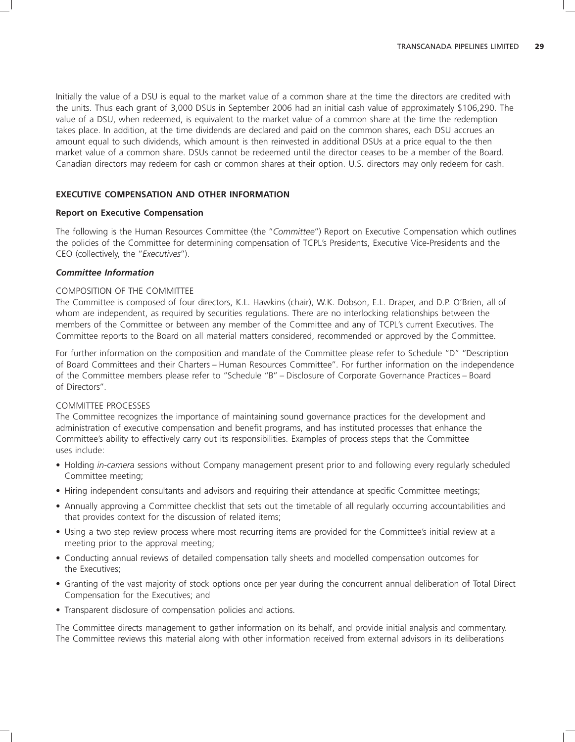Initially the value of a DSU is equal to the market value of a common share at the time the directors are credited with the units. Thus each grant of 3,000 DSUs in September 2006 had an initial cash value of approximately \$106,290. The value of a DSU, when redeemed, is equivalent to the market value of a common share at the time the redemption takes place. In addition, at the time dividends are declared and paid on the common shares, each DSU accrues an amount equal to such dividends, which amount is then reinvested in additional DSUs at a price equal to the then market value of a common share. DSUs cannot be redeemed until the director ceases to be a member of the Board. Canadian directors may redeem for cash or common shares at their option. U.S. directors may only redeem for cash.

### **EXECUTIVE COMPENSATION AND OTHER INFORMATION**

#### **Report on Executive Compensation**

The following is the Human Resources Committee (the ''*Committee*'') Report on Executive Compensation which outlines the policies of the Committee for determining compensation of TCPL's Presidents, Executive Vice-Presidents and the CEO (collectively, the ''*Executives*'').

#### *Committee Information*

# COMPOSITION OF THE COMMITTEE

The Committee is composed of four directors, K.L. Hawkins (chair), W.K. Dobson, E.L. Draper, and D.P. O'Brien, all of whom are independent, as required by securities regulations. There are no interlocking relationships between the members of the Committee or between any member of the Committee and any of TCPL's current Executives. The Committee reports to the Board on all material matters considered, recommended or approved by the Committee.

For further information on the composition and mandate of the Committee please refer to Schedule ''D'' ''Description of Board Committees and their Charters – Human Resources Committee''. For further information on the independence of the Committee members please refer to ''Schedule ''B'' – Disclosure of Corporate Governance Practices – Board of Directors''.

#### COMMITTEE PROCESSES

The Committee recognizes the importance of maintaining sound governance practices for the development and administration of executive compensation and benefit programs, and has instituted processes that enhance the Committee's ability to effectively carry out its responsibilities. Examples of process steps that the Committee uses include:

- Holding *in-camera* sessions without Company management present prior to and following every regularly scheduled Committee meeting;
- Hiring independent consultants and advisors and requiring their attendance at specific Committee meetings;
- Annually approving a Committee checklist that sets out the timetable of all regularly occurring accountabilities and that provides context for the discussion of related items;
- Using a two step review process where most recurring items are provided for the Committee's initial review at a meeting prior to the approval meeting;
- Conducting annual reviews of detailed compensation tally sheets and modelled compensation outcomes for the Executives;
- Granting of the vast majority of stock options once per year during the concurrent annual deliberation of Total Direct Compensation for the Executives; and
- Transparent disclosure of compensation policies and actions.

The Committee directs management to gather information on its behalf, and provide initial analysis and commentary. The Committee reviews this material along with other information received from external advisors in its deliberations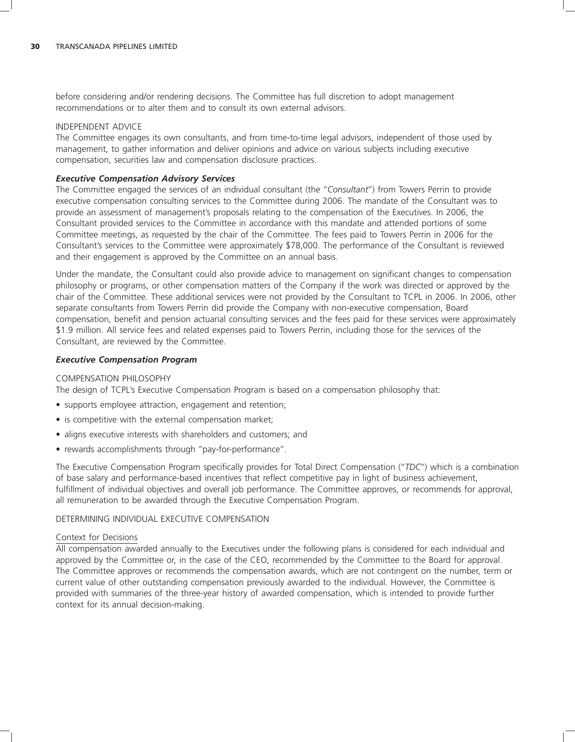before considering and/or rendering decisions. The Committee has full discretion to adopt management recommendations or to alter them and to consult its own external advisors.

#### INDEPENDENT ADVICE

The Committee engages its own consultants, and from time-to-time legal advisors, independent of those used by management, to gather information and deliver opinions and advice on various subjects including executive compensation, securities law and compensation disclosure practices.

#### *Executive Compensation Advisory Services*

The Committee engaged the services of an individual consultant (the ''*Consultant*'') from Towers Perrin to provide executive compensation consulting services to the Committee during 2006. The mandate of the Consultant was to provide an assessment of management's proposals relating to the compensation of the Executives. In 2006, the Consultant provided services to the Committee in accordance with this mandate and attended portions of some Committee meetings, as requested by the chair of the Committee. The fees paid to Towers Perrin in 2006 for the Consultant's services to the Committee were approximately \$78,000. The performance of the Consultant is reviewed and their engagement is approved by the Committee on an annual basis.

Under the mandate, the Consultant could also provide advice to management on significant changes to compensation philosophy or programs, or other compensation matters of the Company if the work was directed or approved by the chair of the Committee. These additional services were not provided by the Consultant to TCPL in 2006. In 2006, other separate consultants from Towers Perrin did provide the Company with non-executive compensation, Board compensation, benefit and pension actuarial consulting services and the fees paid for these services were approximately \$1.9 million. All service fees and related expenses paid to Towers Perrin, including those for the services of the Consultant, are reviewed by the Committee.

#### *Executive Compensation Program*

#### COMPENSATION PHILOSOPHY

The design of TCPL's Executive Compensation Program is based on a compensation philosophy that:

- supports employee attraction, engagement and retention;
- is competitive with the external compensation market;
- aligns executive interests with shareholders and customers; and
- rewards accomplishments through ''pay-for-performance''.

The Executive Compensation Program specifically provides for Total Direct Compensation (''*TDC*'') which is a combination of base salary and performance-based incentives that reflect competitive pay in light of business achievement, fulfillment of individual objectives and overall job performance. The Committee approves, or recommends for approval, all remuneration to be awarded through the Executive Compensation Program.

### DETERMINING INDIVIDUAL EXECUTIVE COMPENSATION

### Context for Decisions

All compensation awarded annually to the Executives under the following plans is considered for each individual and approved by the Committee or, in the case of the CEO, recommended by the Committee to the Board for approval. The Committee approves or recommends the compensation awards, which are not contingent on the number, term or current value of other outstanding compensation previously awarded to the individual. However, the Committee is provided with summaries of the three-year history of awarded compensation, which is intended to provide further context for its annual decision-making.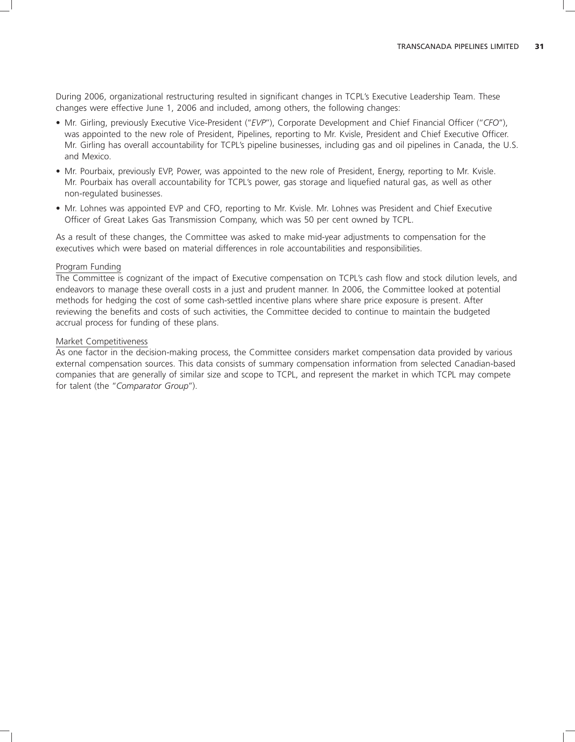During 2006, organizational restructuring resulted in significant changes in TCPL's Executive Leadership Team. These changes were effective June 1, 2006 and included, among others, the following changes:

- Mr. Girling, previously Executive Vice-President (''*EVP*''), Corporate Development and Chief Financial Officer (''*CFO*''), was appointed to the new role of President, Pipelines, reporting to Mr. Kvisle, President and Chief Executive Officer. Mr. Girling has overall accountability for TCPL's pipeline businesses, including gas and oil pipelines in Canada, the U.S. and Mexico.
- Mr. Pourbaix, previously EVP, Power, was appointed to the new role of President, Energy, reporting to Mr. Kvisle. Mr. Pourbaix has overall accountability for TCPL's power, gas storage and liquefied natural gas, as well as other non-regulated businesses.
- Mr. Lohnes was appointed EVP and CFO, reporting to Mr. Kvisle. Mr. Lohnes was President and Chief Executive Officer of Great Lakes Gas Transmission Company, which was 50 per cent owned by TCPL.

As a result of these changes, the Committee was asked to make mid-year adjustments to compensation for the executives which were based on material differences in role accountabilities and responsibilities.

#### Program Funding

The Committee is cognizant of the impact of Executive compensation on TCPL's cash flow and stock dilution levels, and endeavors to manage these overall costs in a just and prudent manner. In 2006, the Committee looked at potential methods for hedging the cost of some cash-settled incentive plans where share price exposure is present. After reviewing the benefits and costs of such activities, the Committee decided to continue to maintain the budgeted accrual process for funding of these plans.

#### Market Competitiveness

As one factor in the decision-making process, the Committee considers market compensation data provided by various external compensation sources. This data consists of summary compensation information from selected Canadian-based companies that are generally of similar size and scope to TCPL, and represent the market in which TCPL may compete for talent (the ''*Comparator Group*'').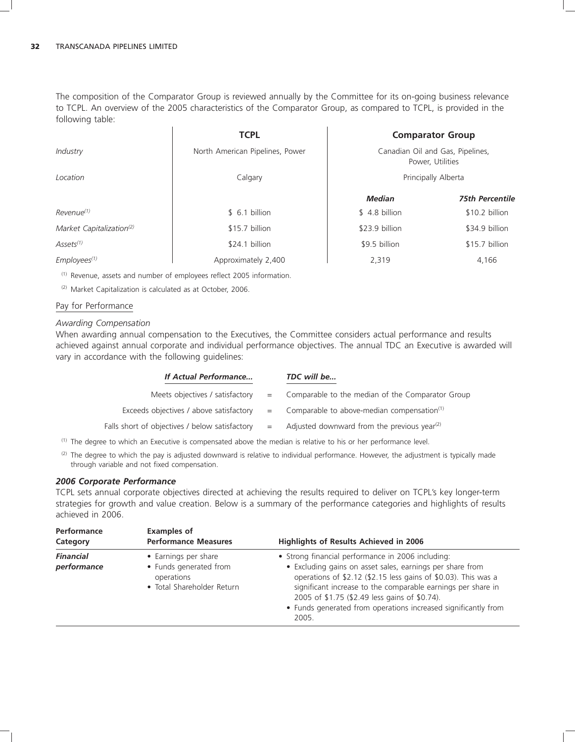The composition of the Comparator Group is reviewed annually by the Committee for its on-going business relevance to TCPL. An overview of the 2005 characteristics of the Comparator Group, as compared to TCPL, is provided in the following table:

|                                      | <b>TCPL</b>                     |                                                      | <b>Comparator Group</b> |  |
|--------------------------------------|---------------------------------|------------------------------------------------------|-------------------------|--|
| Industry                             | North American Pipelines, Power | Canadian Oil and Gas, Pipelines,<br>Power, Utilities |                         |  |
| Location                             | Calgary                         |                                                      | Principally Alberta     |  |
|                                      |                                 | <b>Median</b>                                        | <b>75th Percentile</b>  |  |
| Revenue <sup>(1)</sup>               | \$6.1 billion                   | \$4.8 billion                                        | \$10.2 billion          |  |
| Market Capitalization <sup>(2)</sup> | \$15.7 billion                  | \$23.9 billion                                       | \$34.9 billion          |  |
| $A$ ssets $(1)$                      | \$24.1 billion                  | \$9.5 billion                                        | \$15.7 billion          |  |
| $Employes^{(1)}$                     | Approximately 2,400             | 2.319                                                | 4,166                   |  |

(1) Revenue, assets and number of employees reflect 2005 information.

(2) Market Capitalization is calculated as at October, 2006.

### Pay for Performance

#### *Awarding Compensation*

When awarding annual compensation to the Executives, the Committee considers actual performance and results achieved against annual corporate and individual performance objectives. The annual TDC an Executive is awarded will vary in accordance with the following guidelines:

| If Actual Performance                          |     | TDC will be                                                |
|------------------------------------------------|-----|------------------------------------------------------------|
| Meets objectives / satisfactory                |     | = Comparable to the median of the Comparator Group         |
| Exceeds objectives / above satisfactory        |     | $=$ Comparable to above-median compensation <sup>(1)</sup> |
| Falls short of objectives / below satisfactory | $=$ | Adjusted downward from the previous year <sup>(2)</sup>    |

(1) The degree to which an Executive is compensated above the median is relative to his or her performance level.

<sup>(2)</sup> The degree to which the pay is adjusted downward is relative to individual performance. However, the adjustment is typically made through variable and not fixed compensation.

#### *2006 Corporate Performance*

TCPL sets annual corporate objectives directed at achieving the results required to deliver on TCPL's key longer-term strategies for growth and value creation. Below is a summary of the performance categories and highlights of results achieved in 2006.

| Performance<br>Category         | <b>Examples of</b><br><b>Performance Measures</b>                                          | Highlights of Results Achieved in 2006                                                                                                                                                                                                                                                                                                                                       |
|---------------------------------|--------------------------------------------------------------------------------------------|------------------------------------------------------------------------------------------------------------------------------------------------------------------------------------------------------------------------------------------------------------------------------------------------------------------------------------------------------------------------------|
| <b>Financial</b><br>performance | • Earnings per share<br>• Funds generated from<br>operations<br>• Total Shareholder Return | • Strong financial performance in 2006 including:<br>• Excluding gains on asset sales, earnings per share from<br>operations of \$2.12 (\$2.15 less gains of \$0.03). This was a<br>significant increase to the comparable earnings per share in<br>2005 of \$1.75 (\$2.49 less gains of \$0.74).<br>• Funds generated from operations increased significantly from<br>2005. |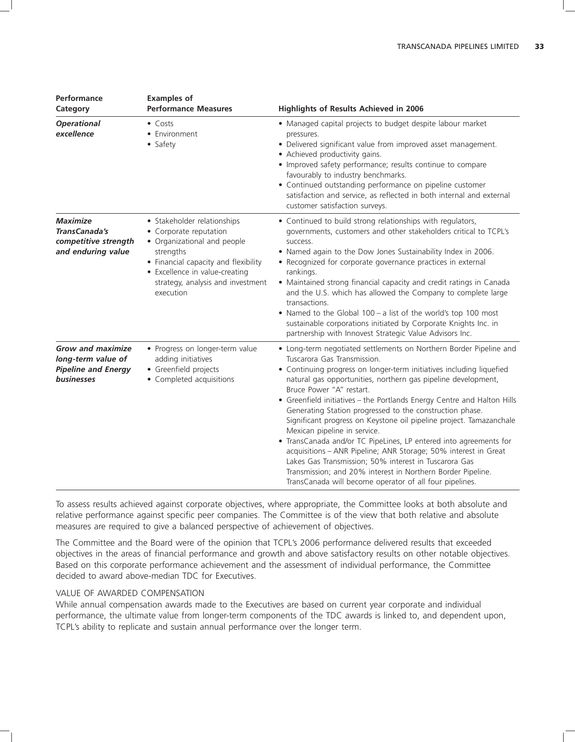| Performance<br>Category                                                                    | <b>Examples of</b><br><b>Performance Measures</b>                                                                                                                                                                             | Highlights of Results Achieved in 2006                                                                                                                                                                                                                                                                                                                                                                                                                                                                                                                                                                                                                                                                                                                                                                                                          |
|--------------------------------------------------------------------------------------------|-------------------------------------------------------------------------------------------------------------------------------------------------------------------------------------------------------------------------------|-------------------------------------------------------------------------------------------------------------------------------------------------------------------------------------------------------------------------------------------------------------------------------------------------------------------------------------------------------------------------------------------------------------------------------------------------------------------------------------------------------------------------------------------------------------------------------------------------------------------------------------------------------------------------------------------------------------------------------------------------------------------------------------------------------------------------------------------------|
| <b>Operational</b><br>excellence                                                           | $\bullet$ Costs<br>• Environment<br>• Safety                                                                                                                                                                                  | • Managed capital projects to budget despite labour market<br>pressures.<br>· Delivered significant value from improved asset management.<br>• Achieved productivity gains.<br>• Improved safety performance; results continue to compare<br>favourably to industry benchmarks.<br>• Continued outstanding performance on pipeline customer<br>satisfaction and service, as reflected in both internal and external<br>customer satisfaction surveys.                                                                                                                                                                                                                                                                                                                                                                                           |
| <b>Maximize</b><br>TransCanada's<br>competitive strength<br>and enduring value             | • Stakeholder relationships<br>• Corporate reputation<br>• Organizational and people<br>strengths<br>• Financial capacity and flexibility<br>• Excellence in value-creating<br>strategy, analysis and investment<br>execution | • Continued to build strong relationships with regulators,<br>governments, customers and other stakeholders critical to TCPL's<br>success.<br>. Named again to the Dow Jones Sustainability Index in 2006.<br>• Recognized for corporate governance practices in external<br>rankings.<br>• Maintained strong financial capacity and credit ratings in Canada<br>and the U.S. which has allowed the Company to complete large<br>transactions.<br>• Named to the Global 100 - a list of the world's top 100 most<br>sustainable corporations initiated by Corporate Knights Inc. in<br>partnership with Innovest Strategic Value Advisors Inc.                                                                                                                                                                                                  |
| <b>Grow and maximize</b><br>long-term value of<br><b>Pipeline and Energy</b><br>businesses | • Progress on longer-term value<br>adding initiatives<br>• Greenfield projects<br>• Completed acquisitions                                                                                                                    | • Long-term negotiated settlements on Northern Border Pipeline and<br>Tuscarora Gas Transmission.<br>• Continuing progress on longer-term initiatives including liquefied<br>natural gas opportunities, northern gas pipeline development,<br>Bruce Power "A" restart.<br>• Greenfield initiatives - the Portlands Energy Centre and Halton Hills<br>Generating Station progressed to the construction phase.<br>Significant progress on Keystone oil pipeline project. Tamazanchale<br>Mexican pipeline in service.<br>• TransCanada and/or TC PipeLines, LP entered into agreements for<br>acquisitions - ANR Pipeline; ANR Storage; 50% interest in Great<br>Lakes Gas Transmission; 50% interest in Tuscarora Gas<br>Transmission; and 20% interest in Northern Border Pipeline.<br>TransCanada will become operator of all four pipelines. |

To assess results achieved against corporate objectives, where appropriate, the Committee looks at both absolute and relative performance against specific peer companies. The Committee is of the view that both relative and absolute measures are required to give a balanced perspective of achievement of objectives.

The Committee and the Board were of the opinion that TCPL's 2006 performance delivered results that exceeded objectives in the areas of financial performance and growth and above satisfactory results on other notable objectives. Based on this corporate performance achievement and the assessment of individual performance, the Committee decided to award above-median TDC for Executives.

# VALUE OF AWARDED COMPENSATION

While annual compensation awards made to the Executives are based on current year corporate and individual performance, the ultimate value from longer-term components of the TDC awards is linked to, and dependent upon, TCPL's ability to replicate and sustain annual performance over the longer term.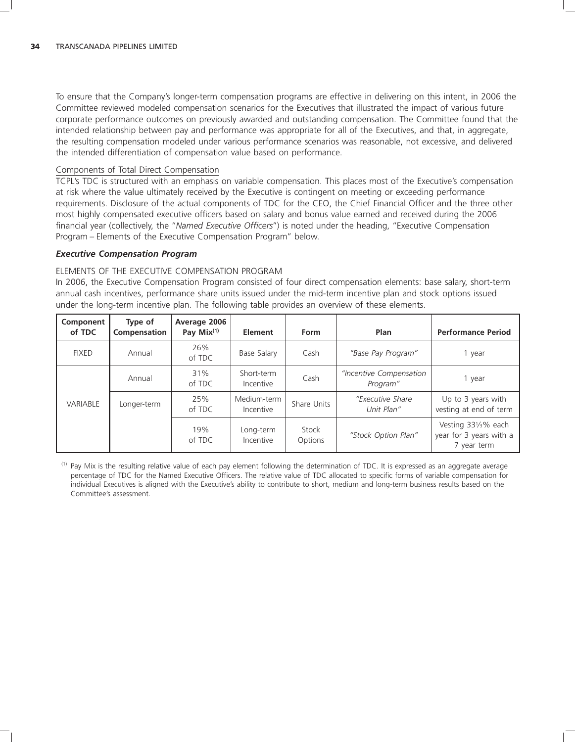To ensure that the Company's longer-term compensation programs are effective in delivering on this intent, in 2006 the Committee reviewed modeled compensation scenarios for the Executives that illustrated the impact of various future corporate performance outcomes on previously awarded and outstanding compensation. The Committee found that the intended relationship between pay and performance was appropriate for all of the Executives, and that, in aggregate, the resulting compensation modeled under various performance scenarios was reasonable, not excessive, and delivered the intended differentiation of compensation value based on performance.

# Components of Total Direct Compensation

TCPL's TDC is structured with an emphasis on variable compensation. This places most of the Executive's compensation at risk where the value ultimately received by the Executive is contingent on meeting or exceeding performance requirements. Disclosure of the actual components of TDC for the CEO, the Chief Financial Officer and the three other most highly compensated executive officers based on salary and bonus value earned and received during the 2006 financial year (collectively, the ''*Named Executive Officers*'') is noted under the heading, ''Executive Compensation Program – Elements of the Executive Compensation Program'' below.

### *Executive Compensation Program*

### ELEMENTS OF THE EXECUTIVE COMPENSATION PROGRAM

In 2006, the Executive Compensation Program consisted of four direct compensation elements: base salary, short-term annual cash incentives, performance share units issued under the mid-term incentive plan and stock options issued under the long-term incentive plan. The following table provides an overview of these elements.

| Component<br>of TDC | Type of<br>Compensation | Average 2006<br>Pay $Mix^{(1)}$ | Element                  | Form                       | Plan                                | <b>Performance Period</b>                                     |
|---------------------|-------------------------|---------------------------------|--------------------------|----------------------------|-------------------------------------|---------------------------------------------------------------|
| <b>FIXED</b>        | Annual                  | 26%<br>of TDC                   | Base Salary              | Cash<br>"Base Pay Program" |                                     | 1 year                                                        |
|                     | Annual                  | 31%<br>of TDC                   | Short-term<br>Incentive  | Cash                       | "Incentive Compensation<br>Program" | 1 year                                                        |
| VARIABLE            | Longer-term             | 25%<br>of TDC                   | Medium-term<br>Incentive | Share Units                | "Executive Share<br>Unit Plan"      | Up to 3 years with<br>vesting at end of term                  |
|                     |                         | 19%<br>of TDC                   | Long-term<br>Incentive   | Stock<br>Options           | "Stock Option Plan"                 | Vesting 331/3% each<br>year for 3 years with a<br>7 year term |

(1) Pay Mix is the resulting relative value of each pay element following the determination of TDC. It is expressed as an aggregate average percentage of TDC for the Named Executive Officers. The relative value of TDC allocated to specific forms of variable compensation for individual Executives is aligned with the Executive's ability to contribute to short, medium and long-term business results based on the Committee's assessment.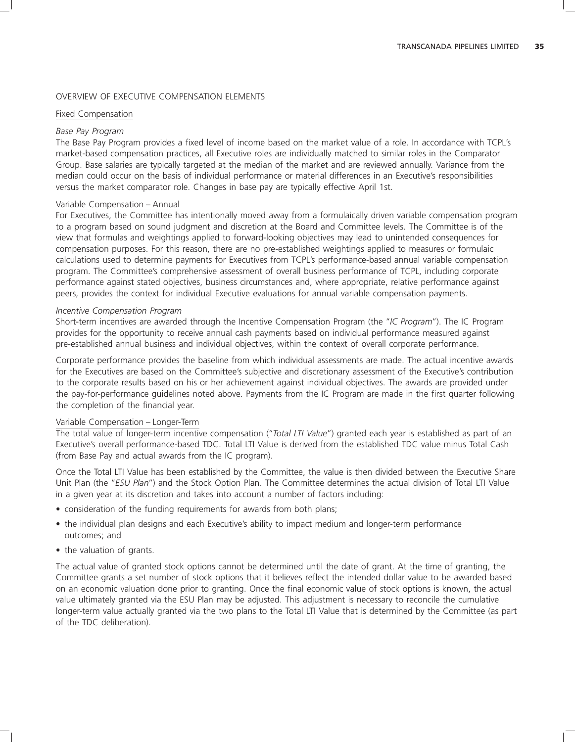### OVERVIEW OF EXECUTIVE COMPENSATION ELEMENTS

# Fixed Compensation

### *Base Pay Program*

The Base Pay Program provides a fixed level of income based on the market value of a role. In accordance with TCPL's market-based compensation practices, all Executive roles are individually matched to similar roles in the Comparator Group. Base salaries are typically targeted at the median of the market and are reviewed annually. Variance from the median could occur on the basis of individual performance or material differences in an Executive's responsibilities versus the market comparator role. Changes in base pay are typically effective April 1st.

### Variable Compensation – Annual

For Executives, the Committee has intentionally moved away from a formulaically driven variable compensation program to a program based on sound judgment and discretion at the Board and Committee levels. The Committee is of the view that formulas and weightings applied to forward-looking objectives may lead to unintended consequences for compensation purposes. For this reason, there are no pre-established weightings applied to measures or formulaic calculations used to determine payments for Executives from TCPL's performance-based annual variable compensation program. The Committee's comprehensive assessment of overall business performance of TCPL, including corporate performance against stated objectives, business circumstances and, where appropriate, relative performance against peers, provides the context for individual Executive evaluations for annual variable compensation payments.

#### *Incentive Compensation Program*

Short-term incentives are awarded through the Incentive Compensation Program (the ''*IC Program*''). The IC Program provides for the opportunity to receive annual cash payments based on individual performance measured against pre-established annual business and individual objectives, within the context of overall corporate performance.

Corporate performance provides the baseline from which individual assessments are made. The actual incentive awards for the Executives are based on the Committee's subjective and discretionary assessment of the Executive's contribution to the corporate results based on his or her achievement against individual objectives. The awards are provided under the pay-for-performance guidelines noted above. Payments from the IC Program are made in the first quarter following the completion of the financial year.

### Variable Compensation – Longer-Term

The total value of longer-term incentive compensation (''*Total LTI Value*'') granted each year is established as part of an Executive's overall performance-based TDC. Total LTI Value is derived from the established TDC value minus Total Cash (from Base Pay and actual awards from the IC program).

Once the Total LTI Value has been established by the Committee, the value is then divided between the Executive Share Unit Plan (the ''*ESU Plan*'') and the Stock Option Plan. The Committee determines the actual division of Total LTI Value in a given year at its discretion and takes into account a number of factors including:

- consideration of the funding requirements for awards from both plans;
- the individual plan designs and each Executive's ability to impact medium and longer-term performance outcomes; and
- the valuation of grants.

The actual value of granted stock options cannot be determined until the date of grant. At the time of granting, the Committee grants a set number of stock options that it believes reflect the intended dollar value to be awarded based on an economic valuation done prior to granting. Once the final economic value of stock options is known, the actual value ultimately granted via the ESU Plan may be adjusted. This adjustment is necessary to reconcile the cumulative longer-term value actually granted via the two plans to the Total LTI Value that is determined by the Committee (as part of the TDC deliberation).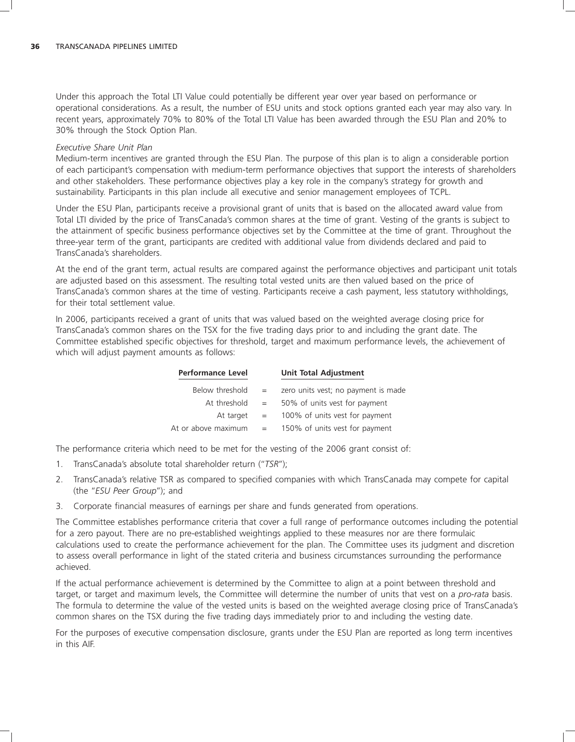Under this approach the Total LTI Value could potentially be different year over year based on performance or operational considerations. As a result, the number of ESU units and stock options granted each year may also vary. In recent years, approximately 70% to 80% of the Total LTI Value has been awarded through the ESU Plan and 20% to 30% through the Stock Option Plan.

#### *Executive Share Unit Plan*

Medium-term incentives are granted through the ESU Plan. The purpose of this plan is to align a considerable portion of each participant's compensation with medium-term performance objectives that support the interests of shareholders and other stakeholders. These performance objectives play a key role in the company's strategy for growth and sustainability. Participants in this plan include all executive and senior management employees of TCPL.

Under the ESU Plan, participants receive a provisional grant of units that is based on the allocated award value from Total LTI divided by the price of TransCanada's common shares at the time of grant. Vesting of the grants is subject to the attainment of specific business performance objectives set by the Committee at the time of grant. Throughout the three-year term of the grant, participants are credited with additional value from dividends declared and paid to TransCanada's shareholders.

At the end of the grant term, actual results are compared against the performance objectives and participant unit totals are adjusted based on this assessment. The resulting total vested units are then valued based on the price of TransCanada's common shares at the time of vesting. Participants receive a cash payment, less statutory withholdings, for their total settlement value.

In 2006, participants received a grant of units that was valued based on the weighted average closing price for TransCanada's common shares on the TSX for the five trading days prior to and including the grant date. The Committee established specific objectives for threshold, target and maximum performance levels, the achievement of which will adjust payment amounts as follows:

| <b>Performance Level</b> |     | <b>Unit Total Adjustment</b>        |
|--------------------------|-----|-------------------------------------|
| Below threshold          | $=$ | zero units vest; no payment is made |
| At threshold             | $=$ | 50% of units vest for payment       |
| At target                | $=$ | 100% of units vest for payment      |
| At or above maximum      |     | 150% of units vest for payment      |

The performance criteria which need to be met for the vesting of the 2006 grant consist of:

- 1. TransCanada's absolute total shareholder return (''*TSR*'');
- 2. TransCanada's relative TSR as compared to specified companies with which TransCanada may compete for capital (the ''*ESU Peer Group*''); and
- 3. Corporate financial measures of earnings per share and funds generated from operations.

The Committee establishes performance criteria that cover a full range of performance outcomes including the potential for a zero payout. There are no pre-established weightings applied to these measures nor are there formulaic calculations used to create the performance achievement for the plan. The Committee uses its judgment and discretion to assess overall performance in light of the stated criteria and business circumstances surrounding the performance achieved.

If the actual performance achievement is determined by the Committee to align at a point between threshold and target, or target and maximum levels, the Committee will determine the number of units that vest on a *pro-rata* basis. The formula to determine the value of the vested units is based on the weighted average closing price of TransCanada's common shares on the TSX during the five trading days immediately prior to and including the vesting date.

For the purposes of executive compensation disclosure, grants under the ESU Plan are reported as long term incentives in this AIF.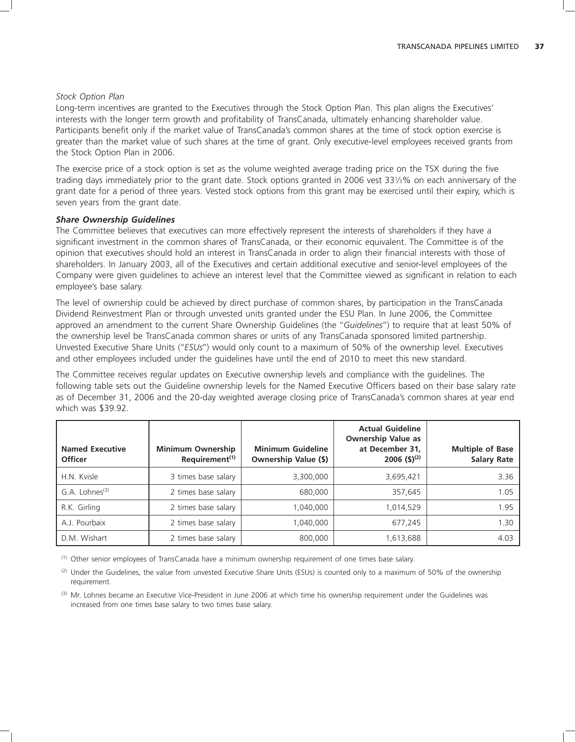#### *Stock Option Plan*

Long-term incentives are granted to the Executives through the Stock Option Plan. This plan aligns the Executives' interests with the longer term growth and profitability of TransCanada, ultimately enhancing shareholder value. Participants benefit only if the market value of TransCanada's common shares at the time of stock option exercise is greater than the market value of such shares at the time of grant. Only executive-level employees received grants from the Stock Option Plan in 2006.

The exercise price of a stock option is set as the volume weighted average trading price on the TSX during the five trading days immediately prior to the grant date. Stock options granted in 2006 vest 331⁄3% on each anniversary of the grant date for a period of three years. Vested stock options from this grant may be exercised until their expiry, which is seven years from the grant date.

### *Share Ownership Guidelines*

The Committee believes that executives can more effectively represent the interests of shareholders if they have a significant investment in the common shares of TransCanada, or their economic equivalent. The Committee is of the opinion that executives should hold an interest in TransCanada in order to align their financial interests with those of shareholders. In January 2003, all of the Executives and certain additional executive and senior-level employees of the Company were given guidelines to achieve an interest level that the Committee viewed as significant in relation to each employee's base salary.

The level of ownership could be achieved by direct purchase of common shares, by participation in the TransCanada Dividend Reinvestment Plan or through unvested units granted under the ESU Plan. In June 2006, the Committee approved an amendment to the current Share Ownership Guidelines (the ''*Guidelines*'') to require that at least 50% of the ownership level be TransCanada common shares or units of any TransCanada sponsored limited partnership. Unvested Executive Share Units (''*ESUs*'') would only count to a maximum of 50% of the ownership level. Executives and other employees included under the guidelines have until the end of 2010 to meet this new standard.

The Committee receives regular updates on Executive ownership levels and compliance with the guidelines. The following table sets out the Guideline ownership levels for the Named Executive Officers based on their base salary rate as of December 31, 2006 and the 20-day weighted average closing price of TransCanada's common shares at year end which was \$39.92.

| <b>Named Executive</b><br><b>Officer</b> | <b>Minimum Ownership</b><br>Requirement <sup>(1)</sup> | <b>Minimum Guideline</b><br><b>Ownership Value (\$)</b> | <b>Actual Guideline</b><br><b>Ownership Value as</b><br>at December 31,<br>$2006$ (\$) <sup>(2)</sup> | <b>Multiple of Base</b><br><b>Salary Rate</b> |
|------------------------------------------|--------------------------------------------------------|---------------------------------------------------------|-------------------------------------------------------------------------------------------------------|-----------------------------------------------|
| H.N. Kvisle                              | 3 times base salary                                    | 3,300,000                                               | 3,695,421                                                                                             | 3.36                                          |
| G.A. Lohnes <sup>(3)</sup>               | 2 times base salary                                    | 680,000                                                 | 357,645                                                                                               | 1.05                                          |
| R.K. Girling                             | 2 times base salary                                    | 1.040.000                                               | 1,014,529                                                                                             | 1.95                                          |
| A.J. Pourbaix                            | 2 times base salary                                    | 1,040,000                                               | 677,245                                                                                               | 1.30                                          |
| D.M. Wishart                             | 2 times base salary                                    | 800,000                                                 | 613,688                                                                                               | 4.03                                          |

(1) Other senior employees of TransCanada have a minimum ownership requirement of one times base salary.

(2) Under the Guidelines, the value from unvested Executive Share Units (ESUs) is counted only to a maximum of 50% of the ownership requirement.

(3) Mr. Lohnes became an Executive Vice-President in June 2006 at which time his ownership requirement under the Guidelines was increased from one times base salary to two times base salary.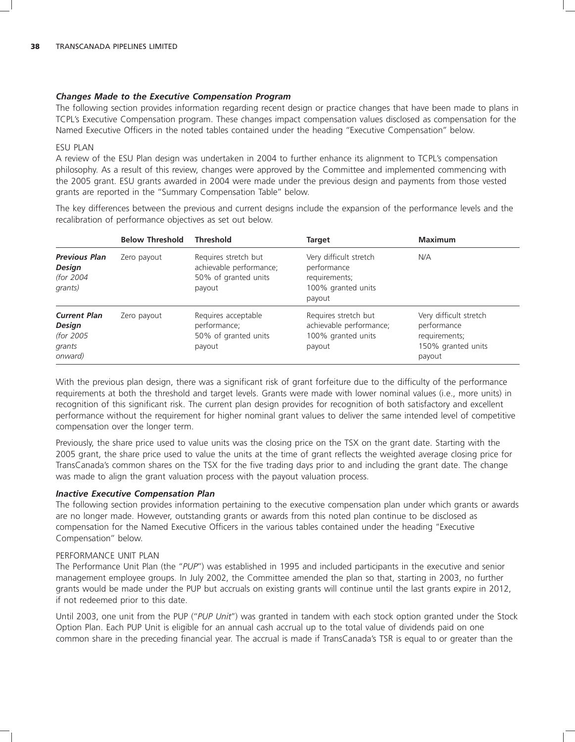# *Changes Made to the Executive Compensation Program*

The following section provides information regarding recent design or practice changes that have been made to plans in TCPL's Executive Compensation program. These changes impact compensation values disclosed as compensation for the Named Executive Officers in the noted tables contained under the heading ''Executive Compensation'' below.

### ESU PLAN

A review of the ESU Plan design was undertaken in 2004 to further enhance its alignment to TCPL's compensation philosophy. As a result of this review, changes were approved by the Committee and implemented commencing with the 2005 grant. ESU grants awarded in 2004 were made under the previous design and payments from those vested grants are reported in the ''Summary Compensation Table'' below.

The key differences between the previous and current designs include the expansion of the performance levels and the recalibration of performance objectives as set out below.

|                                                                         | <b>Below Threshold</b> | <b>Threshold</b>                                                                  | <b>Target</b>                                                                          | <b>Maximum</b>                                                                         |
|-------------------------------------------------------------------------|------------------------|-----------------------------------------------------------------------------------|----------------------------------------------------------------------------------------|----------------------------------------------------------------------------------------|
| <b>Previous Plan</b><br><b>Design</b><br>(for 2004<br>grants)           | Zero payout            | Requires stretch but<br>achievable performance;<br>50% of granted units<br>payout | Very difficult stretch<br>performance<br>requirements;<br>100% granted units<br>payout | N/A                                                                                    |
| <b>Current Plan</b><br><b>Design</b><br>(for 2005)<br>grants<br>onward) | Zero payout            | Requires acceptable<br>performance;<br>50% of granted units<br>payout             | Requires stretch but<br>achievable performance;<br>100% granted units<br>payout        | Very difficult stretch<br>performance<br>requirements;<br>150% granted units<br>payout |

With the previous plan design, there was a significant risk of grant forfeiture due to the difficulty of the performance requirements at both the threshold and target levels. Grants were made with lower nominal values (i.e., more units) in recognition of this significant risk. The current plan design provides for recognition of both satisfactory and excellent performance without the requirement for higher nominal grant values to deliver the same intended level of competitive compensation over the longer term.

Previously, the share price used to value units was the closing price on the TSX on the grant date. Starting with the 2005 grant, the share price used to value the units at the time of grant reflects the weighted average closing price for TransCanada's common shares on the TSX for the five trading days prior to and including the grant date. The change was made to align the grant valuation process with the payout valuation process.

### *Inactive Executive Compensation Plan*

The following section provides information pertaining to the executive compensation plan under which grants or awards are no longer made. However, outstanding grants or awards from this noted plan continue to be disclosed as compensation for the Named Executive Officers in the various tables contained under the heading ''Executive Compensation'' below.

### PERFORMANCE UNIT PLAN

The Performance Unit Plan (the ''*PUP*'') was established in 1995 and included participants in the executive and senior management employee groups. In July 2002, the Committee amended the plan so that, starting in 2003, no further grants would be made under the PUP but accruals on existing grants will continue until the last grants expire in 2012, if not redeemed prior to this date.

Until 2003, one unit from the PUP (''*PUP Unit*'') was granted in tandem with each stock option granted under the Stock Option Plan. Each PUP Unit is eligible for an annual cash accrual up to the total value of dividends paid on one common share in the preceding financial year. The accrual is made if TransCanada's TSR is equal to or greater than the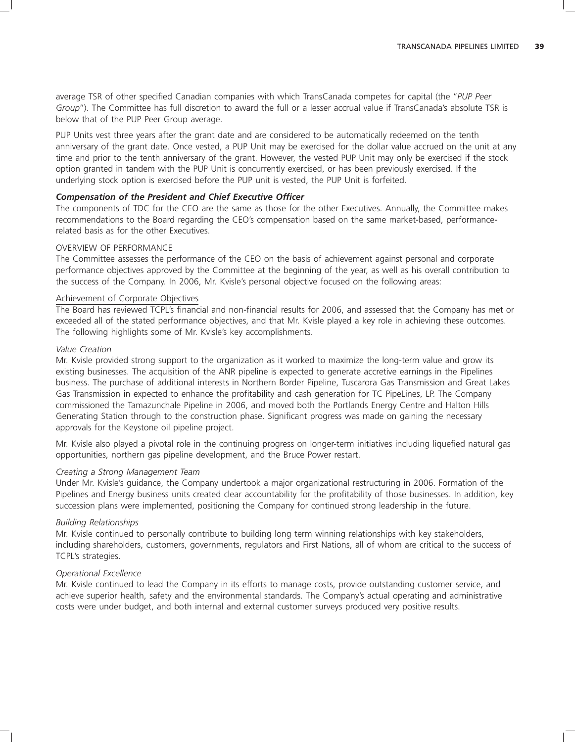average TSR of other specified Canadian companies with which TransCanada competes for capital (the ''*PUP Peer Group*''). The Committee has full discretion to award the full or a lesser accrual value if TransCanada's absolute TSR is below that of the PUP Peer Group average.

PUP Units vest three years after the grant date and are considered to be automatically redeemed on the tenth anniversary of the grant date. Once vested, a PUP Unit may be exercised for the dollar value accrued on the unit at any time and prior to the tenth anniversary of the grant. However, the vested PUP Unit may only be exercised if the stock option granted in tandem with the PUP Unit is concurrently exercised, or has been previously exercised. If the underlying stock option is exercised before the PUP unit is vested, the PUP Unit is forfeited.

#### *Compensation of the President and Chief Executive Officer*

The components of TDC for the CEO are the same as those for the other Executives. Annually, the Committee makes recommendations to the Board regarding the CEO's compensation based on the same market-based, performancerelated basis as for the other Executives.

#### OVERVIEW OF PERFORMANCE

The Committee assesses the performance of the CEO on the basis of achievement against personal and corporate performance objectives approved by the Committee at the beginning of the year, as well as his overall contribution to the success of the Company. In 2006, Mr. Kvisle's personal objective focused on the following areas:

#### Achievement of Corporate Objectives

The Board has reviewed TCPL's financial and non-financial results for 2006, and assessed that the Company has met or exceeded all of the stated performance objectives, and that Mr. Kvisle played a key role in achieving these outcomes. The following highlights some of Mr. Kvisle's key accomplishments.

#### *Value Creation*

Mr. Kvisle provided strong support to the organization as it worked to maximize the long-term value and grow its existing businesses. The acquisition of the ANR pipeline is expected to generate accretive earnings in the Pipelines business. The purchase of additional interests in Northern Border Pipeline, Tuscarora Gas Transmission and Great Lakes Gas Transmission in expected to enhance the profitability and cash generation for TC PipeLines, LP. The Company commissioned the Tamazunchale Pipeline in 2006, and moved both the Portlands Energy Centre and Halton Hills Generating Station through to the construction phase. Significant progress was made on gaining the necessary approvals for the Keystone oil pipeline project.

Mr. Kvisle also played a pivotal role in the continuing progress on longer-term initiatives including liquefied natural gas opportunities, northern gas pipeline development, and the Bruce Power restart.

### *Creating a Strong Management Team*

Under Mr. Kvisle's guidance, the Company undertook a major organizational restructuring in 2006. Formation of the Pipelines and Energy business units created clear accountability for the profitability of those businesses. In addition, key succession plans were implemented, positioning the Company for continued strong leadership in the future.

#### *Building Relationships*

Mr. Kvisle continued to personally contribute to building long term winning relationships with key stakeholders, including shareholders, customers, governments, regulators and First Nations, all of whom are critical to the success of TCPL's strategies.

#### *Operational Excellence*

Mr. Kvisle continued to lead the Company in its efforts to manage costs, provide outstanding customer service, and achieve superior health, safety and the environmental standards. The Company's actual operating and administrative costs were under budget, and both internal and external customer surveys produced very positive results.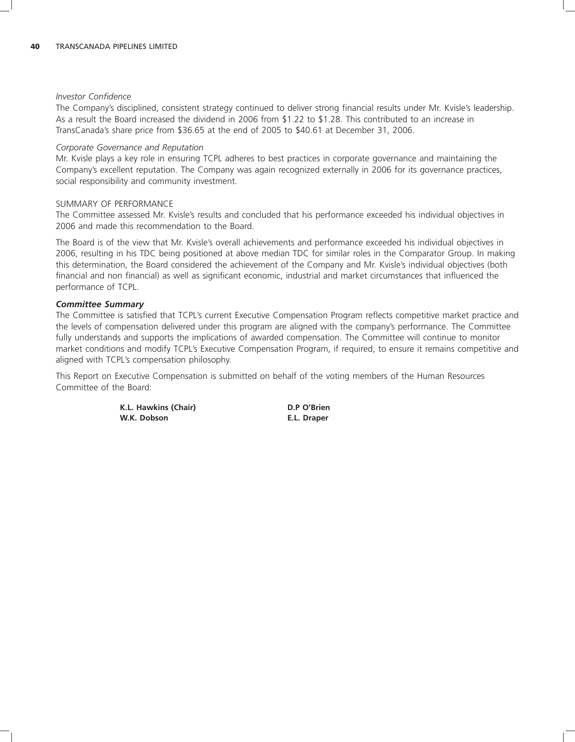#### *Investor Confidence*

The Company's disciplined, consistent strategy continued to deliver strong financial results under Mr. Kvisle's leadership. As a result the Board increased the dividend in 2006 from \$1.22 to \$1.28. This contributed to an increase in TransCanada's share price from \$36.65 at the end of 2005 to \$40.61 at December 31, 2006.

#### *Corporate Governance and Reputation*

Mr. Kvisle plays a key role in ensuring TCPL adheres to best practices in corporate governance and maintaining the Company's excellent reputation. The Company was again recognized externally in 2006 for its governance practices, social responsibility and community investment.

### SUMMARY OF PERFORMANCE

The Committee assessed Mr. Kvisle's results and concluded that his performance exceeded his individual objectives in 2006 and made this recommendation to the Board.

The Board is of the view that Mr. Kvisle's overall achievements and performance exceeded his individual objectives in 2006, resulting in his TDC being positioned at above median TDC for similar roles in the Comparator Group. In making this determination, the Board considered the achievement of the Company and Mr. Kvisle's individual objectives (both financial and non financial) as well as significant economic, industrial and market circumstances that influenced the performance of TCPL.

### *Committee Summary*

The Committee is satisfied that TCPL's current Executive Compensation Program reflects competitive market practice and the levels of compensation delivered under this program are aligned with the company's performance. The Committee fully understands and supports the implications of awarded compensation. The Committee will continue to monitor market conditions and modify TCPL's Executive Compensation Program, if required, to ensure it remains competitive and aligned with TCPL's compensation philosophy.

This Report on Executive Compensation is submitted on behalf of the voting members of the Human Resources Committee of the Board:

> **K.L. Hawkins (Chair) D.P O'Brien W.K. Dobson E.L. Draper**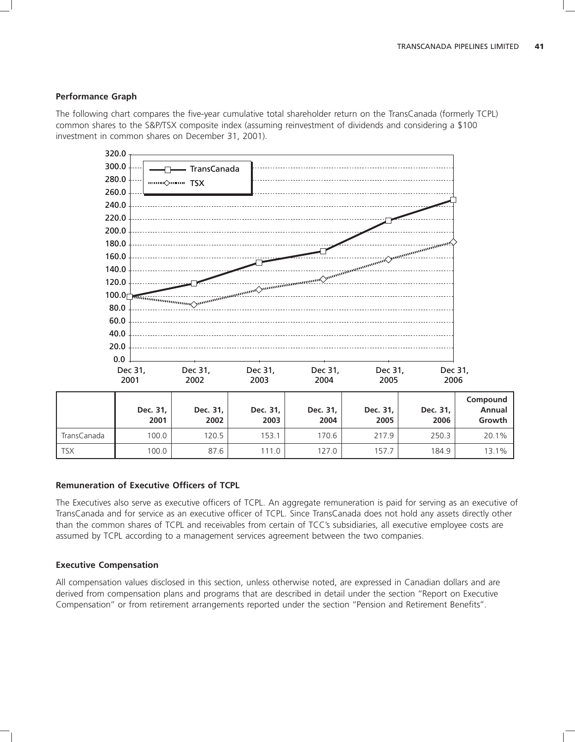### **Performance Graph**

The following chart compares the five-year cumulative total shareholder return on the TransCanada (formerly TCPL) common shares to the S&P/TSX composite index (assuming reinvestment of dividends and considering a \$100 investment in common shares on December 31, 2001).



#### **Remuneration of Executive Officers of TCPL**

The Executives also serve as executive officers of TCPL. An aggregate remuneration is paid for serving as an executive of TransCanada and for service as an executive officer of TCPL. Since TransCanada does not hold any assets directly other than the common shares of TCPL and receivables from certain of TCC's subsidiaries, all executive employee costs are assumed by TCPL according to a management services agreement between the two companies.

### **Executive Compensation**

All compensation values disclosed in this section, unless otherwise noted, are expressed in Canadian dollars and are derived from compensation plans and programs that are described in detail under the section ''Report on Executive Compensation'' or from retirement arrangements reported under the section ''Pension and Retirement Benefits''.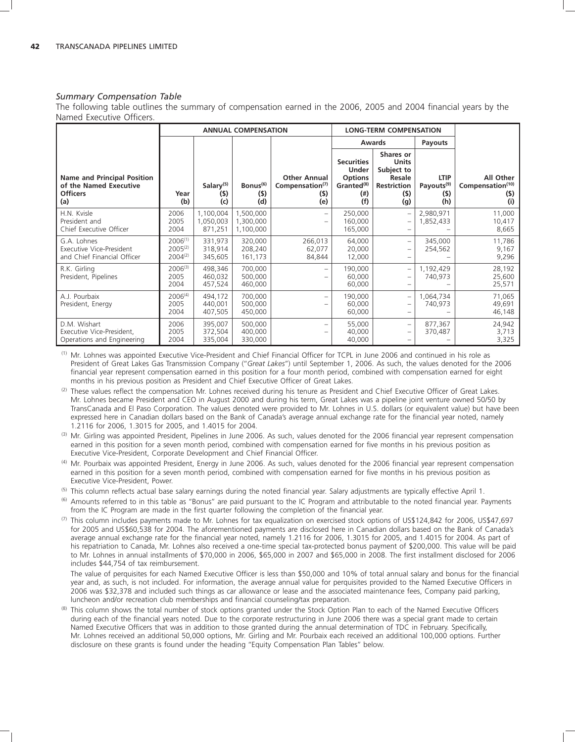#### *Summary Compensation Table*

The following table outlines the summary of compensation earned in the 2006, 2005 and 2004 financial years by the Named Executive Officers.

|                                                                                        |                                              | <b>LONG-TERM COMPENSATION</b><br><b>ANNUAL COMPENSATION</b> |                                     |                                                                  |                                                                                                   |                                                                                              |                                                     |                                                         |
|----------------------------------------------------------------------------------------|----------------------------------------------|-------------------------------------------------------------|-------------------------------------|------------------------------------------------------------------|---------------------------------------------------------------------------------------------------|----------------------------------------------------------------------------------------------|-----------------------------------------------------|---------------------------------------------------------|
|                                                                                        |                                              |                                                             |                                     |                                                                  |                                                                                                   | Awards                                                                                       | Payouts                                             |                                                         |
| <b>Name and Principal Position</b><br>of the Named Executive<br><b>Officers</b><br>(a) | Year<br>(b)                                  | Salary <sup>(5)</sup><br>(5)<br>(c)                         | Bonus <sup>(6)</sup><br>(5)<br>(d)  | <b>Other Annual</b><br>Compensation <sup>(7)</sup><br>(5)<br>(e) | <b>Securities</b><br><b>Under</b><br><b>Options</b><br>Granted <sup>(8)</sup><br>$($ # $)$<br>(f) | Shares or<br><b>Units</b><br>Subject to<br><b>Resale</b><br><b>Restriction</b><br>(5)<br>(g) | <b>LTIP</b><br>Payouts <sup>(9)</sup><br>(5)<br>(h) | All Other<br>Compensation <sup>(10)</sup><br>(5)<br>(i) |
| H.N. Kvisle<br>President and<br>Chief Executive Officer                                | 2006<br>2005<br>2004                         | 1,100,004<br>1,050,003<br>871,251                           | 1,500,000<br>1,300,000<br>1,100,000 |                                                                  | 250,000<br>160,000<br>165,000                                                                     |                                                                                              | 2,980,971<br>1,852,433                              | 11,000<br>10,417<br>8,665                               |
| G.A. Lohnes<br>Executive Vice-President<br>and Chief Financial Officer                 | $2006^{(1)}$<br>$2005^{(2)}$<br>$2004^{(2)}$ | 331.973<br>318,914<br>345,605                               | 320,000<br>208,240<br>161,173       | 266,013<br>62,077<br>84,844                                      | 64,000<br>20,000<br>12,000                                                                        | $\qquad \qquad -$<br>$\qquad \qquad -$                                                       | 345,000<br>254,562                                  | 11,786<br>9,167<br>9,296                                |
| R.K. Girling<br>President, Pipelines                                                   | $2006^{(3)}$<br>2005<br>2004                 | 498,346<br>460,032<br>457,524                               | 700,000<br>500,000<br>460,000       |                                                                  | 190,000<br>60,000<br>60,000                                                                       | $\qquad \qquad -$                                                                            | 1,192,429<br>740,973                                | 28,192<br>25,600<br>25,571                              |
| A.J. Pourbaix<br>President, Energy                                                     | $2006^{(4)}$<br>2005<br>2004                 | 494,172<br>440,001<br>407,505                               | 700,000<br>500,000<br>450,000       | $\qquad \qquad$                                                  | 190,000<br>60,000<br>60,000                                                                       | $\qquad \qquad -$                                                                            | 1,064,734<br>740,973                                | 71,065<br>49,691<br>46,148                              |
| D.M. Wishart<br>Executive Vice-President,<br>Operations and Engineering                | 2006<br>2005<br>2004                         | 395,007<br>372,504<br>335,004                               | 500,000<br>400,000<br>330,000       |                                                                  | 55,000<br>40,000<br>40,000                                                                        | $\qquad \qquad -$<br>$\qquad \qquad -$                                                       | 877,367<br>370,487                                  | 24,942<br>3,713<br>3,325                                |

(1) Mr. Lohnes was appointed Executive Vice-President and Chief Financial Officer for TCPL in June 2006 and continued in his role as President of Great Lakes Gas Transmission Company (''*Great Lakes*'') until September 1, 2006. As such, the values denoted for the 2006 financial year represent compensation earned in this position for a four month period, combined with compensation earned for eight months in his previous position as President and Chief Executive Officer of Great Lakes.

- (2) These values reflect the compensation Mr. Lohnes received during his tenure as President and Chief Executive Officer of Great Lakes. Mr. Lohnes became President and CEO in August 2000 and during his term, Great Lakes was a pipeline joint venture owned 50/50 by TransCanada and El Paso Corporation. The values denoted were provided to Mr. Lohnes in U.S. dollars (or equivalent value) but have been expressed here in Canadian dollars based on the Bank of Canada's average annual exchange rate for the financial year noted, namely 1.2116 for 2006, 1.3015 for 2005, and 1.4015 for 2004.
- (3) Mr. Girling was appointed President, Pipelines in June 2006. As such, values denoted for the 2006 financial year represent compensation earned in this position for a seven month period, combined with compensation earned for five months in his previous position as Executive Vice-President, Corporate Development and Chief Financial Officer.
- <sup>(4)</sup> Mr. Pourbaix was appointed President, Energy in June 2006. As such, values denoted for the 2006 financial year represent compensation earned in this position for a seven month period, combined with compensation earned for five months in his previous position as Executive Vice-President, Power.
- $<sup>(5)</sup>$  This column reflects actual base salary earnings during the noted financial year. Salary adjustments are typically effective April 1.</sup>
- <sup>(6)</sup> Amounts referred to in this table as "Bonus" are paid pursuant to the IC Program and attributable to the noted financial year. Payments from the IC Program are made in the first quarter following the completion of the financial year.
- $^{(7)}$  This column includes payments made to Mr. Lohnes for tax equalization on exercised stock options of US\$124,842 for 2006, US\$47,697 for 2005 and US\$60,538 for 2004. The aforementioned payments are disclosed here in Canadian dollars based on the Bank of Canada's average annual exchange rate for the financial year noted, namely 1.2116 for 2006, 1.3015 for 2005, and 1.4015 for 2004. As part of his repatriation to Canada, Mr. Lohnes also received a one-time special tax-protected bonus payment of \$200,000. This value will be paid to Mr. Lohnes in annual installments of \$70,000 in 2006, \$65,000 in 2007 and \$65,000 in 2008. The first installment disclosed for 2006 includes \$44,754 of tax reimbursement.

The value of perquisites for each Named Executive Officer is less than \$50,000 and 10% of total annual salary and bonus for the financial year and, as such, is not included. For information, the average annual value for perquisites provided to the Named Executive Officers in 2006 was \$32,378 and included such things as car allowance or lease and the associated maintenance fees, Company paid parking, luncheon and/or recreation club memberships and financial counseling/tax preparation.

(8) This column shows the total number of stock options granted under the Stock Option Plan to each of the Named Executive Officers during each of the financial years noted. Due to the corporate restructuring in June 2006 there was a special grant made to certain Named Executive Officers that was in addition to those granted during the annual determination of TDC in February. Specifically, Mr. Lohnes received an additional 50,000 options, Mr. Girling and Mr. Pourbaix each received an additional 100,000 options. Further disclosure on these grants is found under the heading ''Equity Compensation Plan Tables'' below.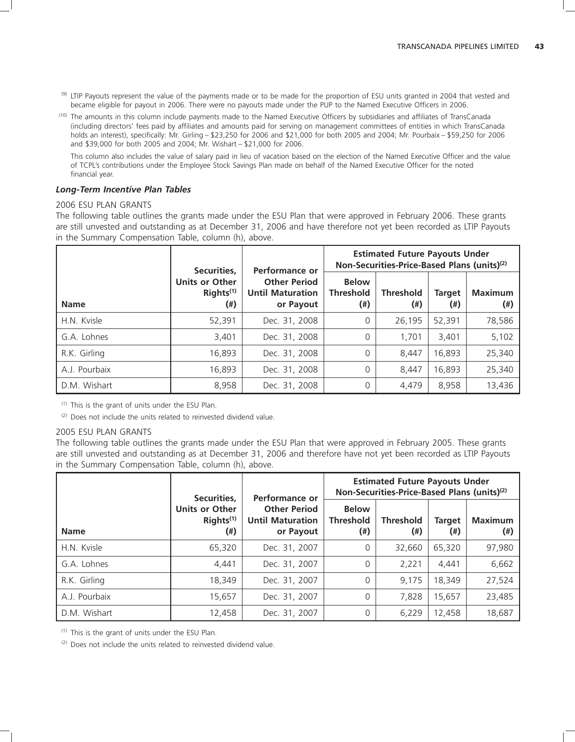- (9) LTIP Payouts represent the value of the payments made or to be made for the proportion of ESU units granted in 2004 that vested and became eligible for payout in 2006. There were no payouts made under the PUP to the Named Executive Officers in 2006.
- (10) The amounts in this column include payments made to the Named Executive Officers by subsidiaries and affiliates of TransCanada (including directors' fees paid by affiliates and amounts paid for serving on management committees of entities in which TransCanada holds an interest), specifically: Mr. Girling – \$23,250 for 2006 and \$21,000 for both 2005 and 2004; Mr. Pourbaix – \$59,250 for 2006 and \$39,000 for both 2005 and 2004; Mr. Wishart – \$21,000 for 2006.

This column also includes the value of salary paid in lieu of vacation based on the election of the Named Executive Officer and the value of TCPL's contributions under the Employee Stock Savings Plan made on behalf of the Named Executive Officer for the noted financial year.

### *Long-Term Incentive Plan Tables*

### 2006 ESU PLAN GRANTS

The following table outlines the grants made under the ESU Plan that were approved in February 2006. These grants are still unvested and outstanding as at December 31, 2006 and have therefore not yet been recorded as LTIP Payouts in the Summary Compensation Table, column (h), above.

|               | Securities,                                           | Performance or                                              | <b>Estimated Future Payouts Under</b><br>Non-Securities-Price-Based Plans (units) <sup>(2)</sup> |                         |                           |                            |  |
|---------------|-------------------------------------------------------|-------------------------------------------------------------|--------------------------------------------------------------------------------------------------|-------------------------|---------------------------|----------------------------|--|
| <b>Name</b>   | <b>Units or Other</b><br>Rights <sup>(1)</sup><br>(#) | <b>Other Period</b><br><b>Until Maturation</b><br>or Payout | <b>Below</b><br><b>Threshold</b><br>(#)                                                          | <b>Threshold</b><br>(#) | <b>Target</b><br>$^{(+)}$ | <b>Maximum</b><br>$^{(+)}$ |  |
| H.N. Kvisle   | 52,391                                                | Dec. 31, 2008                                               | 0                                                                                                | 26,195                  | 52,391                    | 78,586                     |  |
| G.A. Lohnes   | 3,401                                                 | Dec. 31, 2008                                               | $\Omega$                                                                                         | 1.701                   | 3,401                     | 5,102                      |  |
| R.K. Girling  | 16,893                                                | Dec. 31, 2008                                               | $\Omega$                                                                                         | 8.447                   | 16,893                    | 25,340                     |  |
| A.J. Pourbaix | 16,893                                                | Dec. 31, 2008                                               | $\Omega$                                                                                         | 8,447                   | 16,893                    | 25,340                     |  |
| D.M. Wishart  | 8,958                                                 | Dec. 31, 2008                                               | $\Omega$                                                                                         | 4,479                   | 8,958                     | 13,436                     |  |

(1) This is the grant of units under the ESU Plan.

 $(2)$  Does not include the units related to reinvested dividend value.

# 2005 ESU PLAN GRANTS

The following table outlines the grants made under the ESU Plan that were approved in February 2005. These grants are still unvested and outstanding as at December 31, 2006 and therefore have not yet been recorded as LTIP Payouts in the Summary Compensation Table, column (h), above.

|               | Securities,                                           | Performance or                                              | <b>Estimated Future Payouts Under</b><br>Non-Securities-Price-Based Plans (units) <sup>(2)</sup> |                               |                           |                             |  |
|---------------|-------------------------------------------------------|-------------------------------------------------------------|--------------------------------------------------------------------------------------------------|-------------------------------|---------------------------|-----------------------------|--|
| <b>Name</b>   | <b>Units or Other</b><br>Rights <sup>(1)</sup><br>(#) | <b>Other Period</b><br><b>Until Maturation</b><br>or Payout | <b>Below</b><br><b>Threshold</b><br>(#)                                                          | <b>Threshold</b><br>$^{(\#)}$ | <b>Target</b><br>$^{(+)}$ | <b>Maximum</b><br>$($ # $)$ |  |
| H.N. Kvisle   | 65,320                                                | Dec. 31, 2007                                               | 0                                                                                                | 32.660                        | 65,320                    | 97,980                      |  |
| G.A. Lohnes   | 4,441                                                 | Dec. 31, 2007                                               | $\Omega$                                                                                         | 2,221                         | 4,441                     | 6,662                       |  |
| R.K. Girling  | 18,349                                                | Dec. 31, 2007                                               | $\Omega$                                                                                         | 9.175                         | 18,349                    | 27,524                      |  |
| A.J. Pourbaix | 15,657                                                | Dec. 31, 2007                                               | $\Omega$                                                                                         | 7,828                         | 15,657                    | 23,485                      |  |
| D.M. Wishart  | 12,458                                                | Dec. 31, 2007                                               | 0                                                                                                | 6,229                         | 12,458                    | 18,687                      |  |

(1) This is the grant of units under the ESU Plan.

(2) Does not include the units related to reinvested dividend value.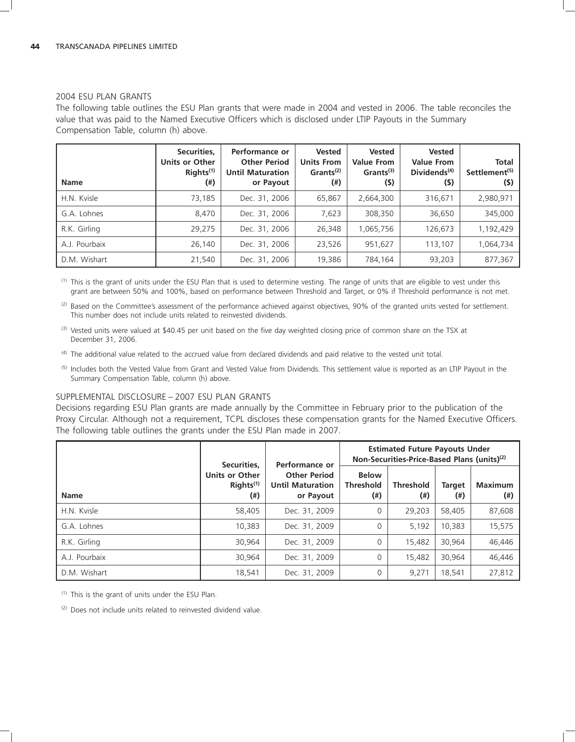### 2004 ESU PLAN GRANTS

The following table outlines the ESU Plan grants that were made in 2004 and vested in 2006. The table reconciles the value that was paid to the Named Executive Officers which is disclosed under LTIP Payouts in the Summary Compensation Table, column (h) above.

| <b>Name</b>   | Securities,<br>Units or Other<br>RightS <sup>(1)</sup><br>$^{(+)}$ | Performance or<br><b>Other Period</b><br><b>Until Maturation</b><br>or Payout | <b>Vested</b><br><b>Units From</b><br>Grants <sup>(2)</sup><br>$^{(*)}$ | <b>Vested</b><br><b>Value From</b><br>Grants <sup>(3)</sup><br>(5) | <b>Vested</b><br><b>Value From</b><br>Dividends $(4)$<br>(5) | <b>Total</b><br>Settlement <sup>(5)</sup><br>(5) |
|---------------|--------------------------------------------------------------------|-------------------------------------------------------------------------------|-------------------------------------------------------------------------|--------------------------------------------------------------------|--------------------------------------------------------------|--------------------------------------------------|
| H.N. Kvisle   | 73,185                                                             | Dec. 31, 2006                                                                 | 65,867                                                                  | 2,664,300                                                          | 316.671                                                      | 2,980,971                                        |
| G.A. Lohnes   | 8,470                                                              | Dec. 31, 2006                                                                 | 7.623                                                                   | 308,350                                                            | 36,650                                                       | 345,000                                          |
| R.K. Girling  | 29,275                                                             | Dec. 31, 2006                                                                 | 26,348                                                                  | 1,065,756                                                          | 126,673                                                      | 1,192,429                                        |
| A.J. Pourbaix | 26,140                                                             | Dec. 31, 2006                                                                 | 23,526                                                                  | 951,627                                                            | 113,107                                                      | 1,064,734                                        |
| D.M. Wishart  | 21,540                                                             | Dec. 31, 2006                                                                 | 19.386                                                                  | 784.164                                                            | 93,203                                                       | 877,367                                          |

(1) This is the grant of units under the ESU Plan that is used to determine vesting. The range of units that are eligible to vest under this grant are between 50% and 100%, based on performance between Threshold and Target, or 0% if Threshold performance is not met.

(2) Based on the Committee's assessment of the performance achieved against objectives, 90% of the granted units vested for settlement. This number does not include units related to reinvested dividends.

- (3) Vested units were valued at \$40.45 per unit based on the five day weighted closing price of common share on the TSX at December 31, 2006.
- (4) The additional value related to the accrued value from declared dividends and paid relative to the vested unit total.
- (5) Includes both the Vested Value from Grant and Vested Value from Dividends. This settlement value is reported as an LTIP Payout in the Summary Compensation Table, column (h) above.

#### SUPPLEMENTAL DISCLOSURE – 2007 ESU PLAN GRANTS

Decisions regarding ESU Plan grants are made annually by the Committee in February prior to the publication of the Proxy Circular. Although not a requirement, TCPL discloses these compensation grants for the Named Executive Officers. The following table outlines the grants under the ESU Plan made in 2007.

|               | Securities.                                           | Performance or                                              | <b>Estimated Future Payouts Under</b><br>Non-Securities-Price-Based Plans (units) <sup>(2)</sup> |                               |                      |                            |
|---------------|-------------------------------------------------------|-------------------------------------------------------------|--------------------------------------------------------------------------------------------------|-------------------------------|----------------------|----------------------------|
| <b>Name</b>   | <b>Units or Other</b><br>RightS <sup>(1)</sup><br>(#) | <b>Other Period</b><br><b>Until Maturation</b><br>or Payout | <b>Below</b><br><b>Threshold</b><br>$^{(*)}$                                                     | <b>Threshold</b><br>$^{(ii)}$ | <b>Target</b><br>(#) | <b>Maximum</b><br>$^{(+)}$ |
| H.N. Kvisle   | 58,405                                                | Dec. 31, 2009                                               | 0                                                                                                | 29.203                        | 58,405               | 87,608                     |
| G.A. Lohnes   | 10,383                                                | Dec. 31, 2009                                               | 0                                                                                                | 5.192                         | 10.383               | 15,575                     |
| R.K. Girling  | 30.964                                                | Dec. 31, 2009                                               | 0                                                                                                | 15.482                        | 30.964               | 46,446                     |
| A.J. Pourbaix | 30.964                                                | Dec. 31, 2009                                               | 0                                                                                                | 15.482                        | 30.964               | 46,446                     |
| D.M. Wishart  | 18,541                                                | Dec. 31, 2009                                               | 0                                                                                                | 9,271                         | 18,541               | 27,812                     |

(1) This is the grant of units under the ESU Plan.

(2) Does not include units related to reinvested dividend value.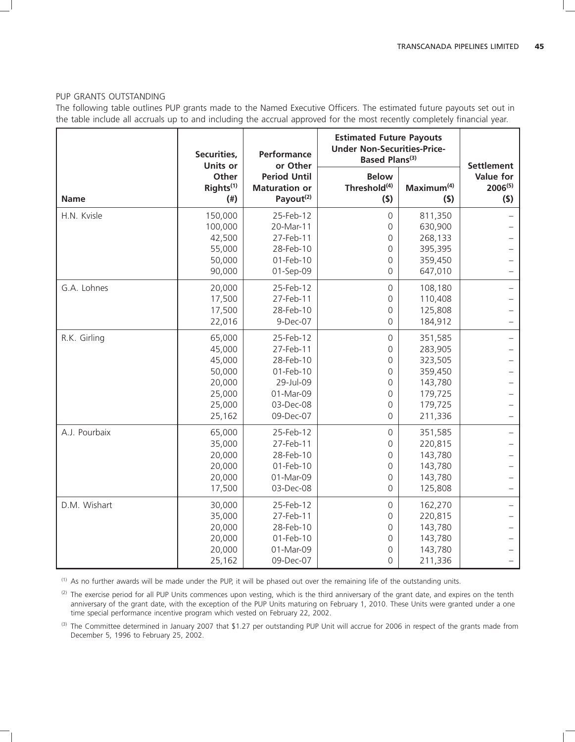#### PUP GRANTS OUTSTANDING

The following table outlines PUP grants made to the Named Executive Officers. The estimated future payouts set out in the table include all accruals up to and including the accrual approved for the most recently completely financial year.

|               | Securities,<br><b>Units or</b>                                               | Performance<br>Based Plans <sup>(3)</sup><br>or Other                                                |                                                                                            | <b>Estimated Future Payouts</b><br><b>Under Non-Securities-Price-</b>                |                                                       |
|---------------|------------------------------------------------------------------------------|------------------------------------------------------------------------------------------------------|--------------------------------------------------------------------------------------------|--------------------------------------------------------------------------------------|-------------------------------------------------------|
| <b>Name</b>   | Other<br>Rights <sup>(1)</sup><br>$($ # $)$                                  | <b>Period Until</b><br><b>Maturation or</b><br>Payout <sup>(2)</sup>                                 | <b>Below</b><br>Threshold <sup>(4)</sup><br>(5)                                            | Maximum <sup>(4)</sup><br>(5)                                                        | <b>Settlement</b><br>Value for<br>$2006^{(5)}$<br>(5) |
| H.N. Kvisle   | 150,000<br>100,000<br>42,500<br>55,000<br>50,000<br>90,000                   | 25-Feb-12<br>20-Mar-11<br>27-Feb-11<br>28-Feb-10<br>01-Feb-10<br>01-Sep-09                           | $\mathsf{O}$<br>0<br>0<br>$\mathbf 0$<br>$\overline{0}$<br>0                               | 811,350<br>630,900<br>268,133<br>395,395<br>359,450<br>647,010                       |                                                       |
| G.A. Lohnes   | 20,000<br>17,500<br>17,500<br>22,016                                         | 25-Feb-12<br>27-Feb-11<br>28-Feb-10<br>9-Dec-07                                                      | $\mathsf{O}$<br>$\mathsf{O}\xspace$<br>0<br>0                                              | 108,180<br>110,408<br>125,808<br>184,912                                             |                                                       |
| R.K. Girling  | 65,000<br>45,000<br>45,000<br>50,000<br>20,000<br>25,000<br>25,000<br>25,162 | 25-Feb-12<br>27-Feb-11<br>28-Feb-10<br>01-Feb-10<br>29-Jul-09<br>01-Mar-09<br>03-Dec-08<br>09-Dec-07 | $\mathsf{O}$<br>0<br>$\mathbf 0$<br>$\overline{0}$<br>$\Omega$<br>0<br>0<br>$\overline{0}$ | 351,585<br>283,905<br>323,505<br>359,450<br>143,780<br>179,725<br>179,725<br>211,336 |                                                       |
| A.J. Pourbaix | 65,000<br>35,000<br>20,000<br>20,000<br>20,000<br>17,500                     | 25-Feb-12<br>27-Feb-11<br>28-Feb-10<br>01-Feb-10<br>01-Mar-09<br>03-Dec-08                           | $\mathsf{O}$<br>0<br>0<br>$\mathbf 0$<br>$\overline{0}$<br>$\Omega$                        | 351,585<br>220,815<br>143,780<br>143,780<br>143,780<br>125,808                       |                                                       |
| D.M. Wishart  | 30,000<br>35,000<br>20,000<br>20,000<br>20,000<br>25,162                     | 25-Feb-12<br>27-Feb-11<br>28-Feb-10<br>01-Feb-10<br>01-Mar-09<br>09-Dec-07                           | $\mathsf{O}$<br>$\mathsf{O}$<br>0<br>0<br>$\overline{0}$<br>$\Omega$                       | 162,270<br>220,815<br>143,780<br>143,780<br>143,780<br>211,336                       |                                                       |

(1) As no further awards will be made under the PUP, it will be phased out over the remaining life of the outstanding units.

(2) The exercise period for all PUP Units commences upon vesting, which is the third anniversary of the grant date, and expires on the tenth anniversary of the grant date, with the exception of the PUP Units maturing on February 1, 2010. These Units were granted under a one time special performance incentive program which vested on February 22, 2002.

(3) The Committee determined in January 2007 that \$1.27 per outstanding PUP Unit will accrue for 2006 in respect of the grants made from December 5, 1996 to February 25, 2002.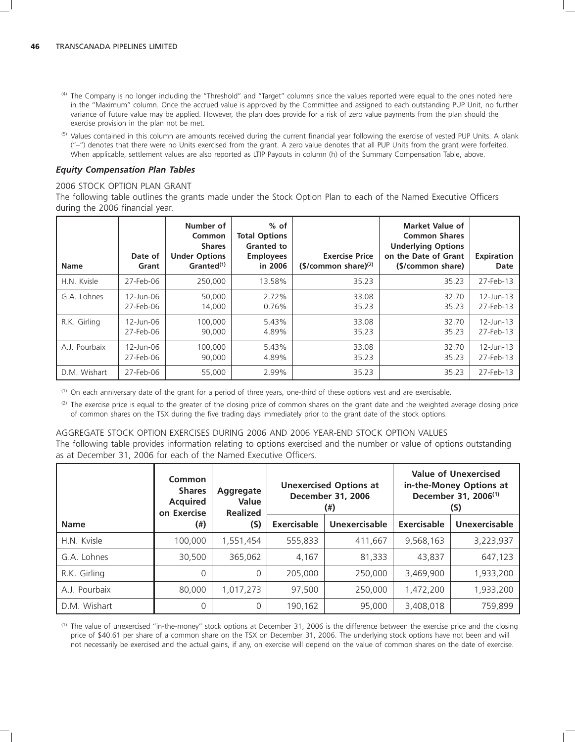- <sup>(4)</sup> The Company is no longer including the "Threshold" and "Target" columns since the values reported were equal to the ones noted here in the ''Maximum'' column. Once the accrued value is approved by the Committee and assigned to each outstanding PUP Unit, no further variance of future value may be applied. However, the plan does provide for a risk of zero value payments from the plan should the exercise provision in the plan not be met.
- <sup>(5)</sup> Values contained in this column are amounts received during the current financial year following the exercise of vested PUP Units. A blank (''–'') denotes that there were no Units exercised from the grant. A zero value denotes that all PUP Units from the grant were forfeited. When applicable, settlement values are also reported as LTIP Payouts in column (h) of the Summary Compensation Table, above.

### *Equity Compensation Plan Tables*

#### 2006 STOCK OPTION PLAN GRANT

The following table outlines the grants made under the Stock Option Plan to each of the Named Executive Officers during the 2006 financial year.

| <b>Name</b>   | Date of<br>Grant | Number of<br>Common<br><b>Shares</b><br><b>Under Options</b><br>Granted <sup>(1)</sup> | $%$ of<br><b>Total Options</b><br><b>Granted to</b><br><b>Employees</b><br>in 2006 | <b>Exercise Price</b><br>$(S/common share)^{(2)}$ | <b>Market Value of</b><br><b>Common Shares</b><br><b>Underlying Options</b><br>on the Date of Grant<br>(\$/common share) | <b>Expiration</b><br>Date |
|---------------|------------------|----------------------------------------------------------------------------------------|------------------------------------------------------------------------------------|---------------------------------------------------|--------------------------------------------------------------------------------------------------------------------------|---------------------------|
| H.N. Kvisle   | 27-Feb-06        | 250,000                                                                                | 13.58%                                                                             | 35.23                                             | 35.23                                                                                                                    | 27-Feb-13                 |
| G.A. Lohnes   | $12$ -Jun-06     | 50,000                                                                                 | 2.72%                                                                              | 33.08                                             | 32.70                                                                                                                    | $12 - Jun - 13$           |
|               | 27-Feb-06        | 14.000                                                                                 | 0.76%                                                                              | 35.23                                             | 35.23                                                                                                                    | 27-Feb-13                 |
| R.K. Girling  | 12-Jun-06        | 100,000                                                                                | 5.43%                                                                              | 33.08                                             | 32.70                                                                                                                    | 12-Jun-13                 |
|               | 27-Feb-06        | 90,000                                                                                 | 4.89%                                                                              | 35.23                                             | 35.23                                                                                                                    | 27-Feb-13                 |
| A.J. Pourbaix | 12-Jun-06        | 100,000                                                                                | 5.43%                                                                              | 33.08                                             | 32.70                                                                                                                    | 12-Jun-13                 |
|               | 27-Feb-06        | 90.000                                                                                 | 4.89%                                                                              | 35.23                                             | 35.23                                                                                                                    | 27-Feb-13                 |
| D.M. Wishart  | 27-Feb-06        | 55,000                                                                                 | 2.99%                                                                              | 35.23                                             | 35.23                                                                                                                    | 27-Feb-13                 |

(1) On each anniversary date of the grant for a period of three years, one-third of these options vest and are exercisable.

 $<sup>(2)</sup>$  The exercise price is equal to the greater of the closing price of common shares on the grant date and the weighted average closing price</sup> of common shares on the TSX during the five trading days immediately prior to the grant date of the stock options.

### AGGREGATE STOCK OPTION EXERCISES DURING 2006 AND 2006 YEAR-END STOCK OPTION VALUES The following table provides information relating to options exercised and the number or value of options outstanding as at December 31, 2006 for each of the Named Executive Officers.

|               | Common<br><b>Shares</b><br><b>Acquired</b><br>on Exercise | Aggregate<br>Value<br><b>Realized</b> | <b>Unexercised Options at</b><br><b>December 31, 2006</b><br>(#) |               |             | <b>Value of Unexercised</b><br>in-the-Money Options at<br>December 31, 2006 <sup>(1)</sup><br>(S) |
|---------------|-----------------------------------------------------------|---------------------------------------|------------------------------------------------------------------|---------------|-------------|---------------------------------------------------------------------------------------------------|
| <b>Name</b>   | (#)                                                       | $($ \$)                               | Exercisable                                                      | Unexercisable | Exercisable | Unexercisable                                                                                     |
| H.N. Kvisle   | 100,000                                                   | 1,551,454                             | 555,833                                                          | 411,667       | 9,568,163   | 3,223,937                                                                                         |
| G.A. Lohnes   | 30,500                                                    | 365,062                               | 4,167                                                            | 81,333        | 43.837      | 647,123                                                                                           |
| R.K. Girling  |                                                           | $\Omega$                              | 205,000                                                          | 250,000       | 3,469,900   | 1,933,200                                                                                         |
| A.J. Pourbaix | 80,000                                                    | 1,017,273                             | 97,500                                                           | 250,000       | 1,472,200   | 1,933,200                                                                                         |
| D.M. Wishart  |                                                           | 0                                     | 190,162                                                          | 95,000        | 3,408,018   | 759,899                                                                                           |

(1) The value of unexercised ''in-the-money'' stock options at December 31, 2006 is the difference between the exercise price and the closing price of \$40.61 per share of a common share on the TSX on December 31, 2006. The underlying stock options have not been and will not necessarily be exercised and the actual gains, if any, on exercise will depend on the value of common shares on the date of exercise.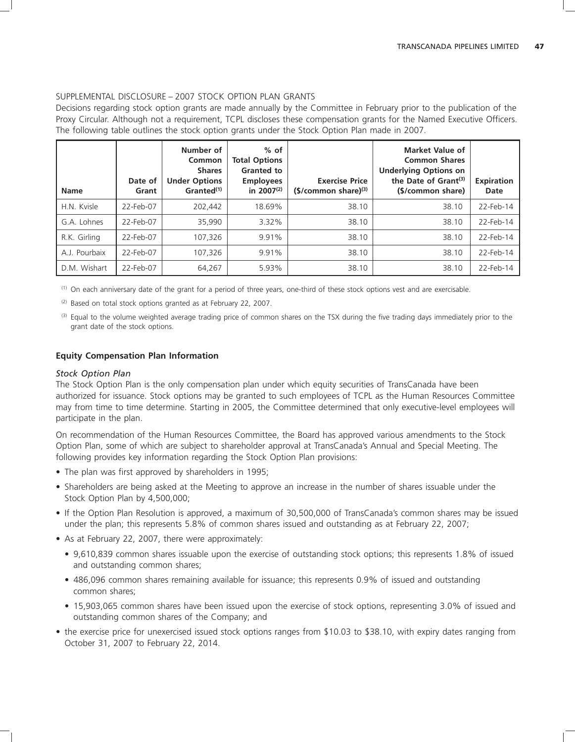### SUPPLEMENTAL DISCLOSURE – 2007 STOCK OPTION PLAN GRANTS

Decisions regarding stock option grants are made annually by the Committee in February prior to the publication of the Proxy Circular. Although not a requirement, TCPL discloses these compensation grants for the Named Executive Officers. The following table outlines the stock option grants under the Stock Option Plan made in 2007.

| <b>Name</b>   | Date of<br>Grant | Number of<br>Common<br><b>Shares</b><br><b>Under Options</b><br>Granted <sup>(1)</sup> | $%$ of<br><b>Total Options</b><br><b>Granted to</b><br><b>Employees</b><br>in $2007^{(2)}$ | <b>Exercise Price</b><br>$(S/cmmon share)^{(3)}$ | <b>Market Value of</b><br><b>Common Shares</b><br><b>Underlying Options on</b><br>the Date of $Gran(3)$<br>(\$/common share) | <b>Expiration</b><br>Date |
|---------------|------------------|----------------------------------------------------------------------------------------|--------------------------------------------------------------------------------------------|--------------------------------------------------|------------------------------------------------------------------------------------------------------------------------------|---------------------------|
| H.N. Kvisle   | 22-Feb-07        | 202.442                                                                                | 18.69%                                                                                     | 38.10                                            | 38.10                                                                                                                        | 22-Feb-14                 |
| G.A. Lohnes   | 22-Feb-07        | 35.990                                                                                 | 3.32%                                                                                      | 38.10                                            | 38.10                                                                                                                        | 22-Feb-14                 |
| R.K. Girling  | 22-Feb-07        | 107,326                                                                                | 9.91%                                                                                      | 38.10                                            | 38.10                                                                                                                        | 22-Feb-14                 |
| A.J. Pourbaix | 22-Feb-07        | 107,326                                                                                | 9.91%                                                                                      | 38.10                                            | 38.10                                                                                                                        | 22-Feb-14                 |
| D.M. Wishart  | 22-Feb-07        | 64.267                                                                                 | 5.93%                                                                                      | 38.10                                            | 38.10                                                                                                                        | 22-Feb-14                 |

(1) On each anniversary date of the grant for a period of three years, one-third of these stock options vest and are exercisable.

(2) Based on total stock options granted as at February 22, 2007.

(3) Equal to the volume weighted average trading price of common shares on the TSX during the five trading days immediately prior to the grant date of the stock options.

# **Equity Compensation Plan Information**

### *Stock Option Plan*

The Stock Option Plan is the only compensation plan under which equity securities of TransCanada have been authorized for issuance. Stock options may be granted to such employees of TCPL as the Human Resources Committee may from time to time determine. Starting in 2005, the Committee determined that only executive-level employees will participate in the plan.

On recommendation of the Human Resources Committee, the Board has approved various amendments to the Stock Option Plan, some of which are subject to shareholder approval at TransCanada's Annual and Special Meeting. The following provides key information regarding the Stock Option Plan provisions:

- The plan was first approved by shareholders in 1995;
- Shareholders are being asked at the Meeting to approve an increase in the number of shares issuable under the Stock Option Plan by 4,500,000;
- If the Option Plan Resolution is approved, a maximum of 30,500,000 of TransCanada's common shares may be issued under the plan; this represents 5.8% of common shares issued and outstanding as at February 22, 2007;
- As at February 22, 2007, there were approximately:
	- 9,610,839 common shares issuable upon the exercise of outstanding stock options; this represents 1.8% of issued and outstanding common shares;
	- 486,096 common shares remaining available for issuance; this represents 0.9% of issued and outstanding common shares;
	- 15,903,065 common shares have been issued upon the exercise of stock options, representing 3.0% of issued and outstanding common shares of the Company; and
- the exercise price for unexercised issued stock options ranges from \$10.03 to \$38.10, with expiry dates ranging from October 31, 2007 to February 22, 2014.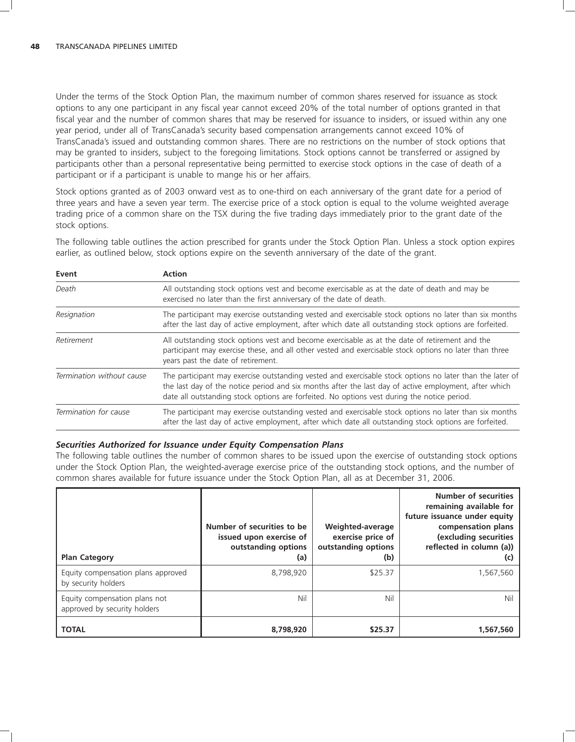Under the terms of the Stock Option Plan, the maximum number of common shares reserved for issuance as stock options to any one participant in any fiscal year cannot exceed 20% of the total number of options granted in that fiscal year and the number of common shares that may be reserved for issuance to insiders, or issued within any one year period, under all of TransCanada's security based compensation arrangements cannot exceed 10% of TransCanada's issued and outstanding common shares. There are no restrictions on the number of stock options that may be granted to insiders, subject to the foregoing limitations. Stock options cannot be transferred or assigned by participants other than a personal representative being permitted to exercise stock options in the case of death of a participant or if a participant is unable to mange his or her affairs.

Stock options granted as of 2003 onward vest as to one-third on each anniversary of the grant date for a period of three years and have a seven year term. The exercise price of a stock option is equal to the volume weighted average trading price of a common share on the TSX during the five trading days immediately prior to the grant date of the stock options.

The following table outlines the action prescribed for grants under the Stock Option Plan. Unless a stock option expires

earlier, as outlined below, stock options expire on the seventh anniversary of the date of the grant. **Event Action** *Death* All outstanding stock options vest and become exercisable as at the date of death and may be exercised no later than the first anniversary of the date of death. *Resignation* The participant may exercise outstanding vested and exercisable stock options no later than six months after the last day of active employment, after which date all outstanding stock options are forfeited.

| Retirement                | All outstanding stock options vest and become exercisable as at the date of retirement and the<br>participant may exercise these, and all other vested and exercisable stock options no later than three<br>years past the date of retirement.                                                                   |
|---------------------------|------------------------------------------------------------------------------------------------------------------------------------------------------------------------------------------------------------------------------------------------------------------------------------------------------------------|
| Termination without cause | The participant may exercise outstanding vested and exercisable stock options no later than the later of<br>the last day of the notice period and six months after the last day of active employment, after which<br>date all outstanding stock options are forfeited. No options vest during the notice period. |
| Termination for cause     | The participant may exercise outstanding vested and exercisable stock options no later than six months                                                                                                                                                                                                           |

### *Securities Authorized for Issuance under Equity Compensation Plans*

The following table outlines the number of common shares to be issued upon the exercise of outstanding stock options under the Stock Option Plan, the weighted-average exercise price of the outstanding stock options, and the number of common shares available for future issuance under the Stock Option Plan, all as at December 31, 2006.

after the last day of active employment, after which date all outstanding stock options are forfeited.

| <b>Plan Category</b>                                          | Number of securities to be<br>issued upon exercise of<br>outstanding options<br>(a) | Weighted-average<br>exercise price of<br>outstanding options<br>(b) | <b>Number of securities</b><br>remaining available for<br>future issuance under equity<br>compensation plans<br>(excluding securities<br>reflected in column (a))<br>(C) |
|---------------------------------------------------------------|-------------------------------------------------------------------------------------|---------------------------------------------------------------------|--------------------------------------------------------------------------------------------------------------------------------------------------------------------------|
| Equity compensation plans approved<br>by security holders     | 8,798,920                                                                           | \$25.37                                                             | 1,567,560                                                                                                                                                                |
| Equity compensation plans not<br>approved by security holders | Nil                                                                                 | Nil                                                                 | Nil                                                                                                                                                                      |
| <b>TOTAL</b>                                                  | 8,798,920                                                                           | \$25.37                                                             | 1.567.560                                                                                                                                                                |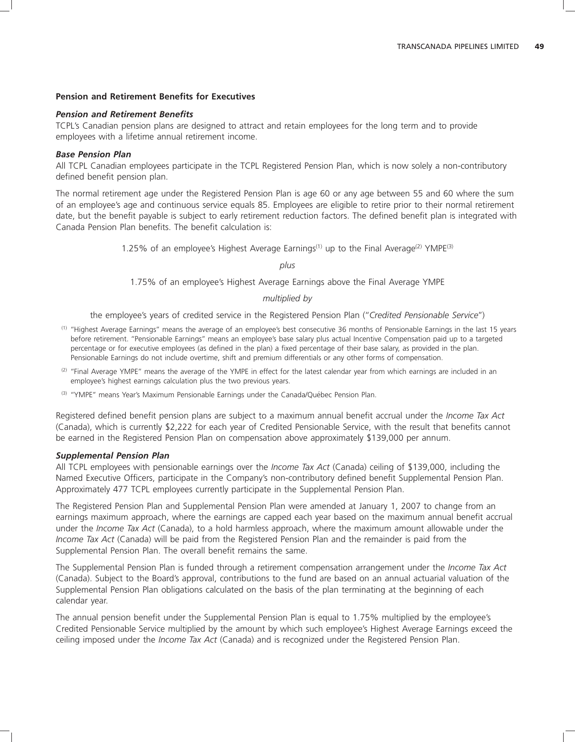### **Pension and Retirement Benefits for Executives**

### *Pension and Retirement Benefits*

TCPL's Canadian pension plans are designed to attract and retain employees for the long term and to provide employees with a lifetime annual retirement income.

#### *Base Pension Plan*

All TCPL Canadian employees participate in the TCPL Registered Pension Plan, which is now solely a non-contributory defined benefit pension plan.

The normal retirement age under the Registered Pension Plan is age 60 or any age between 55 and 60 where the sum of an employee's age and continuous service equals 85. Employees are eligible to retire prior to their normal retirement date, but the benefit payable is subject to early retirement reduction factors. The defined benefit plan is integrated with Canada Pension Plan benefits. The benefit calculation is:

1.25% of an employee's Highest Average Earnings<sup>(1)</sup> up to the Final Average<sup>(2)</sup> YMPE<sup>(3)</sup>

*plus*

1.75% of an employee's Highest Average Earnings above the Final Average YMPE

#### *multiplied by*

the employee's years of credited service in the Registered Pension Plan (''*Credited Pensionable Service*'')

- (1) ''Highest Average Earnings'' means the average of an employee's best consecutive 36 months of Pensionable Earnings in the last 15 years before retirement. ''Pensionable Earnings'' means an employee's base salary plus actual Incentive Compensation paid up to a targeted percentage or for executive employees (as defined in the plan) a fixed percentage of their base salary, as provided in the plan. Pensionable Earnings do not include overtime, shift and premium differentials or any other forms of compensation.
- $(2)$  "Final Average YMPE" means the average of the YMPE in effect for the latest calendar year from which earnings are included in an employee's highest earnings calculation plus the two previous years.
- <sup>(3)</sup> "YMPE" means Year's Maximum Pensionable Earnings under the Canada/Québec Pension Plan.

Registered defined benefit pension plans are subject to a maximum annual benefit accrual under the *Income Tax Act* (Canada), which is currently \$2,222 for each year of Credited Pensionable Service, with the result that benefits cannot be earned in the Registered Pension Plan on compensation above approximately \$139,000 per annum.

#### *Supplemental Pension Plan*

All TCPL employees with pensionable earnings over the *Income Tax Act* (Canada) ceiling of \$139,000, including the Named Executive Officers, participate in the Company's non-contributory defined benefit Supplemental Pension Plan. Approximately 477 TCPL employees currently participate in the Supplemental Pension Plan.

The Registered Pension Plan and Supplemental Pension Plan were amended at January 1, 2007 to change from an earnings maximum approach, where the earnings are capped each year based on the maximum annual benefit accrual under the *Income Tax Act* (Canada), to a hold harmless approach, where the maximum amount allowable under the *Income Tax Act* (Canada) will be paid from the Registered Pension Plan and the remainder is paid from the Supplemental Pension Plan. The overall benefit remains the same.

The Supplemental Pension Plan is funded through a retirement compensation arrangement under the *Income Tax Act* (Canada). Subject to the Board's approval, contributions to the fund are based on an annual actuarial valuation of the Supplemental Pension Plan obligations calculated on the basis of the plan terminating at the beginning of each calendar year.

The annual pension benefit under the Supplemental Pension Plan is equal to 1.75% multiplied by the employee's Credited Pensionable Service multiplied by the amount by which such employee's Highest Average Earnings exceed the ceiling imposed under the *Income Tax Act* (Canada) and is recognized under the Registered Pension Plan.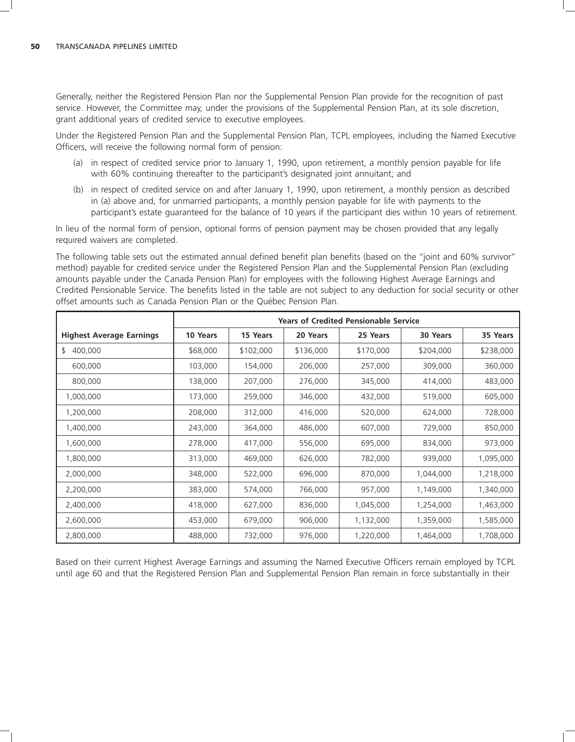Generally, neither the Registered Pension Plan nor the Supplemental Pension Plan provide for the recognition of past service. However, the Committee may, under the provisions of the Supplemental Pension Plan, at its sole discretion, grant additional years of credited service to executive employees.

Under the Registered Pension Plan and the Supplemental Pension Plan, TCPL employees, including the Named Executive Officers, will receive the following normal form of pension:

- (a) in respect of credited service prior to January 1, 1990, upon retirement, a monthly pension payable for life with 60% continuing thereafter to the participant's designated joint annuitant; and
- (b) in respect of credited service on and after January 1, 1990, upon retirement, a monthly pension as described in (a) above and, for unmarried participants, a monthly pension payable for life with payments to the participant's estate guaranteed for the balance of 10 years if the participant dies within 10 years of retirement.

In lieu of the normal form of pension, optional forms of pension payment may be chosen provided that any legally required waivers are completed.

The following table sets out the estimated annual defined benefit plan benefits (based on the "ioint and 60% survivor" method) payable for credited service under the Registered Pension Plan and the Supplemental Pension Plan (excluding amounts payable under the Canada Pension Plan) for employees with the following Highest Average Earnings and Credited Pensionable Service. The benefits listed in the table are not subject to any deduction for social security or other offset amounts such as Canada Pension Plan or the Quebec Pension Plan. ´

|                                 | <b>Years of Credited Pensionable Service</b> |           |           |           |           |           |
|---------------------------------|----------------------------------------------|-----------|-----------|-----------|-----------|-----------|
| <b>Highest Average Earnings</b> | 10 Years                                     | 15 Years  | 20 Years  | 25 Years  | 30 Years  | 35 Years  |
| \$<br>400,000                   | \$68,000                                     | \$102,000 | \$136,000 | \$170,000 | \$204,000 | \$238,000 |
| 600,000                         | 103,000                                      | 154,000   | 206,000   | 257,000   | 309,000   | 360,000   |
| 800,000                         | 138,000                                      | 207,000   | 276,000   | 345,000   | 414,000   | 483,000   |
| 1,000,000                       | 173,000                                      | 259,000   | 346,000   | 432,000   | 519,000   | 605,000   |
| 1,200,000                       | 208,000                                      | 312,000   | 416,000   | 520,000   | 624,000   | 728,000   |
| 1,400,000                       | 243,000                                      | 364,000   | 486,000   | 607,000   | 729,000   | 850,000   |
| 1,600,000                       | 278,000                                      | 417,000   | 556,000   | 695,000   | 834,000   | 973,000   |
| 1,800,000                       | 313,000                                      | 469,000   | 626,000   | 782,000   | 939,000   | 1,095,000 |
| 2,000,000                       | 348,000                                      | 522,000   | 696,000   | 870,000   | 1,044,000 | 1,218,000 |
| 2,200,000                       | 383,000                                      | 574,000   | 766,000   | 957,000   | 1,149,000 | 1,340,000 |
| 2,400,000                       | 418,000                                      | 627,000   | 836,000   | 1,045,000 | 1,254,000 | 1,463,000 |
| 2,600,000                       | 453,000                                      | 679,000   | 906,000   | 1,132,000 | 1,359,000 | 1,585,000 |
| 2,800,000                       | 488,000                                      | 732,000   | 976,000   | 1,220,000 | 1,464,000 | 1,708,000 |

Based on their current Highest Average Earnings and assuming the Named Executive Officers remain employed by TCPL until age 60 and that the Registered Pension Plan and Supplemental Pension Plan remain in force substantially in their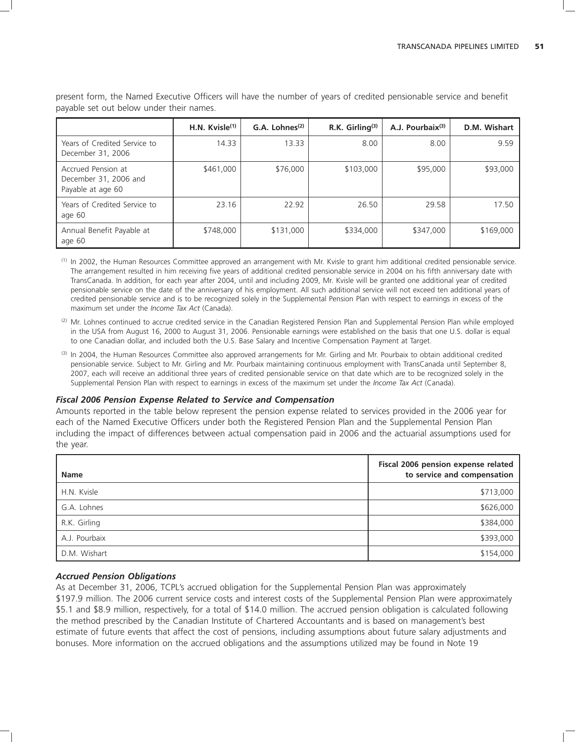|                                                                  | H.N. Kvisle $(1)$ | $G.A.$ Lohnes <sup>(2)</sup> | R.K. Girling $(3)$ | A.J. Pourbaix <sup>(3)</sup> | D.M. Wishart |
|------------------------------------------------------------------|-------------------|------------------------------|--------------------|------------------------------|--------------|
| Years of Credited Service to<br>December 31, 2006                | 14.33             | 13.33                        | 8.00               | 8.00                         | 9.59         |
| Accrued Pension at<br>December 31, 2006 and<br>Payable at age 60 | \$461,000         | \$76,000                     | \$103,000          | \$95,000                     | \$93,000     |
| Years of Credited Service to<br>age 60                           | 23.16             | 22.92                        | 26.50              | 29.58                        | 17.50        |
| Annual Benefit Payable at<br>age 60                              | \$748,000         | \$131,000                    | \$334,000          | \$347,000                    | \$169,000    |

present form, the Named Executive Officers will have the number of years of credited pensionable service and benefit payable set out below under their names.

(1) In 2002, the Human Resources Committee approved an arrangement with Mr. Kvisle to grant him additional credited pensionable service. The arrangement resulted in him receiving five years of additional credited pensionable service in 2004 on his fifth anniversary date with TransCanada. In addition, for each year after 2004, until and including 2009, Mr. Kvisle will be granted one additional year of credited pensionable service on the date of the anniversary of his employment. All such additional service will not exceed ten additional years of credited pensionable service and is to be recognized solely in the Supplemental Pension Plan with respect to earnings in excess of the maximum set under the *Income Tax Act* (Canada).

- (2) Mr. Lohnes continued to accrue credited service in the Canadian Registered Pension Plan and Supplemental Pension Plan while employed in the USA from August 16, 2000 to August 31, 2006. Pensionable earnings were established on the basis that one U.S. dollar is equal to one Canadian dollar, and included both the U.S. Base Salary and Incentive Compensation Payment at Target.
- (3) In 2004, the Human Resources Committee also approved arrangements for Mr. Girling and Mr. Pourbaix to obtain additional credited pensionable service. Subject to Mr. Girling and Mr. Pourbaix maintaining continuous employment with TransCanada until September 8, 2007, each will receive an additional three years of credited pensionable service on that date which are to be recognized solely in the Supplemental Pension Plan with respect to earnings in excess of the maximum set under the *Income Tax Act* (Canada).

### *Fiscal 2006 Pension Expense Related to Service and Compensation*

Amounts reported in the table below represent the pension expense related to services provided in the 2006 year for each of the Named Executive Officers under both the Registered Pension Plan and the Supplemental Pension Plan including the impact of differences between actual compensation paid in 2006 and the actuarial assumptions used for the year.

| <b>Name</b>   | Fiscal 2006 pension expense related<br>to service and compensation |
|---------------|--------------------------------------------------------------------|
| H.N. Kvisle   | \$713,000                                                          |
| G.A. Lohnes   | \$626,000                                                          |
| R.K. Girling  | \$384,000                                                          |
| A.J. Pourbaix | \$393,000                                                          |
| D.M. Wishart  | \$154,000                                                          |

### *Accrued Pension Obligations*

As at December 31, 2006, TCPL's accrued obligation for the Supplemental Pension Plan was approximately \$197.9 million. The 2006 current service costs and interest costs of the Supplemental Pension Plan were approximately \$5.1 and \$8.9 million, respectively, for a total of \$14.0 million. The accrued pension obligation is calculated following the method prescribed by the Canadian Institute of Chartered Accountants and is based on management's best estimate of future events that affect the cost of pensions, including assumptions about future salary adjustments and bonuses. More information on the accrued obligations and the assumptions utilized may be found in Note 19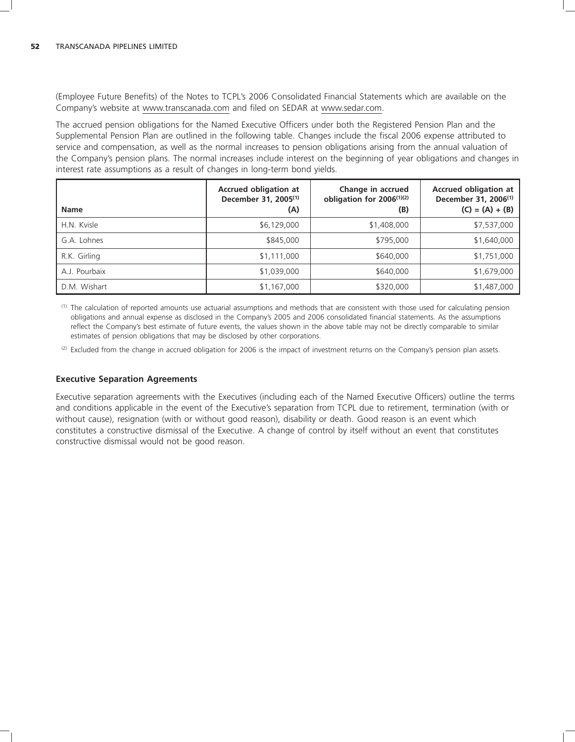(Employee Future Benefits) of the Notes to TCPL's 2006 Consolidated Financial Statements which are available on the Company's website at www.transcanada.com and filed on SEDAR at www.sedar.com.

The accrued pension obligations for the Named Executive Officers under both the Registered Pension Plan and the Supplemental Pension Plan are outlined in the following table. Changes include the fiscal 2006 expense attributed to service and compensation, as well as the normal increases to pension obligations arising from the annual valuation of the Company's pension plans. The normal increases include interest on the beginning of year obligations and changes in interest rate assumptions as a result of changes in long-term bond yields.

| <b>Name</b>   | <b>Accrued obligation at</b><br>December 31, 2005 <sup>(1)</sup><br>(A) | Change in accrued<br>obligation for 2006 <sup>(1)(2)</sup><br>(B) | <b>Accrued obligation at</b><br>December 31, 2006 <sup>(1)</sup><br>$(C) = (A) + (B)$ |
|---------------|-------------------------------------------------------------------------|-------------------------------------------------------------------|---------------------------------------------------------------------------------------|
| H.N. Kvisle   | \$6,129,000                                                             | \$1,408,000                                                       | \$7,537,000                                                                           |
| G.A. Lohnes   | \$845,000                                                               | \$795,000                                                         | \$1,640,000                                                                           |
| R.K. Girling  | \$1,111,000                                                             | \$640,000                                                         | \$1,751,000                                                                           |
| A.J. Pourbaix | \$1,039,000                                                             | \$640,000                                                         | \$1,679,000                                                                           |
| D.M. Wishart  | \$1,167,000                                                             | \$320,000                                                         | \$1,487,000                                                                           |

(1) The calculation of reported amounts use actuarial assumptions and methods that are consistent with those used for calculating pension obligations and annual expense as disclosed in the Company's 2005 and 2006 consolidated financial statements. As the assumptions reflect the Company's best estimate of future events, the values shown in the above table may not be directly comparable to similar estimates of pension obligations that may be disclosed by other corporations.

 $(2)$  Excluded from the change in accrued obligation for 2006 is the impact of investment returns on the Company's pension plan assets.

### **Executive Separation Agreements**

Executive separation agreements with the Executives (including each of the Named Executive Officers) outline the terms and conditions applicable in the event of the Executive's separation from TCPL due to retirement, termination (with or without cause), resignation (with or without good reason), disability or death. Good reason is an event which constitutes a constructive dismissal of the Executive. A change of control by itself without an event that constitutes constructive dismissal would not be good reason.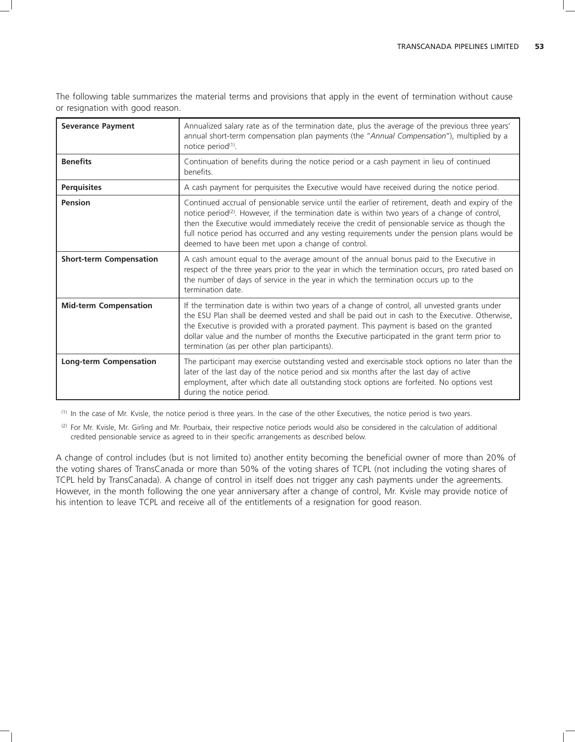The following table summarizes the material terms and provisions that apply in the event of termination without cause or resignation with good reason.

| <b>Severance Payment</b>       | Annualized salary rate as of the termination date, plus the average of the previous three years'<br>annual short-term compensation plan payments (the "Annual Compensation"), multiplied by a<br>notice period <sup>(1)</sup> .                                                                                                                                                                                                                                        |
|--------------------------------|------------------------------------------------------------------------------------------------------------------------------------------------------------------------------------------------------------------------------------------------------------------------------------------------------------------------------------------------------------------------------------------------------------------------------------------------------------------------|
| <b>Benefits</b>                | Continuation of benefits during the notice period or a cash payment in lieu of continued<br><b>benefits</b>                                                                                                                                                                                                                                                                                                                                                            |
| <b>Perquisites</b>             | A cash payment for perquisites the Executive would have received during the notice period.                                                                                                                                                                                                                                                                                                                                                                             |
| Pension                        | Continued accrual of pensionable service until the earlier of retirement, death and expiry of the<br>notice period <sup>(2)</sup> . However, if the termination date is within two years of a change of control,<br>then the Executive would immediately receive the credit of pensionable service as though the<br>full notice period has occurred and any vesting requirements under the pension plans would be<br>deemed to have been met upon a change of control. |
| <b>Short-term Compensation</b> | A cash amount equal to the average amount of the annual bonus paid to the Executive in<br>respect of the three years prior to the year in which the termination occurs, pro rated based on<br>the number of days of service in the year in which the termination occurs up to the<br>termination date.                                                                                                                                                                 |
| <b>Mid-term Compensation</b>   | If the termination date is within two years of a change of control, all unvested grants under<br>the ESU Plan shall be deemed vested and shall be paid out in cash to the Executive. Otherwise,<br>the Executive is provided with a prorated payment. This payment is based on the granted<br>dollar value and the number of months the Executive participated in the grant term prior to<br>termination (as per other plan participants).                             |
| <b>Long-term Compensation</b>  | The participant may exercise outstanding vested and exercisable stock options no later than the<br>later of the last day of the notice period and six months after the last day of active<br>employment, after which date all outstanding stock options are forfeited. No options vest<br>during the notice period.                                                                                                                                                    |

(1) In the case of Mr. Kvisle, the notice period is three years. In the case of the other Executives, the notice period is two years.

(2) For Mr. Kvisle, Mr. Girling and Mr. Pourbaix, their respective notice periods would also be considered in the calculation of additional credited pensionable service as agreed to in their specific arrangements as described below.

A change of control includes (but is not limited to) another entity becoming the beneficial owner of more than 20% of the voting shares of TransCanada or more than 50% of the voting shares of TCPL (not including the voting shares of TCPL held by TransCanada). A change of control in itself does not trigger any cash payments under the agreements. However, in the month following the one year anniversary after a change of control, Mr. Kvisle may provide notice of his intention to leave TCPL and receive all of the entitlements of a resignation for good reason.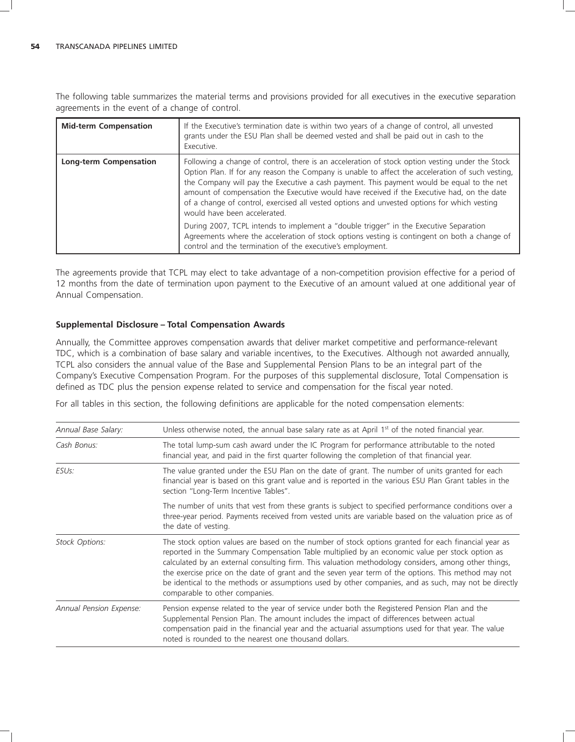The following table summarizes the material terms and provisions provided for all executives in the executive separation agreements in the event of a change of control.

| <b>Mid-term Compensation</b>  | If the Executive's termination date is within two years of a change of control, all unvested<br>grants under the ESU Plan shall be deemed vested and shall be paid out in cash to the<br>Executive.                                                                                                                                                                                                                                                                                                                           |
|-------------------------------|-------------------------------------------------------------------------------------------------------------------------------------------------------------------------------------------------------------------------------------------------------------------------------------------------------------------------------------------------------------------------------------------------------------------------------------------------------------------------------------------------------------------------------|
| <b>Long-term Compensation</b> | Following a change of control, there is an acceleration of stock option vesting under the Stock<br>Option Plan. If for any reason the Company is unable to affect the acceleration of such vesting,<br>the Company will pay the Executive a cash payment. This payment would be equal to the net<br>amount of compensation the Executive would have received if the Executive had, on the date<br>of a change of control, exercised all vested options and unvested options for which vesting<br>would have been accelerated. |
|                               | During 2007, TCPL intends to implement a "double trigger" in the Executive Separation<br>Agreements where the acceleration of stock options vesting is contingent on both a change of<br>control and the termination of the executive's employment.                                                                                                                                                                                                                                                                           |

The agreements provide that TCPL may elect to take advantage of a non-competition provision effective for a period of 12 months from the date of termination upon payment to the Executive of an amount valued at one additional year of Annual Compensation.

# **Supplemental Disclosure – Total Compensation Awards**

Annually, the Committee approves compensation awards that deliver market competitive and performance-relevant TDC, which is a combination of base salary and variable incentives, to the Executives. Although not awarded annually, TCPL also considers the annual value of the Base and Supplemental Pension Plans to be an integral part of the Company's Executive Compensation Program. For the purposes of this supplemental disclosure, Total Compensation is defined as TDC plus the pension expense related to service and compensation for the fiscal year noted.

For all tables in this section, the following definitions are applicable for the noted compensation elements:

| Annual Base Salary:     | Unless otherwise noted, the annual base salary rate as at April $1st$ of the noted financial year.                                                                                                                                                                                                                                                                                                                                                                                                                                                             |
|-------------------------|----------------------------------------------------------------------------------------------------------------------------------------------------------------------------------------------------------------------------------------------------------------------------------------------------------------------------------------------------------------------------------------------------------------------------------------------------------------------------------------------------------------------------------------------------------------|
| Cash Bonus:             | The total lump-sum cash award under the IC Program for performance attributable to the noted<br>financial year, and paid in the first quarter following the completion of that financial year.                                                                                                                                                                                                                                                                                                                                                                 |
| ESU <sub>S</sub> :      | The value granted under the ESU Plan on the date of grant. The number of units granted for each<br>financial year is based on this grant value and is reported in the various ESU Plan Grant tables in the<br>section "Long-Term Incentive Tables".                                                                                                                                                                                                                                                                                                            |
|                         | The number of units that vest from these grants is subject to specified performance conditions over a<br>three-year period. Payments received from vested units are variable based on the valuation price as of<br>the date of vesting.                                                                                                                                                                                                                                                                                                                        |
| Stock Options:          | The stock option values are based on the number of stock options granted for each financial year as<br>reported in the Summary Compensation Table multiplied by an economic value per stock option as<br>calculated by an external consulting firm. This valuation methodology considers, among other things,<br>the exercise price on the date of grant and the seven year term of the options. This method may not<br>be identical to the methods or assumptions used by other companies, and as such, may not be directly<br>comparable to other companies. |
| Annual Pension Expense: | Pension expense related to the year of service under both the Registered Pension Plan and the<br>Supplemental Pension Plan. The amount includes the impact of differences between actual<br>compensation paid in the financial year and the actuarial assumptions used for that year. The value<br>noted is rounded to the nearest one thousand dollars.                                                                                                                                                                                                       |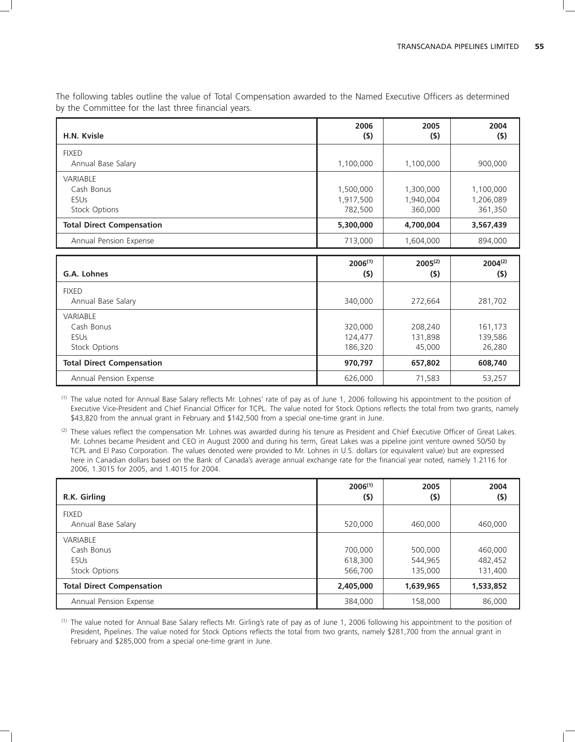The following tables outline the value of Total Compensation awarded to the Named Executive Officers as determined by the Committee for the last three financial years.

| H.N. Kvisle                                                   | 2006<br>(5)                       | 2005<br>(5)                       | 2004<br>$($ \$)                   |
|---------------------------------------------------------------|-----------------------------------|-----------------------------------|-----------------------------------|
| <b>FIXED</b><br>Annual Base Salary                            | 1,100,000                         | 1,100,000                         | 900,000                           |
| <b>VARIABLE</b><br>Cash Bonus<br><b>ESUs</b><br>Stock Options | 1,500,000<br>1,917,500<br>782,500 | 1,300,000<br>1,940,004<br>360,000 | 1,100,000<br>1,206,089<br>361,350 |
| <b>Total Direct Compensation</b>                              | 5,300,000                         | 4,700,004                         | 3,567,439                         |
| Annual Pension Expense                                        | 713,000                           | 1,604,000                         | 894,000                           |

| G.A. Lohnes                                                   | $2006^{(1)}$<br>(5)           | $2005^{(2)}$<br>$($ \$)      | $2004^{(2)}$<br>(5)          |
|---------------------------------------------------------------|-------------------------------|------------------------------|------------------------------|
| <b>FIXED</b><br>Annual Base Salary                            | 340,000                       | 272,664                      | 281,702                      |
| <b>VARIABLE</b><br>Cash Bonus<br><b>ESUs</b><br>Stock Options | 320,000<br>124,477<br>186,320 | 208,240<br>131,898<br>45,000 | 161,173<br>139,586<br>26,280 |
| <b>Total Direct Compensation</b>                              | 970,797                       | 657,802                      | 608,740                      |
| Annual Pension Expense                                        | 626,000                       | 71,583                       | 53,257                       |

(1) The value noted for Annual Base Salary reflects Mr. Lohnes' rate of pay as of June 1, 2006 following his appointment to the position of Executive Vice-President and Chief Financial Officer for TCPL. The value noted for Stock Options reflects the total from two grants, namely \$43,820 from the annual grant in February and \$142,500 from a special one-time grant in June.

(2) These values reflect the compensation Mr. Lohnes was awarded during his tenure as President and Chief Executive Officer of Great Lakes. Mr. Lohnes became President and CEO in August 2000 and during his term, Great Lakes was a pipeline joint venture owned 50/50 by TCPL and El Paso Corporation. The values denoted were provided to Mr. Lohnes in U.S. dollars (or equivalent value) but are expressed here in Canadian dollars based on the Bank of Canada's average annual exchange rate for the financial year noted, namely 1.2116 for 2006, 1.3015 for 2005, and 1.4015 for 2004.

| R.K. Girling                                                  | $2006^{(1)}$<br>(5)           | 2005<br>$($ \$)               | 2004<br>(5)                   |
|---------------------------------------------------------------|-------------------------------|-------------------------------|-------------------------------|
| <b>FIXED</b><br>Annual Base Salary                            | 520,000                       | 460,000                       | 460,000                       |
| <b>VARIABLE</b><br>Cash Bonus<br><b>ESUs</b><br>Stock Options | 700,000<br>618,300<br>566,700 | 500,000<br>544,965<br>135,000 | 460,000<br>482,452<br>131,400 |
| <b>Total Direct Compensation</b>                              | 2,405,000                     | 1,639,965                     | 1,533,852                     |
| Annual Pension Expense                                        | 384,000                       | 158,000                       | 86,000                        |

(1) The value noted for Annual Base Salary reflects Mr. Girling's rate of pay as of June 1, 2006 following his appointment to the position of President, Pipelines. The value noted for Stock Options reflects the total from two grants, namely \$281,700 from the annual grant in February and \$285,000 from a special one-time grant in June.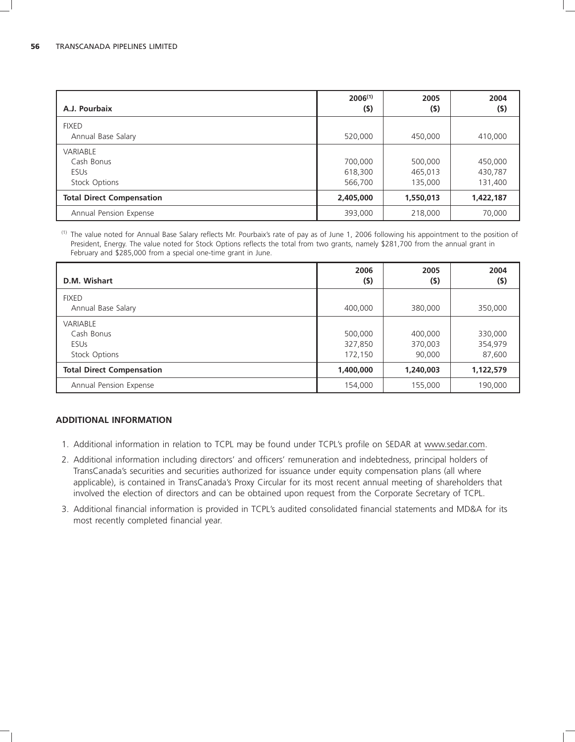| A.J. Pourbaix                                                 | $2006^{(1)}$<br>(5)           | 2005<br>$($ \$)               | 2004<br>$($ \$)               |
|---------------------------------------------------------------|-------------------------------|-------------------------------|-------------------------------|
| <b>FIXED</b><br>Annual Base Salary                            | 520,000                       | 450,000                       | 410,000                       |
| <b>VARIABLE</b><br>Cash Bonus<br><b>ESUs</b><br>Stock Options | 700,000<br>618,300<br>566,700 | 500,000<br>465,013<br>135,000 | 450,000<br>430,787<br>131,400 |
| <b>Total Direct Compensation</b>                              | 2,405,000                     | 1,550,013                     | 1,422,187                     |
| Annual Pension Expense                                        | 393,000                       | 218,000                       | 70,000                        |

(1) The value noted for Annual Base Salary reflects Mr. Pourbaix's rate of pay as of June 1, 2006 following his appointment to the position of President, Energy. The value noted for Stock Options reflects the total from two grants, namely \$281,700 from the annual grant in February and \$285,000 from a special one-time grant in June.

| D.M. Wishart                                                  | 2006<br>(5)                   | 2005<br>$($ \$)              | 2004<br>$($ \$)              |
|---------------------------------------------------------------|-------------------------------|------------------------------|------------------------------|
| <b>FIXED</b><br>Annual Base Salary                            | 400,000                       | 380,000                      | 350,000                      |
| <b>VARIABLE</b><br>Cash Bonus<br><b>ESUs</b><br>Stock Options | 500,000<br>327,850<br>172,150 | 400,000<br>370,003<br>90,000 | 330,000<br>354,979<br>87,600 |
| <b>Total Direct Compensation</b>                              | 1,400,000                     | 1,240,003                    | 1,122,579                    |
| Annual Pension Expense                                        | 154,000                       | 155,000                      | 190,000                      |

### **ADDITIONAL INFORMATION**

- 1. Additional information in relation to TCPL may be found under TCPL's profile on SEDAR at www.sedar.com.
- 2. Additional information including directors' and officers' remuneration and indebtedness, principal holders of TransCanada's securities and securities authorized for issuance under equity compensation plans (all where applicable), is contained in TransCanada's Proxy Circular for its most recent annual meeting of shareholders that involved the election of directors and can be obtained upon request from the Corporate Secretary of TCPL.
- 3. Additional financial information is provided in TCPL's audited consolidated financial statements and MD&A for its most recently completed financial year.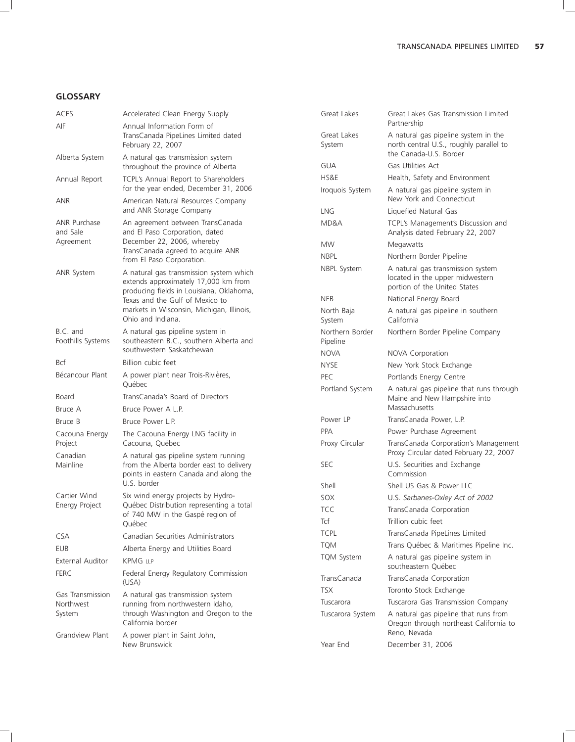### **GLOSSARY**

| ACES                                    | Accelerated Clean Energy Supply                                                                                                             | Great Lakes                 | Great Lakes Gas Transmission Limited                                                                 |  |
|-----------------------------------------|---------------------------------------------------------------------------------------------------------------------------------------------|-----------------------------|------------------------------------------------------------------------------------------------------|--|
| AIF                                     | Annual Information Form of<br>TransCanada PipeLines Limited dated                                                                           | Great Lakes                 | Partnership<br>A natural gas pipeline system in the<br>north central U.S., roughly parallel to       |  |
|                                         | February 22, 2007                                                                                                                           | System                      |                                                                                                      |  |
| Alberta System                          | A natural gas transmission system                                                                                                           | <b>GUA</b>                  | the Canada-U.S. Border<br>Gas Utilities Act                                                          |  |
|                                         | throughout the province of Alberta                                                                                                          | HS&E                        |                                                                                                      |  |
| Annual Report                           | TCPL's Annual Report to Shareholders<br>for the year ended, December 31, 2006                                                               | Iroquois System             | Health, Safety and Environment<br>A natural gas pipeline system in                                   |  |
| ANR                                     | American Natural Resources Company<br>and ANR Storage Company                                                                               | <b>LNG</b>                  | New York and Connecticut                                                                             |  |
| ANR Purchase                            | An agreement between TransCanada                                                                                                            | MD&A                        | Liquefied Natural Gas<br>TCPL's Management's Discussion and                                          |  |
| and Sale<br>Agreement                   | and El Paso Corporation, dated                                                                                                              |                             | Analysis dated February 22, 2007                                                                     |  |
|                                         | December 22, 2006, whereby<br>TransCanada agreed to acquire ANR                                                                             | <b>MW</b>                   | Megawatts                                                                                            |  |
|                                         | from El Paso Corporation.                                                                                                                   | <b>NBPL</b>                 | Northern Border Pipeline                                                                             |  |
| ANR System                              | A natural gas transmission system which<br>extends approximately 17,000 km from                                                             | NBPL System                 | A natural gas transmission system<br>located in the upper midwestern<br>portion of the United States |  |
|                                         | producing fields in Louisiana, Oklahoma,                                                                                                    | <b>NEB</b>                  | National Energy Board                                                                                |  |
|                                         | Texas and the Gulf of Mexico to<br>markets in Wisconsin, Michigan, Illinois,                                                                |                             |                                                                                                      |  |
|                                         | Ohio and Indiana.                                                                                                                           | North Baja<br>System        | A natural gas pipeline in southern<br>California                                                     |  |
| B.C. and<br>Foothills Systems           | A natural gas pipeline system in<br>southeastern B.C., southern Alberta and                                                                 | Northern Border<br>Pipeline | Northern Border Pipeline Company                                                                     |  |
|                                         | southwestern Saskatchewan                                                                                                                   | <b>NOVA</b>                 | NOVA Corporation                                                                                     |  |
| Bcf                                     | Billion cubic feet                                                                                                                          | <b>NYSE</b>                 | New York Stock Exchange                                                                              |  |
| Bécancour Plant                         | A power plant near Trois-Rivières,                                                                                                          | PEC                         | Portlands Energy Centre                                                                              |  |
| Board                                   | Québec<br>TransCanada's Board of Directors                                                                                                  | Portland System             | A natural gas pipeline that runs through<br>Maine and New Hampshire into                             |  |
| Bruce A                                 | Bruce Power A L.P.                                                                                                                          |                             | Massachusetts                                                                                        |  |
| Bruce B                                 | Bruce Power L.P.                                                                                                                            | Power LP                    | TransCanada Power, L.P.                                                                              |  |
| Cacouna Energy                          | The Cacouna Energy LNG facility in                                                                                                          | <b>PPA</b>                  | Power Purchase Agreement                                                                             |  |
| Project<br>Canadian                     | Cacouna, Québec<br>A natural gas pipeline system running                                                                                    | Proxy Circular              | TransCanada Corporation's Management<br>Proxy Circular dated February 22, 2007                       |  |
| Mainline                                | from the Alberta border east to delivery<br>points in eastern Canada and along the                                                          | <b>SEC</b>                  | U.S. Securities and Exchange<br>Commission                                                           |  |
|                                         | U.S. border                                                                                                                                 | Shell                       | Shell US Gas & Power LLC                                                                             |  |
| Cartier Wind                            | Six wind energy projects by Hydro-<br>Québec Distribution representing a total<br>of 740 MW in the Gaspé region of<br>Québec                | SOX                         | U.S. Sarbanes-Oxley Act of 2002                                                                      |  |
| Energy Project                          |                                                                                                                                             | <b>TCC</b>                  | TransCanada Corporation                                                                              |  |
|                                         |                                                                                                                                             | Tcf                         | Trillion cubic feet                                                                                  |  |
| CSA                                     | Canadian Securities Administrators                                                                                                          | <b>TCPL</b>                 | TransCanada PipeLines Limited                                                                        |  |
| <b>EUB</b>                              | Alberta Energy and Utilities Board                                                                                                          | <b>TQM</b>                  | Trans Québec & Maritimes Pipeline Inc.                                                               |  |
| <b>External Auditor</b>                 | <b>KPMG LLP</b>                                                                                                                             | <b>TQM System</b>           | A natural gas pipeline system in<br>southeastern Québec                                              |  |
| <b>FERC</b>                             | Federal Energy Regulatory Commission                                                                                                        | TransCanada                 | TransCanada Corporation                                                                              |  |
| Gas Transmission<br>Northwest<br>System | (USA)<br>A natural gas transmission system<br>running from northwestern Idaho,<br>through Washington and Oregon to the<br>California border | <b>TSX</b>                  | Toronto Stock Exchange                                                                               |  |
|                                         |                                                                                                                                             | Tuscarora                   | Tuscarora Gas Transmission Company                                                                   |  |
|                                         |                                                                                                                                             | Tuscarora System            | A natural gas pipeline that runs from<br>Oregon through northeast California to<br>Reno, Nevada      |  |
| Grandview Plant                         | A power plant in Saint John,<br>New Brunswick                                                                                               | Year End                    | December 31, 2006                                                                                    |  |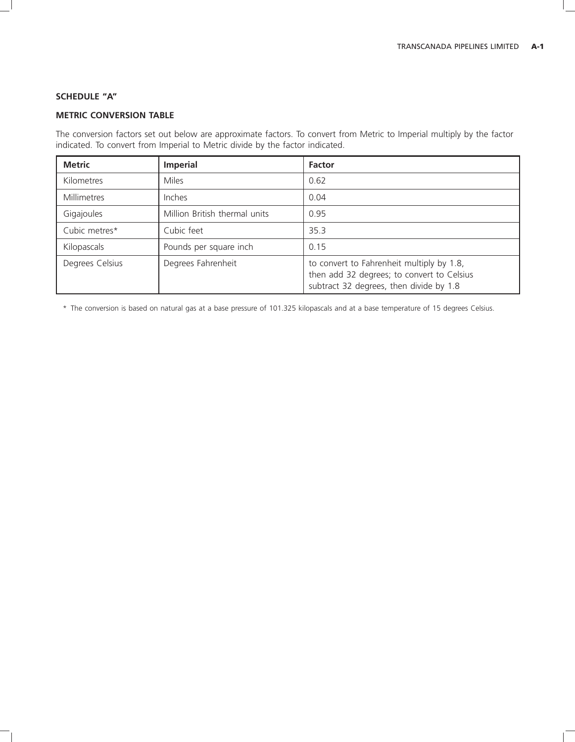# **SCHEDULE ''A''**

# **METRIC CONVERSION TABLE**

The conversion factors set out below are approximate factors. To convert from Metric to Imperial multiply by the factor indicated. To convert from Imperial to Metric divide by the factor indicated.

| <b>Metric</b>   | <b>Imperial</b>               | <b>Factor</b>                                                                                                                      |
|-----------------|-------------------------------|------------------------------------------------------------------------------------------------------------------------------------|
| Kilometres      | <b>Miles</b>                  | 0.62                                                                                                                               |
| Millimetres     | Inches                        | 0.04                                                                                                                               |
| Gigajoules      | Million British thermal units | 0.95                                                                                                                               |
| Cubic metres*   | Cubic feet                    | 35.3                                                                                                                               |
| Kilopascals     | Pounds per square inch        | 0.15                                                                                                                               |
| Degrees Celsius | Degrees Fahrenheit            | to convert to Fahrenheit multiply by 1.8,<br>then add 32 degrees; to convert to Celsius<br>subtract 32 degrees, then divide by 1.8 |

\* The conversion is based on natural gas at a base pressure of 101.325 kilopascals and at a base temperature of 15 degrees Celsius.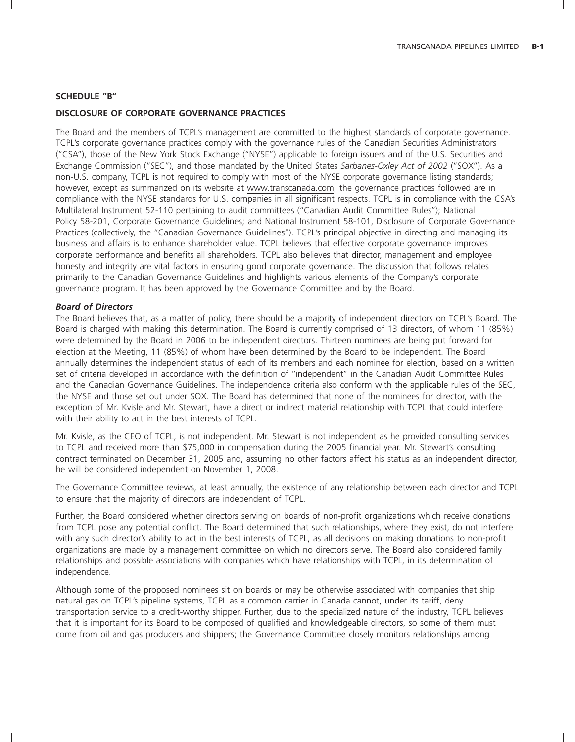### **SCHEDULE ''B''**

### **DISCLOSURE OF CORPORATE GOVERNANCE PRACTICES**

The Board and the members of TCPL's management are committed to the highest standards of corporate governance. TCPL's corporate governance practices comply with the governance rules of the Canadian Securities Administrators (''CSA''), those of the New York Stock Exchange (''NYSE'') applicable to foreign issuers and of the U.S. Securities and Exchange Commission (''SEC''), and those mandated by the United States *Sarbanes-Oxley Act of 2002* (''SOX''). As a non-U.S. company, TCPL is not required to comply with most of the NYSE corporate governance listing standards; however, except as summarized on its website at www.transcanada.com, the governance practices followed are in compliance with the NYSE standards for U.S. companies in all significant respects. TCPL is in compliance with the CSA's Multilateral Instrument 52-110 pertaining to audit committees (''Canadian Audit Committee Rules''); National Policy 58-201, Corporate Governance Guidelines; and National Instrument 58-101, Disclosure of Corporate Governance Practices (collectively, the ''Canadian Governance Guidelines''). TCPL's principal objective in directing and managing its business and affairs is to enhance shareholder value. TCPL believes that effective corporate governance improves corporate performance and benefits all shareholders. TCPL also believes that director, management and employee honesty and integrity are vital factors in ensuring good corporate governance. The discussion that follows relates primarily to the Canadian Governance Guidelines and highlights various elements of the Company's corporate governance program. It has been approved by the Governance Committee and by the Board.

### *Board of Directors*

The Board believes that, as a matter of policy, there should be a majority of independent directors on TCPL's Board. The Board is charged with making this determination. The Board is currently comprised of 13 directors, of whom 11 (85%) were determined by the Board in 2006 to be independent directors. Thirteen nominees are being put forward for election at the Meeting, 11 (85%) of whom have been determined by the Board to be independent. The Board annually determines the independent status of each of its members and each nominee for election, based on a written set of criteria developed in accordance with the definition of ''independent'' in the Canadian Audit Committee Rules and the Canadian Governance Guidelines. The independence criteria also conform with the applicable rules of the SEC, the NYSE and those set out under SOX. The Board has determined that none of the nominees for director, with the exception of Mr. Kvisle and Mr. Stewart, have a direct or indirect material relationship with TCPL that could interfere with their ability to act in the best interests of TCPL.

Mr. Kvisle, as the CEO of TCPL, is not independent. Mr. Stewart is not independent as he provided consulting services to TCPL and received more than \$75,000 in compensation during the 2005 financial year. Mr. Stewart's consulting contract terminated on December 31, 2005 and, assuming no other factors affect his status as an independent director, he will be considered independent on November 1, 2008.

The Governance Committee reviews, at least annually, the existence of any relationship between each director and TCPL to ensure that the majority of directors are independent of TCPL.

Further, the Board considered whether directors serving on boards of non-profit organizations which receive donations from TCPL pose any potential conflict. The Board determined that such relationships, where they exist, do not interfere with any such director's ability to act in the best interests of TCPL, as all decisions on making donations to non-profit organizations are made by a management committee on which no directors serve. The Board also considered family relationships and possible associations with companies which have relationships with TCPL, in its determination of independence.

Although some of the proposed nominees sit on boards or may be otherwise associated with companies that ship natural gas on TCPL's pipeline systems, TCPL as a common carrier in Canada cannot, under its tariff, deny transportation service to a credit-worthy shipper. Further, due to the specialized nature of the industry, TCPL believes that it is important for its Board to be composed of qualified and knowledgeable directors, so some of them must come from oil and gas producers and shippers; the Governance Committee closely monitors relationships among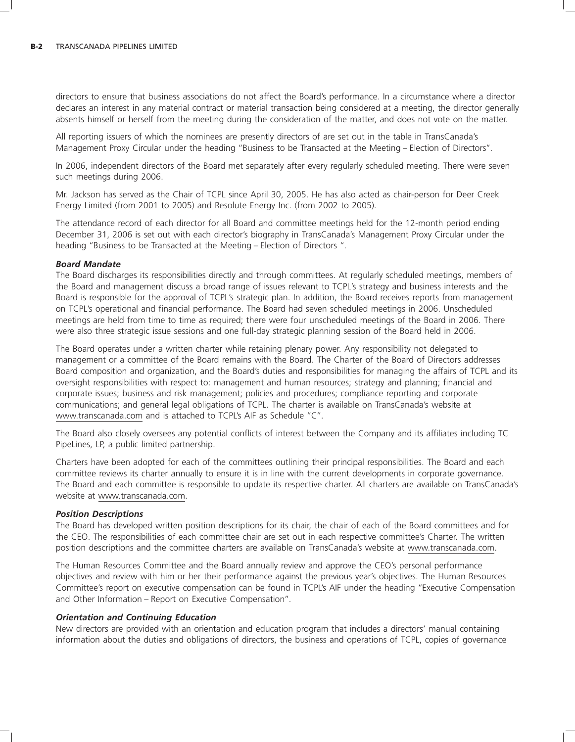directors to ensure that business associations do not affect the Board's performance. In a circumstance where a director declares an interest in any material contract or material transaction being considered at a meeting, the director generally absents himself or herself from the meeting during the consideration of the matter, and does not vote on the matter.

All reporting issuers of which the nominees are presently directors of are set out in the table in TransCanada's Management Proxy Circular under the heading ''Business to be Transacted at the Meeting – Election of Directors''.

In 2006, independent directors of the Board met separately after every regularly scheduled meeting. There were seven such meetings during 2006.

Mr. Jackson has served as the Chair of TCPL since April 30, 2005. He has also acted as chair-person for Deer Creek Energy Limited (from 2001 to 2005) and Resolute Energy Inc. (from 2002 to 2005).

The attendance record of each director for all Board and committee meetings held for the 12-month period ending December 31, 2006 is set out with each director's biography in TransCanada's Management Proxy Circular under the heading ''Business to be Transacted at the Meeting – Election of Directors ''.

#### *Board Mandate*

The Board discharges its responsibilities directly and through committees. At regularly scheduled meetings, members of the Board and management discuss a broad range of issues relevant to TCPL's strategy and business interests and the Board is responsible for the approval of TCPL's strategic plan. In addition, the Board receives reports from management on TCPL's operational and financial performance. The Board had seven scheduled meetings in 2006. Unscheduled meetings are held from time to time as required; there were four unscheduled meetings of the Board in 2006. There were also three strategic issue sessions and one full-day strategic planning session of the Board held in 2006.

The Board operates under a written charter while retaining plenary power. Any responsibility not delegated to management or a committee of the Board remains with the Board. The Charter of the Board of Directors addresses Board composition and organization, and the Board's duties and responsibilities for managing the affairs of TCPL and its oversight responsibilities with respect to: management and human resources; strategy and planning; financial and corporate issues; business and risk management; policies and procedures; compliance reporting and corporate communications; and general legal obligations of TCPL. The charter is available on TransCanada's website at www.transcanada.com and is attached to TCPL's AIF as Schedule ''C''.

The Board also closely oversees any potential conflicts of interest between the Company and its affiliates including TC PipeLines, LP, a public limited partnership.

Charters have been adopted for each of the committees outlining their principal responsibilities. The Board and each committee reviews its charter annually to ensure it is in line with the current developments in corporate governance. The Board and each committee is responsible to update its respective charter. All charters are available on TransCanada's website at www.transcanada.com.

#### *Position Descriptions*

The Board has developed written position descriptions for its chair, the chair of each of the Board committees and for the CEO. The responsibilities of each committee chair are set out in each respective committee's Charter. The written position descriptions and the committee charters are available on TransCanada's website at www.transcanada.com.

The Human Resources Committee and the Board annually review and approve the CEO's personal performance objectives and review with him or her their performance against the previous year's objectives. The Human Resources Committee's report on executive compensation can be found in TCPL's AIF under the heading ''Executive Compensation and Other Information – Report on Executive Compensation''.

#### *Orientation and Continuing Education*

New directors are provided with an orientation and education program that includes a directors' manual containing information about the duties and obligations of directors, the business and operations of TCPL, copies of governance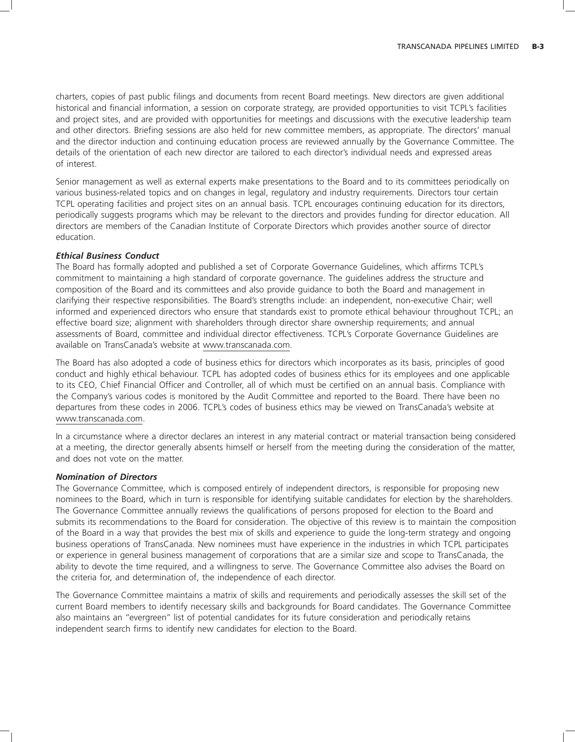charters, copies of past public filings and documents from recent Board meetings. New directors are given additional historical and financial information, a session on corporate strategy, are provided opportunities to visit TCPL's facilities and project sites, and are provided with opportunities for meetings and discussions with the executive leadership team and other directors. Briefing sessions are also held for new committee members, as appropriate. The directors' manual and the director induction and continuing education process are reviewed annually by the Governance Committee. The details of the orientation of each new director are tailored to each director's individual needs and expressed areas of interest.

Senior management as well as external experts make presentations to the Board and to its committees periodically on various business-related topics and on changes in legal, regulatory and industry requirements. Directors tour certain TCPL operating facilities and project sites on an annual basis. TCPL encourages continuing education for its directors, periodically suggests programs which may be relevant to the directors and provides funding for director education. All directors are members of the Canadian Institute of Corporate Directors which provides another source of director education.

### *Ethical Business Conduct*

The Board has formally adopted and published a set of Corporate Governance Guidelines, which affirms TCPL's commitment to maintaining a high standard of corporate governance. The guidelines address the structure and composition of the Board and its committees and also provide guidance to both the Board and management in clarifying their respective responsibilities. The Board's strengths include: an independent, non-executive Chair; well informed and experienced directors who ensure that standards exist to promote ethical behaviour throughout TCPL; an effective board size; alignment with shareholders through director share ownership requirements; and annual assessments of Board, committee and individual director effectiveness. TCPL's Corporate Governance Guidelines are available on TransCanada's website at www.transcanada.com.

The Board has also adopted a code of business ethics for directors which incorporates as its basis, principles of good conduct and highly ethical behaviour. TCPL has adopted codes of business ethics for its employees and one applicable to its CEO, Chief Financial Officer and Controller, all of which must be certified on an annual basis. Compliance with the Company's various codes is monitored by the Audit Committee and reported to the Board. There have been no departures from these codes in 2006. TCPL's codes of business ethics may be viewed on TransCanada's website at www.transcanada.com.

In a circumstance where a director declares an interest in any material contract or material transaction being considered at a meeting, the director generally absents himself or herself from the meeting during the consideration of the matter, and does not vote on the matter.

#### *Nomination of Directors*

The Governance Committee, which is composed entirely of independent directors, is responsible for proposing new nominees to the Board, which in turn is responsible for identifying suitable candidates for election by the shareholders. The Governance Committee annually reviews the qualifications of persons proposed for election to the Board and submits its recommendations to the Board for consideration. The objective of this review is to maintain the composition of the Board in a way that provides the best mix of skills and experience to guide the long-term strategy and ongoing business operations of TransCanada. New nominees must have experience in the industries in which TCPL participates or experience in general business management of corporations that are a similar size and scope to TransCanada, the ability to devote the time required, and a willingness to serve. The Governance Committee also advises the Board on the criteria for, and determination of, the independence of each director.

The Governance Committee maintains a matrix of skills and requirements and periodically assesses the skill set of the current Board members to identify necessary skills and backgrounds for Board candidates. The Governance Committee also maintains an ''evergreen'' list of potential candidates for its future consideration and periodically retains independent search firms to identify new candidates for election to the Board.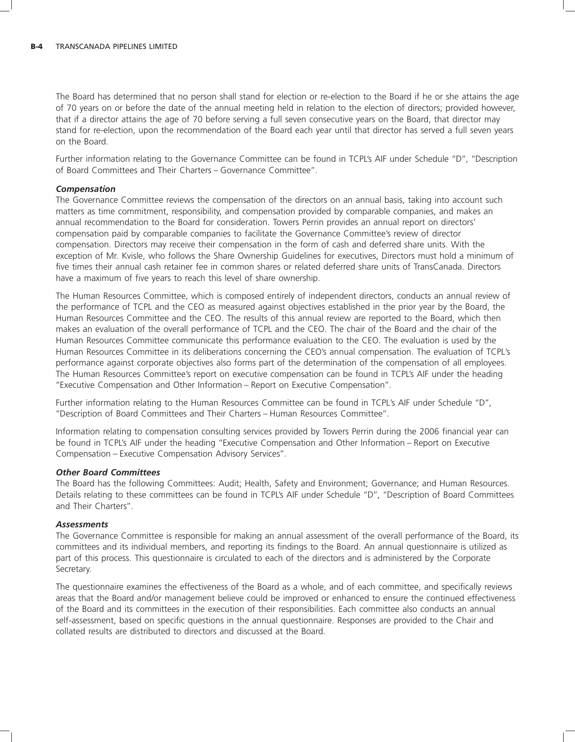The Board has determined that no person shall stand for election or re-election to the Board if he or she attains the age of 70 years on or before the date of the annual meeting held in relation to the election of directors; provided however, that if a director attains the age of 70 before serving a full seven consecutive years on the Board, that director may stand for re-election, upon the recommendation of the Board each year until that director has served a full seven years on the Board.

Further information relating to the Governance Committee can be found in TCPL's AIF under Schedule ''D'', ''Description of Board Committees and Their Charters – Governance Committee''.

### *Compensation*

The Governance Committee reviews the compensation of the directors on an annual basis, taking into account such matters as time commitment, responsibility, and compensation provided by comparable companies, and makes an annual recommendation to the Board for consideration. Towers Perrin provides an annual report on directors' compensation paid by comparable companies to facilitate the Governance Committee's review of director compensation. Directors may receive their compensation in the form of cash and deferred share units. With the exception of Mr. Kvisle, who follows the Share Ownership Guidelines for executives, Directors must hold a minimum of five times their annual cash retainer fee in common shares or related deferred share units of TransCanada. Directors have a maximum of five years to reach this level of share ownership.

The Human Resources Committee, which is composed entirely of independent directors, conducts an annual review of the performance of TCPL and the CEO as measured against objectives established in the prior year by the Board, the Human Resources Committee and the CEO. The results of this annual review are reported to the Board, which then makes an evaluation of the overall performance of TCPL and the CEO. The chair of the Board and the chair of the Human Resources Committee communicate this performance evaluation to the CEO. The evaluation is used by the Human Resources Committee in its deliberations concerning the CEO's annual compensation. The evaluation of TCPL's performance against corporate objectives also forms part of the determination of the compensation of all employees. The Human Resources Committee's report on executive compensation can be found in TCPL's AIF under the heading ''Executive Compensation and Other Information – Report on Executive Compensation''.

Further information relating to the Human Resources Committee can be found in TCPL's AIF under Schedule ''D'', ''Description of Board Committees and Their Charters – Human Resources Committee''.

Information relating to compensation consulting services provided by Towers Perrin during the 2006 financial year can be found in TCPL's AIF under the heading ''Executive Compensation and Other Information – Report on Executive Compensation – Executive Compensation Advisory Services''.

### *Other Board Committees*

The Board has the following Committees: Audit; Health, Safety and Environment; Governance; and Human Resources. Details relating to these committees can be found in TCPL's AIF under Schedule ''D'', ''Description of Board Committees and Their Charters''.

### *Assessments*

The Governance Committee is responsible for making an annual assessment of the overall performance of the Board, its committees and its individual members, and reporting its findings to the Board. An annual questionnaire is utilized as part of this process. This questionnaire is circulated to each of the directors and is administered by the Corporate Secretary.

The questionnaire examines the effectiveness of the Board as a whole, and of each committee, and specifically reviews areas that the Board and/or management believe could be improved or enhanced to ensure the continued effectiveness of the Board and its committees in the execution of their responsibilities. Each committee also conducts an annual self-assessment, based on specific questions in the annual questionnaire. Responses are provided to the Chair and collated results are distributed to directors and discussed at the Board.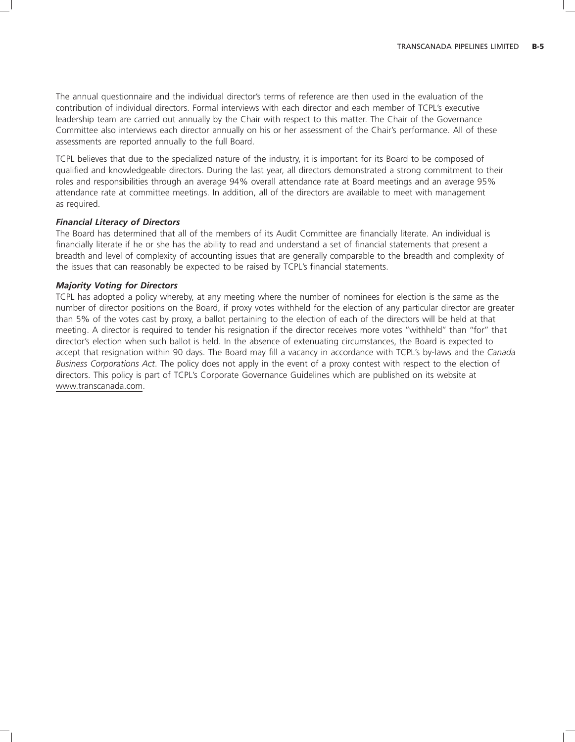The annual questionnaire and the individual director's terms of reference are then used in the evaluation of the contribution of individual directors. Formal interviews with each director and each member of TCPL's executive leadership team are carried out annually by the Chair with respect to this matter. The Chair of the Governance Committee also interviews each director annually on his or her assessment of the Chair's performance. All of these assessments are reported annually to the full Board.

TCPL believes that due to the specialized nature of the industry, it is important for its Board to be composed of qualified and knowledgeable directors. During the last year, all directors demonstrated a strong commitment to their roles and responsibilities through an average 94% overall attendance rate at Board meetings and an average 95% attendance rate at committee meetings. In addition, all of the directors are available to meet with management as required.

### *Financial Literacy of Directors*

The Board has determined that all of the members of its Audit Committee are financially literate. An individual is financially literate if he or she has the ability to read and understand a set of financial statements that present a breadth and level of complexity of accounting issues that are generally comparable to the breadth and complexity of the issues that can reasonably be expected to be raised by TCPL's financial statements.

### *Majority Voting for Directors*

TCPL has adopted a policy whereby, at any meeting where the number of nominees for election is the same as the number of director positions on the Board, if proxy votes withheld for the election of any particular director are greater than 5% of the votes cast by proxy, a ballot pertaining to the election of each of the directors will be held at that meeting. A director is required to tender his resignation if the director receives more votes ''withheld'' than ''for'' that director's election when such ballot is held. In the absence of extenuating circumstances, the Board is expected to accept that resignation within 90 days. The Board may fill a vacancy in accordance with TCPL's by-laws and the *Canada Business Corporations Act*. The policy does not apply in the event of a proxy contest with respect to the election of directors. This policy is part of TCPL's Corporate Governance Guidelines which are published on its website at www.transcanada.com.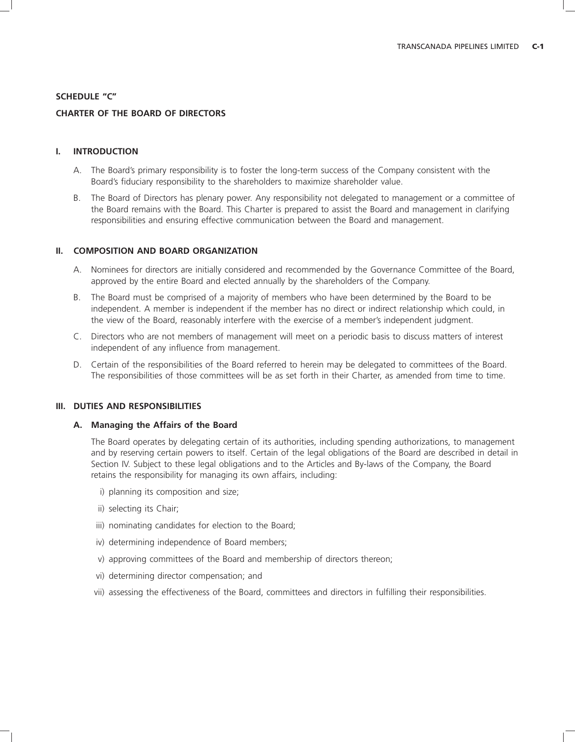### **SCHEDULE ''C''**

# **CHARTER OF THE BOARD OF DIRECTORS**

### **I. INTRODUCTION**

- A. The Board's primary responsibility is to foster the long-term success of the Company consistent with the Board's fiduciary responsibility to the shareholders to maximize shareholder value.
- B. The Board of Directors has plenary power. Any responsibility not delegated to management or a committee of the Board remains with the Board. This Charter is prepared to assist the Board and management in clarifying responsibilities and ensuring effective communication between the Board and management.

### **II. COMPOSITION AND BOARD ORGANIZATION**

- A. Nominees for directors are initially considered and recommended by the Governance Committee of the Board, approved by the entire Board and elected annually by the shareholders of the Company.
- B. The Board must be comprised of a majority of members who have been determined by the Board to be independent. A member is independent if the member has no direct or indirect relationship which could, in the view of the Board, reasonably interfere with the exercise of a member's independent judgment.
- C. Directors who are not members of management will meet on a periodic basis to discuss matters of interest independent of any influence from management.
- D. Certain of the responsibilities of the Board referred to herein may be delegated to committees of the Board. The responsibilities of those committees will be as set forth in their Charter, as amended from time to time.

### **III. DUTIES AND RESPONSIBILITIES**

#### **A. Managing the Affairs of the Board**

The Board operates by delegating certain of its authorities, including spending authorizations, to management and by reserving certain powers to itself. Certain of the legal obligations of the Board are described in detail in Section IV. Subject to these legal obligations and to the Articles and By-laws of the Company, the Board retains the responsibility for managing its own affairs, including:

- i) planning its composition and size;
- ii) selecting its Chair;
- iii) nominating candidates for election to the Board;
- iv) determining independence of Board members;
- v) approving committees of the Board and membership of directors thereon;
- vi) determining director compensation; and
- vii) assessing the effectiveness of the Board, committees and directors in fulfilling their responsibilities.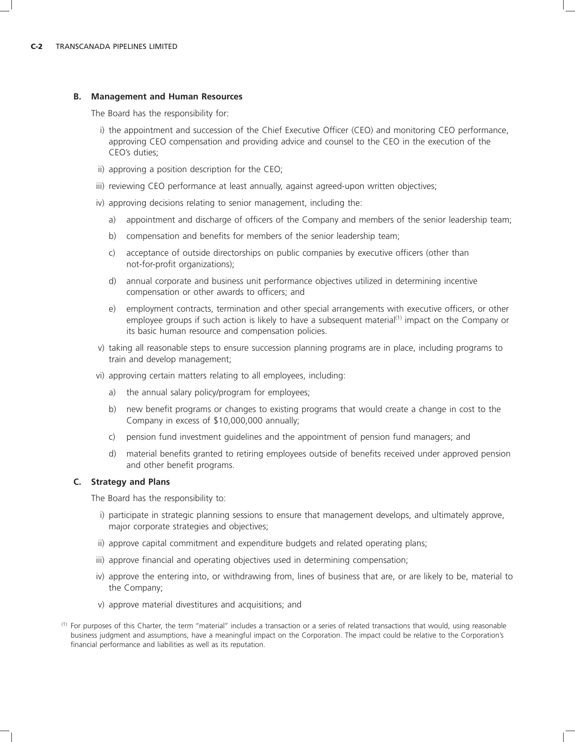#### **B. Management and Human Resources**

The Board has the responsibility for:

- i) the appointment and succession of the Chief Executive Officer (CEO) and monitoring CEO performance, approving CEO compensation and providing advice and counsel to the CEO in the execution of the CEO's duties;
- ii) approving a position description for the CEO;
- iii) reviewing CEO performance at least annually, against agreed-upon written objectives;
- iv) approving decisions relating to senior management, including the:
	- a) appointment and discharge of officers of the Company and members of the senior leadership team;
	- b) compensation and benefits for members of the senior leadership team;
	- c) acceptance of outside directorships on public companies by executive officers (other than not-for-profit organizations);
	- d) annual corporate and business unit performance objectives utilized in determining incentive compensation or other awards to officers; and
	- e) employment contracts, termination and other special arrangements with executive officers, or other employee groups if such action is likely to have a subsequent material<sup>(1)</sup> impact on the Company or its basic human resource and compensation policies.
- v) taking all reasonable steps to ensure succession planning programs are in place, including programs to train and develop management;
- vi) approving certain matters relating to all employees, including:
	- a) the annual salary policy/program for employees;
	- b) new benefit programs or changes to existing programs that would create a change in cost to the Company in excess of \$10,000,000 annually;
	- c) pension fund investment guidelines and the appointment of pension fund managers; and
	- d) material benefits granted to retiring employees outside of benefits received under approved pension and other benefit programs.

### **C. Strategy and Plans**

The Board has the responsibility to:

- i) participate in strategic planning sessions to ensure that management develops, and ultimately approve, major corporate strategies and objectives;
- ii) approve capital commitment and expenditure budgets and related operating plans;
- iii) approve financial and operating objectives used in determining compensation;
- iv) approve the entering into, or withdrawing from, lines of business that are, or are likely to be, material to the Company;
- v) approve material divestitures and acquisitions; and
- (1) For purposes of this Charter, the term ''material'' includes a transaction or a series of related transactions that would, using reasonable business judgment and assumptions, have a meaningful impact on the Corporation. The impact could be relative to the Corporation's financial performance and liabilities as well as its reputation.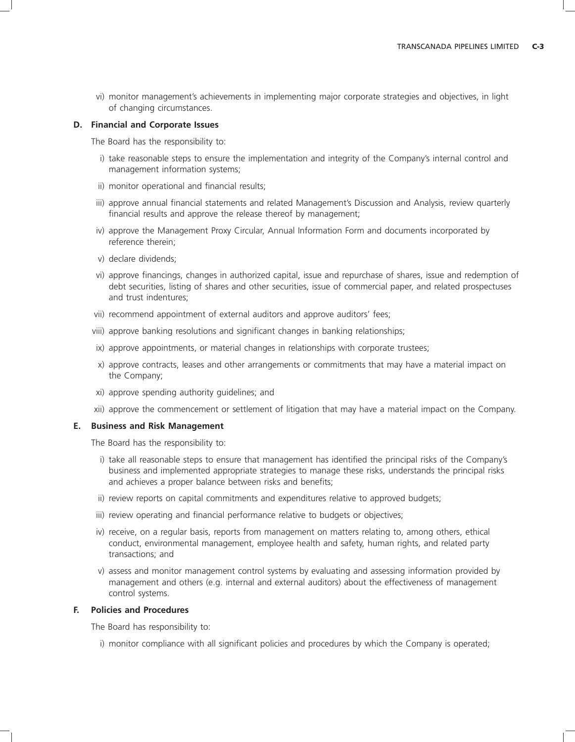vi) monitor management's achievements in implementing major corporate strategies and objectives, in light of changing circumstances.

#### **D. Financial and Corporate Issues**

The Board has the responsibility to:

- i) take reasonable steps to ensure the implementation and integrity of the Company's internal control and management information systems;
- ii) monitor operational and financial results;
- iii) approve annual financial statements and related Management's Discussion and Analysis, review quarterly financial results and approve the release thereof by management;
- iv) approve the Management Proxy Circular, Annual Information Form and documents incorporated by reference therein;
- v) declare dividends;
- vi) approve financings, changes in authorized capital, issue and repurchase of shares, issue and redemption of debt securities, listing of shares and other securities, issue of commercial paper, and related prospectuses and trust indentures;
- vii) recommend appointment of external auditors and approve auditors' fees;
- viii) approve banking resolutions and significant changes in banking relationships;
- ix) approve appointments, or material changes in relationships with corporate trustees;
- x) approve contracts, leases and other arrangements or commitments that may have a material impact on the Company;
- xi) approve spending authority guidelines; and
- xii) approve the commencement or settlement of litigation that may have a material impact on the Company.

#### **E. Business and Risk Management**

The Board has the responsibility to:

- i) take all reasonable steps to ensure that management has identified the principal risks of the Company's business and implemented appropriate strategies to manage these risks, understands the principal risks and achieves a proper balance between risks and benefits;
- ii) review reports on capital commitments and expenditures relative to approved budgets;
- iii) review operating and financial performance relative to budgets or objectives;
- iv) receive, on a regular basis, reports from management on matters relating to, among others, ethical conduct, environmental management, employee health and safety, human rights, and related party transactions; and
- v) assess and monitor management control systems by evaluating and assessing information provided by management and others (e.g. internal and external auditors) about the effectiveness of management control systems.

### **F. Policies and Procedures**

The Board has responsibility to:

i) monitor compliance with all significant policies and procedures by which the Company is operated;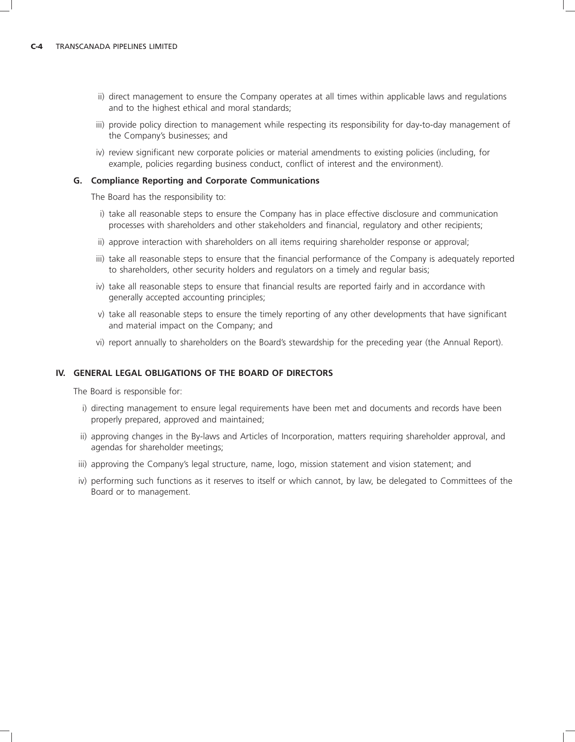- ii) direct management to ensure the Company operates at all times within applicable laws and regulations and to the highest ethical and moral standards;
- iii) provide policy direction to management while respecting its responsibility for day-to-day management of the Company's businesses; and
- iv) review significant new corporate policies or material amendments to existing policies (including, for example, policies regarding business conduct, conflict of interest and the environment).

#### **G. Compliance Reporting and Corporate Communications**

The Board has the responsibility to:

- i) take all reasonable steps to ensure the Company has in place effective disclosure and communication processes with shareholders and other stakeholders and financial, regulatory and other recipients;
- ii) approve interaction with shareholders on all items requiring shareholder response or approval;
- iii) take all reasonable steps to ensure that the financial performance of the Company is adequately reported to shareholders, other security holders and regulators on a timely and regular basis;
- iv) take all reasonable steps to ensure that financial results are reported fairly and in accordance with generally accepted accounting principles;
- v) take all reasonable steps to ensure the timely reporting of any other developments that have significant and material impact on the Company; and
- vi) report annually to shareholders on the Board's stewardship for the preceding year (the Annual Report).

# **IV. GENERAL LEGAL OBLIGATIONS OF THE BOARD OF DIRECTORS**

The Board is responsible for:

- i) directing management to ensure legal requirements have been met and documents and records have been properly prepared, approved and maintained;
- ii) approving changes in the By-laws and Articles of Incorporation, matters requiring shareholder approval, and agendas for shareholder meetings;
- iii) approving the Company's legal structure, name, logo, mission statement and vision statement; and
- iv) performing such functions as it reserves to itself or which cannot, by law, be delegated to Committees of the Board or to management.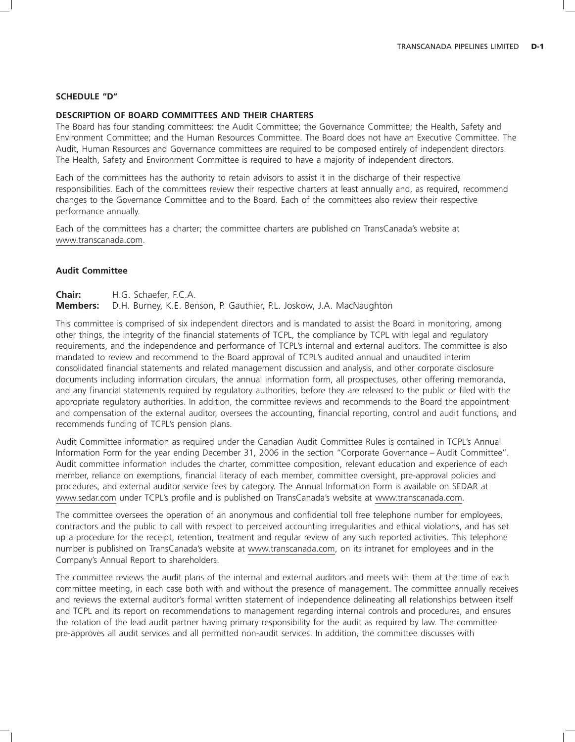#### **SCHEDULE ''D''**

# **DESCRIPTION OF BOARD COMMITTEES AND THEIR CHARTERS**

The Board has four standing committees: the Audit Committee; the Governance Committee; the Health, Safety and Environment Committee; and the Human Resources Committee. The Board does not have an Executive Committee. The Audit, Human Resources and Governance committees are required to be composed entirely of independent directors. The Health, Safety and Environment Committee is required to have a majority of independent directors.

Each of the committees has the authority to retain advisors to assist it in the discharge of their respective responsibilities. Each of the committees review their respective charters at least annually and, as required, recommend changes to the Governance Committee and to the Board. Each of the committees also review their respective performance annually.

Each of the committees has a charter; the committee charters are published on TransCanada's website at www.transcanada.com.

### **Audit Committee**

**Chair:** H.G. Schaefer, F.C.A.

**Members:** D.H. Burney, K.E. Benson, P. Gauthier, P.L. Joskow, J.A. MacNaughton

This committee is comprised of six independent directors and is mandated to assist the Board in monitoring, among other things, the integrity of the financial statements of TCPL, the compliance by TCPL with legal and regulatory requirements, and the independence and performance of TCPL's internal and external auditors. The committee is also mandated to review and recommend to the Board approval of TCPL's audited annual and unaudited interim consolidated financial statements and related management discussion and analysis, and other corporate disclosure documents including information circulars, the annual information form, all prospectuses, other offering memoranda, and any financial statements required by regulatory authorities, before they are released to the public or filed with the appropriate regulatory authorities. In addition, the committee reviews and recommends to the Board the appointment and compensation of the external auditor, oversees the accounting, financial reporting, control and audit functions, and recommends funding of TCPL's pension plans.

Audit Committee information as required under the Canadian Audit Committee Rules is contained in TCPL's Annual Information Form for the year ending December 31, 2006 in the section ''Corporate Governance – Audit Committee''. Audit committee information includes the charter, committee composition, relevant education and experience of each member, reliance on exemptions, financial literacy of each member, committee oversight, pre-approval policies and procedures, and external auditor service fees by category. The Annual Information Form is available on SEDAR at www.sedar.com under TCPL's profile and is published on TransCanada's website at www.transcanada.com.

The committee oversees the operation of an anonymous and confidential toll free telephone number for employees, contractors and the public to call with respect to perceived accounting irregularities and ethical violations, and has set up a procedure for the receipt, retention, treatment and regular review of any such reported activities. This telephone number is published on TransCanada's website at www.transcanada.com, on its intranet for employees and in the Company's Annual Report to shareholders.

The committee reviews the audit plans of the internal and external auditors and meets with them at the time of each committee meeting, in each case both with and without the presence of management. The committee annually receives and reviews the external auditor's formal written statement of independence delineating all relationships between itself and TCPL and its report on recommendations to management regarding internal controls and procedures, and ensures the rotation of the lead audit partner having primary responsibility for the audit as required by law. The committee pre-approves all audit services and all permitted non-audit services. In addition, the committee discusses with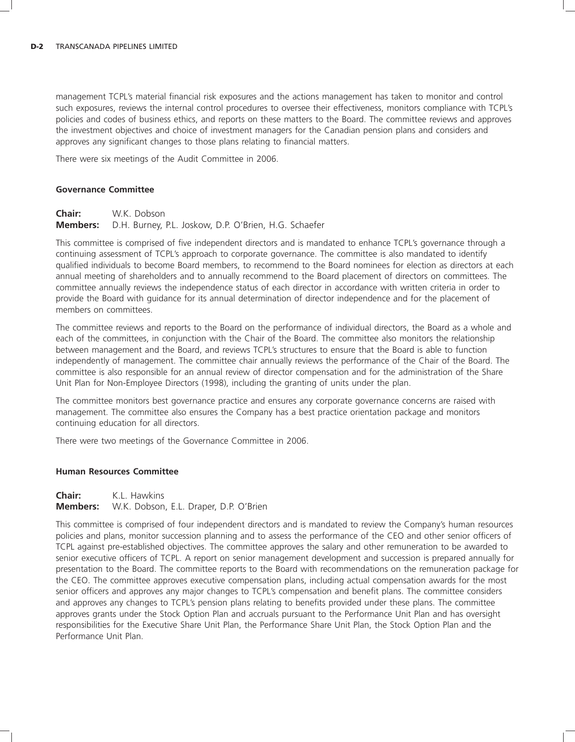management TCPL's material financial risk exposures and the actions management has taken to monitor and control such exposures, reviews the internal control procedures to oversee their effectiveness, monitors compliance with TCPL's policies and codes of business ethics, and reports on these matters to the Board. The committee reviews and approves the investment objectives and choice of investment managers for the Canadian pension plans and considers and approves any significant changes to those plans relating to financial matters.

There were six meetings of the Audit Committee in 2006.

### **Governance Committee**

**Chair:** W.K. Dobson **Members:** D.H. Burney, P.L. Joskow, D.P. O'Brien, H.G. Schaefer

This committee is comprised of five independent directors and is mandated to enhance TCPL's governance through a continuing assessment of TCPL's approach to corporate governance. The committee is also mandated to identify qualified individuals to become Board members, to recommend to the Board nominees for election as directors at each annual meeting of shareholders and to annually recommend to the Board placement of directors on committees. The committee annually reviews the independence status of each director in accordance with written criteria in order to provide the Board with guidance for its annual determination of director independence and for the placement of members on committees.

The committee reviews and reports to the Board on the performance of individual directors, the Board as a whole and each of the committees, in conjunction with the Chair of the Board. The committee also monitors the relationship between management and the Board, and reviews TCPL's structures to ensure that the Board is able to function independently of management. The committee chair annually reviews the performance of the Chair of the Board. The committee is also responsible for an annual review of director compensation and for the administration of the Share Unit Plan for Non-Employee Directors (1998), including the granting of units under the plan.

The committee monitors best governance practice and ensures any corporate governance concerns are raised with management. The committee also ensures the Company has a best practice orientation package and monitors continuing education for all directors.

There were two meetings of the Governance Committee in 2006.

#### **Human Resources Committee**

**Chair:** K.L. Hawkins **Members:** W.K. Dobson, E.L. Draper, D.P. O'Brien

This committee is comprised of four independent directors and is mandated to review the Company's human resources policies and plans, monitor succession planning and to assess the performance of the CEO and other senior officers of TCPL against pre-established objectives. The committee approves the salary and other remuneration to be awarded to senior executive officers of TCPL. A report on senior management development and succession is prepared annually for presentation to the Board. The committee reports to the Board with recommendations on the remuneration package for the CEO. The committee approves executive compensation plans, including actual compensation awards for the most senior officers and approves any major changes to TCPL's compensation and benefit plans. The committee considers and approves any changes to TCPL's pension plans relating to benefits provided under these plans. The committee approves grants under the Stock Option Plan and accruals pursuant to the Performance Unit Plan and has oversight responsibilities for the Executive Share Unit Plan, the Performance Share Unit Plan, the Stock Option Plan and the Performance Unit Plan.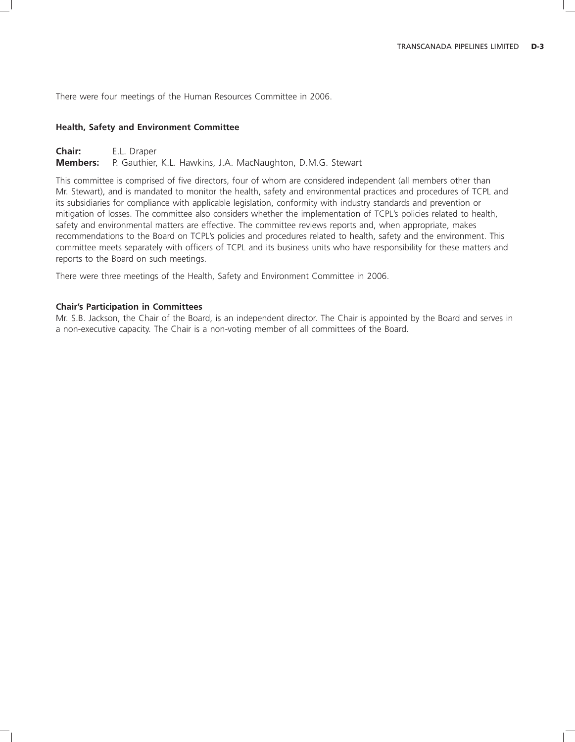There were four meetings of the Human Resources Committee in 2006.

## **Health, Safety and Environment Committee**

**Chair:** E.L. Draper **Members:** P. Gauthier, K.L. Hawkins, J.A. MacNaughton, D.M.G. Stewart

This committee is comprised of five directors, four of whom are considered independent (all members other than Mr. Stewart), and is mandated to monitor the health, safety and environmental practices and procedures of TCPL and its subsidiaries for compliance with applicable legislation, conformity with industry standards and prevention or mitigation of losses. The committee also considers whether the implementation of TCPL's policies related to health, safety and environmental matters are effective. The committee reviews reports and, when appropriate, makes recommendations to the Board on TCPL's policies and procedures related to health, safety and the environment. This committee meets separately with officers of TCPL and its business units who have responsibility for these matters and reports to the Board on such meetings.

There were three meetings of the Health, Safety and Environment Committee in 2006.

#### **Chair's Participation in Committees**

Mr. S.B. Jackson, the Chair of the Board, is an independent director. The Chair is appointed by the Board and serves in a non-executive capacity. The Chair is a non-voting member of all committees of the Board.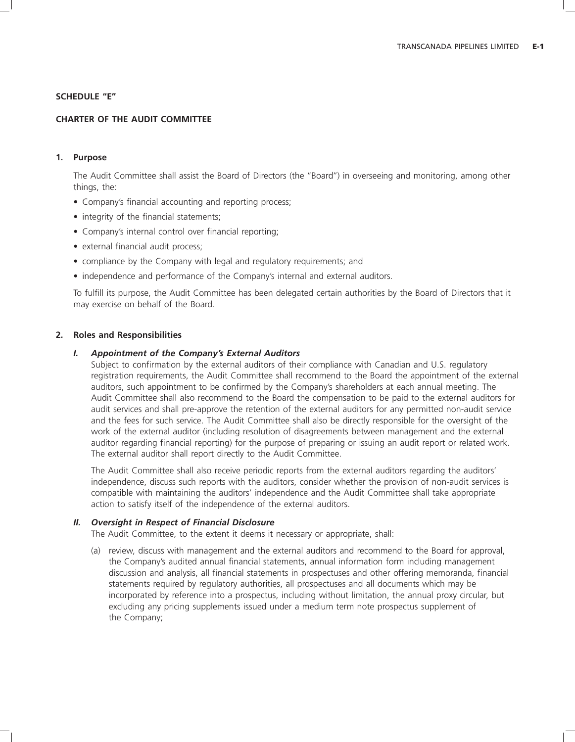## **SCHEDULE ''E''**

# **CHARTER OF THE AUDIT COMMITTEE**

# **1. Purpose**

The Audit Committee shall assist the Board of Directors (the ''Board'') in overseeing and monitoring, among other things, the:

- Company's financial accounting and reporting process;
- integrity of the financial statements;
- Company's internal control over financial reporting;
- external financial audit process;
- compliance by the Company with legal and regulatory requirements; and
- independence and performance of the Company's internal and external auditors.

To fulfill its purpose, the Audit Committee has been delegated certain authorities by the Board of Directors that it may exercise on behalf of the Board.

## **2. Roles and Responsibilities**

## *I. Appointment of the Company's External Auditors*

Subject to confirmation by the external auditors of their compliance with Canadian and U.S. regulatory registration requirements, the Audit Committee shall recommend to the Board the appointment of the external auditors, such appointment to be confirmed by the Company's shareholders at each annual meeting. The Audit Committee shall also recommend to the Board the compensation to be paid to the external auditors for audit services and shall pre-approve the retention of the external auditors for any permitted non-audit service and the fees for such service. The Audit Committee shall also be directly responsible for the oversight of the work of the external auditor (including resolution of disagreements between management and the external auditor regarding financial reporting) for the purpose of preparing or issuing an audit report or related work. The external auditor shall report directly to the Audit Committee.

The Audit Committee shall also receive periodic reports from the external auditors regarding the auditors' independence, discuss such reports with the auditors, consider whether the provision of non-audit services is compatible with maintaining the auditors' independence and the Audit Committee shall take appropriate action to satisfy itself of the independence of the external auditors.

### *II. Oversight in Respect of Financial Disclosure*

The Audit Committee, to the extent it deems it necessary or appropriate, shall:

(a) review, discuss with management and the external auditors and recommend to the Board for approval, the Company's audited annual financial statements, annual information form including management discussion and analysis, all financial statements in prospectuses and other offering memoranda, financial statements required by regulatory authorities, all prospectuses and all documents which may be incorporated by reference into a prospectus, including without limitation, the annual proxy circular, but excluding any pricing supplements issued under a medium term note prospectus supplement of the Company;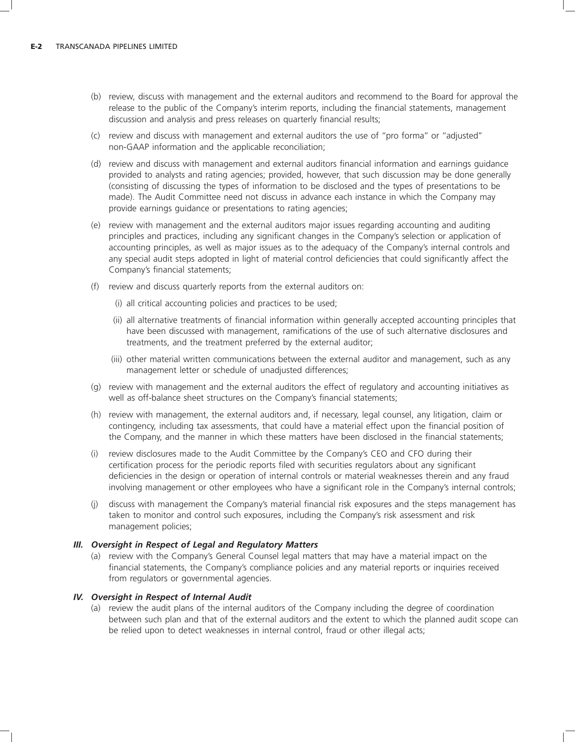- (b) review, discuss with management and the external auditors and recommend to the Board for approval the release to the public of the Company's interim reports, including the financial statements, management discussion and analysis and press releases on quarterly financial results;
- (c) review and discuss with management and external auditors the use of ''pro forma'' or ''adjusted'' non-GAAP information and the applicable reconciliation;
- (d) review and discuss with management and external auditors financial information and earnings guidance provided to analysts and rating agencies; provided, however, that such discussion may be done generally (consisting of discussing the types of information to be disclosed and the types of presentations to be made). The Audit Committee need not discuss in advance each instance in which the Company may provide earnings guidance or presentations to rating agencies;
- (e) review with management and the external auditors major issues regarding accounting and auditing principles and practices, including any significant changes in the Company's selection or application of accounting principles, as well as major issues as to the adequacy of the Company's internal controls and any special audit steps adopted in light of material control deficiencies that could significantly affect the Company's financial statements;
- (f) review and discuss quarterly reports from the external auditors on:
	- (i) all critical accounting policies and practices to be used;
	- (ii) all alternative treatments of financial information within generally accepted accounting principles that have been discussed with management, ramifications of the use of such alternative disclosures and treatments, and the treatment preferred by the external auditor;
	- (iii) other material written communications between the external auditor and management, such as any management letter or schedule of unadjusted differences;
- (g) review with management and the external auditors the effect of regulatory and accounting initiatives as well as off-balance sheet structures on the Company's financial statements;
- (h) review with management, the external auditors and, if necessary, legal counsel, any litigation, claim or contingency, including tax assessments, that could have a material effect upon the financial position of the Company, and the manner in which these matters have been disclosed in the financial statements;
- (i) review disclosures made to the Audit Committee by the Company's CEO and CFO during their certification process for the periodic reports filed with securities regulators about any significant deficiencies in the design or operation of internal controls or material weaknesses therein and any fraud involving management or other employees who have a significant role in the Company's internal controls;
- (j) discuss with management the Company's material financial risk exposures and the steps management has taken to monitor and control such exposures, including the Company's risk assessment and risk management policies;

# *III. Oversight in Respect of Legal and Regulatory Matters*

(a) review with the Company's General Counsel legal matters that may have a material impact on the financial statements, the Company's compliance policies and any material reports or inquiries received from regulators or governmental agencies.

# *IV. Oversight in Respect of Internal Audit*

(a) review the audit plans of the internal auditors of the Company including the degree of coordination between such plan and that of the external auditors and the extent to which the planned audit scope can be relied upon to detect weaknesses in internal control, fraud or other illegal acts;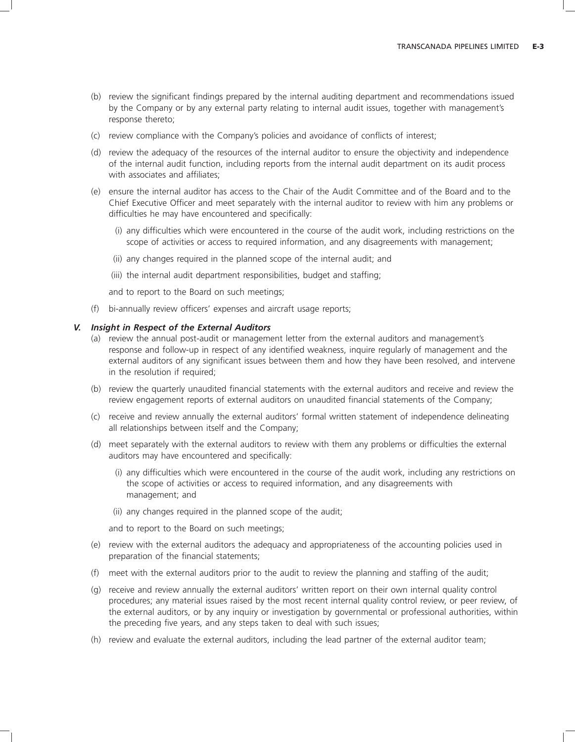- (b) review the significant findings prepared by the internal auditing department and recommendations issued by the Company or by any external party relating to internal audit issues, together with management's response thereto;
- (c) review compliance with the Company's policies and avoidance of conflicts of interest;
- (d) review the adequacy of the resources of the internal auditor to ensure the objectivity and independence of the internal audit function, including reports from the internal audit department on its audit process with associates and affiliates:
- (e) ensure the internal auditor has access to the Chair of the Audit Committee and of the Board and to the Chief Executive Officer and meet separately with the internal auditor to review with him any problems or difficulties he may have encountered and specifically:
	- (i) any difficulties which were encountered in the course of the audit work, including restrictions on the scope of activities or access to required information, and any disagreements with management;
	- (ii) any changes required in the planned scope of the internal audit; and
	- (iii) the internal audit department responsibilities, budget and staffing;
	- and to report to the Board on such meetings;
- (f) bi-annually review officers' expenses and aircraft usage reports;

### *V. Insight in Respect of the External Auditors*

- (a) review the annual post-audit or management letter from the external auditors and management's response and follow-up in respect of any identified weakness, inquire regularly of management and the external auditors of any significant issues between them and how they have been resolved, and intervene in the resolution if required;
- (b) review the quarterly unaudited financial statements with the external auditors and receive and review the review engagement reports of external auditors on unaudited financial statements of the Company;
- (c) receive and review annually the external auditors' formal written statement of independence delineating all relationships between itself and the Company;
- (d) meet separately with the external auditors to review with them any problems or difficulties the external auditors may have encountered and specifically:
	- (i) any difficulties which were encountered in the course of the audit work, including any restrictions on the scope of activities or access to required information, and any disagreements with management; and
	- (ii) any changes required in the planned scope of the audit;

and to report to the Board on such meetings;

- (e) review with the external auditors the adequacy and appropriateness of the accounting policies used in preparation of the financial statements;
- (f) meet with the external auditors prior to the audit to review the planning and staffing of the audit;
- (g) receive and review annually the external auditors' written report on their own internal quality control procedures; any material issues raised by the most recent internal quality control review, or peer review, of the external auditors, or by any inquiry or investigation by governmental or professional authorities, within the preceding five years, and any steps taken to deal with such issues;
- (h) review and evaluate the external auditors, including the lead partner of the external auditor team;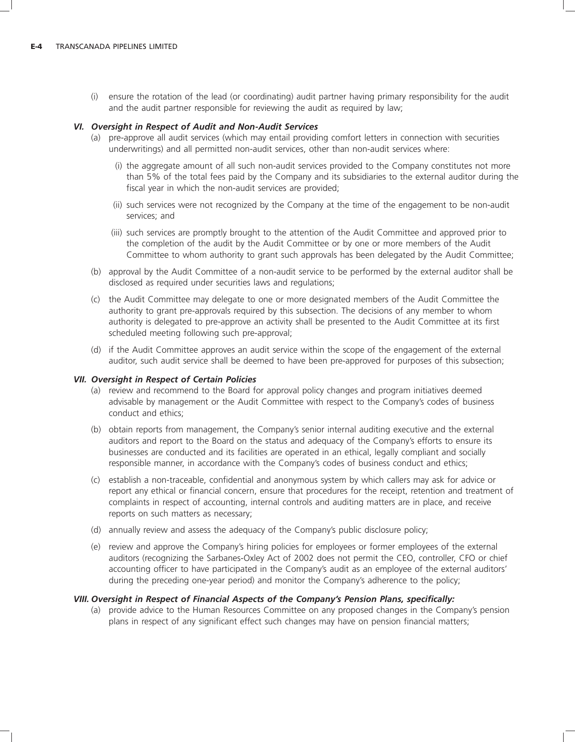(i) ensure the rotation of the lead (or coordinating) audit partner having primary responsibility for the audit and the audit partner responsible for reviewing the audit as required by law;

# *VI. Oversight in Respect of Audit and Non-Audit Services*

- (a) pre-approve all audit services (which may entail providing comfort letters in connection with securities underwritings) and all permitted non-audit services, other than non-audit services where:
	- (i) the aggregate amount of all such non-audit services provided to the Company constitutes not more than 5% of the total fees paid by the Company and its subsidiaries to the external auditor during the fiscal year in which the non-audit services are provided;
	- (ii) such services were not recognized by the Company at the time of the engagement to be non-audit services; and
	- (iii) such services are promptly brought to the attention of the Audit Committee and approved prior to the completion of the audit by the Audit Committee or by one or more members of the Audit Committee to whom authority to grant such approvals has been delegated by the Audit Committee;
- (b) approval by the Audit Committee of a non-audit service to be performed by the external auditor shall be disclosed as required under securities laws and regulations;
- (c) the Audit Committee may delegate to one or more designated members of the Audit Committee the authority to grant pre-approvals required by this subsection. The decisions of any member to whom authority is delegated to pre-approve an activity shall be presented to the Audit Committee at its first scheduled meeting following such pre-approval;
- (d) if the Audit Committee approves an audit service within the scope of the engagement of the external auditor, such audit service shall be deemed to have been pre-approved for purposes of this subsection;

# *VII. Oversight in Respect of Certain Policies*

- (a) review and recommend to the Board for approval policy changes and program initiatives deemed advisable by management or the Audit Committee with respect to the Company's codes of business conduct and ethics;
- (b) obtain reports from management, the Company's senior internal auditing executive and the external auditors and report to the Board on the status and adequacy of the Company's efforts to ensure its businesses are conducted and its facilities are operated in an ethical, legally compliant and socially responsible manner, in accordance with the Company's codes of business conduct and ethics;
- (c) establish a non-traceable, confidential and anonymous system by which callers may ask for advice or report any ethical or financial concern, ensure that procedures for the receipt, retention and treatment of complaints in respect of accounting, internal controls and auditing matters are in place, and receive reports on such matters as necessary;
- (d) annually review and assess the adequacy of the Company's public disclosure policy;
- (e) review and approve the Company's hiring policies for employees or former employees of the external auditors (recognizing the Sarbanes-Oxley Act of 2002 does not permit the CEO, controller, CFO or chief accounting officer to have participated in the Company's audit as an employee of the external auditors' during the preceding one-year period) and monitor the Company's adherence to the policy;

# *VIII. Oversight in Respect of Financial Aspects of the Company's Pension Plans, specifically:*

(a) provide advice to the Human Resources Committee on any proposed changes in the Company's pension plans in respect of any significant effect such changes may have on pension financial matters;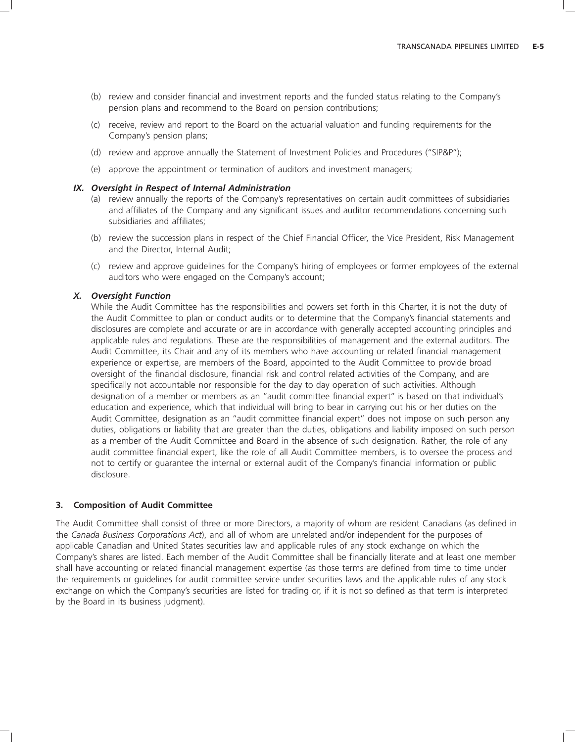- (b) review and consider financial and investment reports and the funded status relating to the Company's pension plans and recommend to the Board on pension contributions;
- (c) receive, review and report to the Board on the actuarial valuation and funding requirements for the Company's pension plans;
- (d) review and approve annually the Statement of Investment Policies and Procedures (''SIP&P'');
- (e) approve the appointment or termination of auditors and investment managers;

## *IX. Oversight in Respect of Internal Administration*

- (a) review annually the reports of the Company's representatives on certain audit committees of subsidiaries and affiliates of the Company and any significant issues and auditor recommendations concerning such subsidiaries and affiliates;
- (b) review the succession plans in respect of the Chief Financial Officer, the Vice President, Risk Management and the Director, Internal Audit;
- (c) review and approve guidelines for the Company's hiring of employees or former employees of the external auditors who were engaged on the Company's account;

#### *X. Oversight Function*

While the Audit Committee has the responsibilities and powers set forth in this Charter, it is not the duty of the Audit Committee to plan or conduct audits or to determine that the Company's financial statements and disclosures are complete and accurate or are in accordance with generally accepted accounting principles and applicable rules and regulations. These are the responsibilities of management and the external auditors. The Audit Committee, its Chair and any of its members who have accounting or related financial management experience or expertise, are members of the Board, appointed to the Audit Committee to provide broad oversight of the financial disclosure, financial risk and control related activities of the Company, and are specifically not accountable nor responsible for the day to day operation of such activities. Although designation of a member or members as an ''audit committee financial expert'' is based on that individual's education and experience, which that individual will bring to bear in carrying out his or her duties on the Audit Committee, designation as an ''audit committee financial expert'' does not impose on such person any duties, obligations or liability that are greater than the duties, obligations and liability imposed on such person as a member of the Audit Committee and Board in the absence of such designation. Rather, the role of any audit committee financial expert, like the role of all Audit Committee members, is to oversee the process and not to certify or guarantee the internal or external audit of the Company's financial information or public disclosure.

#### **3. Composition of Audit Committee**

The Audit Committee shall consist of three or more Directors, a majority of whom are resident Canadians (as defined in the *Canada Business Corporations Act*), and all of whom are unrelated and/or independent for the purposes of applicable Canadian and United States securities law and applicable rules of any stock exchange on which the Company's shares are listed. Each member of the Audit Committee shall be financially literate and at least one member shall have accounting or related financial management expertise (as those terms are defined from time to time under the requirements or guidelines for audit committee service under securities laws and the applicable rules of any stock exchange on which the Company's securities are listed for trading or, if it is not so defined as that term is interpreted by the Board in its business judgment).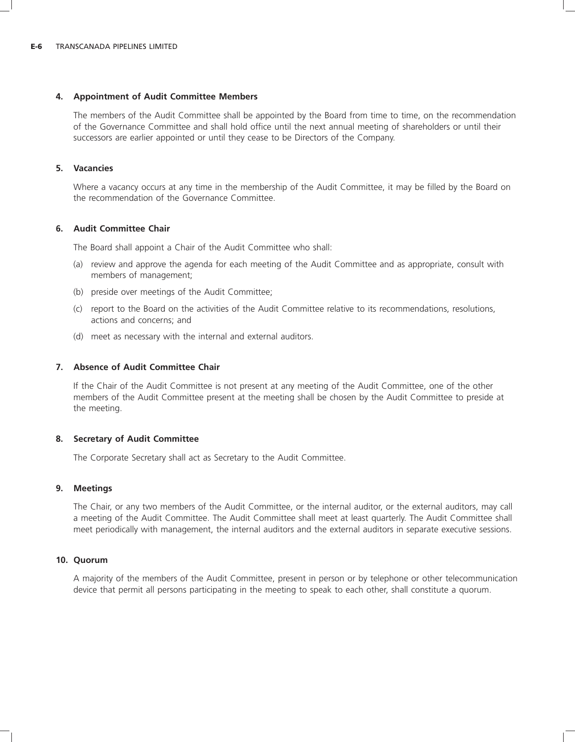## **4. Appointment of Audit Committee Members**

The members of the Audit Committee shall be appointed by the Board from time to time, on the recommendation of the Governance Committee and shall hold office until the next annual meeting of shareholders or until their successors are earlier appointed or until they cease to be Directors of the Company.

## **5. Vacancies**

Where a vacancy occurs at any time in the membership of the Audit Committee, it may be filled by the Board on the recommendation of the Governance Committee.

## **6. Audit Committee Chair**

The Board shall appoint a Chair of the Audit Committee who shall:

- (a) review and approve the agenda for each meeting of the Audit Committee and as appropriate, consult with members of management;
- (b) preside over meetings of the Audit Committee;
- (c) report to the Board on the activities of the Audit Committee relative to its recommendations, resolutions, actions and concerns; and
- (d) meet as necessary with the internal and external auditors.

## **7. Absence of Audit Committee Chair**

If the Chair of the Audit Committee is not present at any meeting of the Audit Committee, one of the other members of the Audit Committee present at the meeting shall be chosen by the Audit Committee to preside at the meeting.

### **8. Secretary of Audit Committee**

The Corporate Secretary shall act as Secretary to the Audit Committee.

### **9. Meetings**

The Chair, or any two members of the Audit Committee, or the internal auditor, or the external auditors, may call a meeting of the Audit Committee. The Audit Committee shall meet at least quarterly. The Audit Committee shall meet periodically with management, the internal auditors and the external auditors in separate executive sessions.

### **10. Quorum**

A majority of the members of the Audit Committee, present in person or by telephone or other telecommunication device that permit all persons participating in the meeting to speak to each other, shall constitute a quorum.